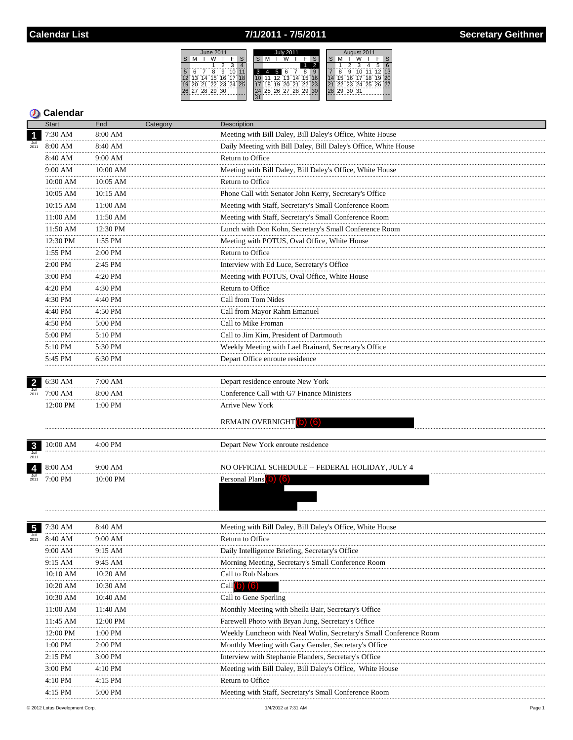# 7/1/2011 - 7/5/2011



## **5** Calendar

|                    | <b>Start</b>          | End               | Category | Description                                                        |
|--------------------|-----------------------|-------------------|----------|--------------------------------------------------------------------|
|                    | 7:30 AM               | 8:00 AM           |          | Meeting with Bill Daley, Bill Daley's Office, White House          |
|                    | 8:00 AM               | 8:40 AM<br>.      |          | Daily Meeting with Bill Daley, Bill Daley's Office, White House    |
|                    | 8:40 AM               | 9:00 AM           |          | Return to Office                                                   |
|                    | 9:00 AM               | 10:00 AM          |          | Meeting with Bill Daley, Bill Daley's Office, White House          |
|                    | 10:00 AM              | 10:05 AM          |          | Return to Office                                                   |
|                    | 10:05 AM              | 10:15 AM          |          | Phone Call with Senator John Kerry, Secretary's Office             |
|                    | 10:15 AM              | 11:00 AM          |          | Meeting with Staff, Secretary's Small Conference Room              |
|                    | <br>11:00 AM<br>      | 11:50 AM<br>.     |          | Meeting with Staff, Secretary's Small Conference Room              |
|                    | 11:50 AM<br>          | 12:30 PM<br>      |          | Lunch with Don Kohn, Secretary's Small Conference Room             |
|                    | 12:30 PM<br>          | 1:55 PM           |          | Meeting with POTUS, Oval Office, White House                       |
|                    | 1:55 PM<br>.          | 2:00 PM           |          | Return to Office                                                   |
|                    | 2:00 PM               | 2:45 PM           |          | Interview with Ed Luce, Secretary's Office                         |
|                    | 3:00 PM<br>.          | 4:20 PM           |          | Meeting with POTUS, Oval Office, White House                       |
|                    | 4:20 PM<br>           | 4:30 PM           |          | Return to Office                                                   |
|                    | 4:30 PM<br>.          | 4:40 PM           |          | Call from Tom Nides                                                |
|                    | 4:40 PM<br>           | 4:50 PM<br>.      |          | Call from Mayor Rahm Emanuel                                       |
|                    | 4:50 PM               | $5:00$ PM         |          | Call to Mike Froman                                                |
|                    | 5:00 PM<br>.          | 5:10 PM           |          | Call to Jim Kim, President of Dartmouth                            |
|                    | $5:10 \text{ PM}$<br> | 5:30 PM           |          | Weekly Meeting with Lael Brainard, Secretary's Office              |
|                    | 5:45 PM               | 6:30 PM           |          | Depart Office enroute residence                                    |
|                    |                       |                   |          |                                                                    |
| $\overline{2}$     | 6:30 AM               | 7:00 AM           |          | Depart residence enroute New York                                  |
| $\frac{Jul}{2011}$ | 7:00 AM               | 8:00 AM           |          | Conference Call with G7 Finance Ministers                          |
|                    | 12:00 PM              | 1:00 PM           |          | Arrive New York                                                    |
|                    |                       |                   |          | REMAIN OVERNIGHT (b) (6)                                           |
|                    |                       |                   |          |                                                                    |
| $\mathbf{3}$       | 10:00 AM              | 4:00 PM           |          | Depart New York enroute residence                                  |
| Jul                |                       |                   |          |                                                                    |
|                    | 8:00 AM               | 9:00 AM           |          | NO OFFICIAL SCHEDULE -- FEDERAL HOLIDAY, JULY 4                    |
|                    | 7:00 PM               | $10:00$ PM        |          | Personal Plans (b) (6)                                             |
|                    |                       |                   |          |                                                                    |
|                    |                       |                   |          |                                                                    |
|                    |                       |                   |          |                                                                    |
| 5 <sub>5</sub>     | 7:30 AM               | 8:40 AM           |          | Meeting with Bill Daley, Bill Daley's Office, White House          |
|                    | 8:40 AM               | 9:00 AM           |          | Return to Office                                                   |
|                    | 9:00 AM               | 9:15 AM           |          | Daily Intelligence Briefing, Secretary's Office                    |
|                    | 9:15 AM               | 9:45 AM           |          | Morning Meeting, Secretary's Small Conference Room                 |
|                    | 10:10 AM              | 10:20 AM          |          | Call to Rob Nabors                                                 |
|                    | 10:20 AM              | 10:30 AM          |          | Call (b)<br>(6)                                                    |
|                    | 10:30 AM              | 10:40 AM          |          | Call to Gene Sperling                                              |
|                    | 11:00 AM              | 11:40 AM          |          | Monthly Meeting with Sheila Bair, Secretary's Office               |
|                    | 11:45 AM              | 12:00 PM          |          | Farewell Photo with Bryan Jung, Secretary's Office                 |
|                    | 12:00 PM<br>          | 1:00 PM           |          | Weekly Luncheon with Neal Wolin, Secretary's Small Conference Room |
|                    | 1:00 PM               | $2:00 \text{ PM}$ |          | Monthly Meeting with Gary Gensler, Secretary's Office              |
|                    | $2:15$ PM             | 3:00 PM           |          | Interview with Stephanie Flanders, Secretary's Office              |
|                    | 3:00 PM               | 4:10 PM           |          | Meeting with Bill Daley, Bill Daley's Office, White House          |
|                    | 4:10 PM               | 4:15 PM           |          | Return to Office                                                   |
|                    | $4.15$ PM             | $5.00 \text{ PM}$ |          | Meeting with Staff, Secretary's Small Conference Room              |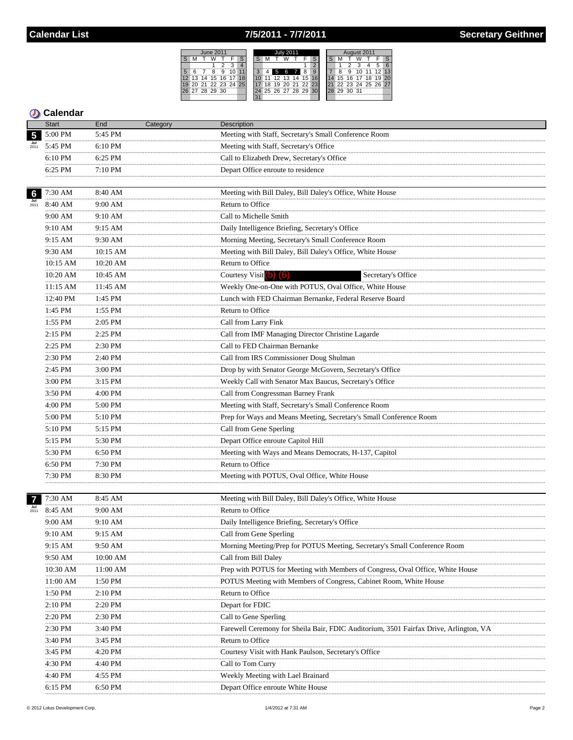# 7/5/2011 - 7/7/2011

June 2011<br>
T W T

 $\begin{array}{r|rrrr} & & \mathsf{W} \, \overline{ \, \mathsf{T} \, \, F \, \, S} \\ \hline & 1 & 2 & 3 & 4 \\ \hline 5 & 6 & 7 & 8 & 9 & 10 & 11 \\ 12 & 13 & 14 & 15 & 16 & 17 & 18 \\ 19 & 20 & 21 & 22 & 23 & 24 & 25 \\ 26 & 27 & 28 & 29 & 30 & 22 \\ \end{array}$ 

| <b>July 2011</b><br>August 2011                    |  |
|----------------------------------------------------|--|
|                                                    |  |
|                                                    |  |
|                                                    |  |
| $12 -$<br>ä                                        |  |
| 15<br>14<br>16 17 18<br>19<br>12<br>16<br>15<br>13 |  |
| 20 21 22 23<br>22 23 24 25 26 27<br>19             |  |
| 25 26 27 28 29<br>30 31<br>29<br>30                |  |
|                                                    |  |

|                             | <b>Start</b>  | End             | Category | Description                                                                           |
|-----------------------------|---------------|-----------------|----------|---------------------------------------------------------------------------------------|
|                             | 5:00 PM       | 5:45 PM         |          | Meeting with Staff, Secretary's Small Conference Room                                 |
|                             | 5:45 PM       | 6:10 PM         |          | Meeting with Staff, Secretary's Office                                                |
|                             | 6:10 PM       | 6:25 PM         |          | Call to Elizabeth Drew, Secretary's Office                                            |
|                             | 6:25 PM       | 7:10 PM         |          | Depart Office enroute to residence                                                    |
|                             |               |                 |          |                                                                                       |
|                             | $67:30$ AM    | 8:40 AM         |          | Meeting with Bill Daley, Bill Daley's Office, White House                             |
| $\frac{\mathsf{Jul}}{2011}$ | 8:40 AM       | 9:00 AM         |          | Return to Office                                                                      |
|                             | 9:00 AM<br>.  | 9:10 AM<br>.    |          | Call to Michelle Smith                                                                |
|                             | 9:10 AM<br>.  | 9:15 AM         |          | Daily Intelligence Briefing, Secretary's Office                                       |
|                             | 9:15 AM       | 9:30 AM         |          | Morning Meeting, Secretary's Small Conference Room                                    |
|                             | 9:30 AM<br>.  | $10:15$ AM<br>. |          | Meeting with Bill Daley, Bill Daley's Office, White House                             |
|                             | 10:15 AM      | 10:20 AM        |          | Return to Office<br>.                                                                 |
|                             | 10:20 AM      | 10:45 AM        |          | Courtesy Visit (b) (6)<br>Secretary's Office                                          |
|                             | 11:15 AM      | 11:45 AM        |          | Weekly One-on-One with POTUS, Oval Office, White House                                |
|                             | 12:40 PM      | 1:45 PM         |          | Lunch with FED Chairman Bernanke, Federal Reserve Board                               |
|                             | 1:45 PM<br>.  | 1:55 PM         |          | Return to Office                                                                      |
|                             | 1:55 PM<br>.  | 2:05 PM         |          | Call from Larry Fink                                                                  |
|                             | 2:15 PM<br>   | 2:25 PM         |          | Call from IMF Managing Director Christine Lagarde                                     |
|                             | 2:25 PM<br>.  | 2:30 PM<br>.    |          | Call to FED Chairman Bernanke                                                         |
|                             | 2:30 PM<br>.  | 2:40 PM         |          | Call from IRS Commissioner Doug Shulman                                               |
|                             | 2:45 PM<br>.  | 3:00 PM         |          | Drop by with Senator George McGovern, Secretary's Office                              |
|                             | 3:00 PM<br>.  | 3:15 PM         |          | Weekly Call with Senator Max Baucus, Secretary's Office                               |
|                             | 3:50 PM<br>.  | 4:00 PM         |          | Call from Congressman Barney Frank                                                    |
|                             | 4:00 PM<br>.  | 5:00 PM         |          | Meeting with Staff, Secretary's Small Conference Room                                 |
|                             | 5:00 PM<br>   | 5:10 PM         |          | Prep for Ways and Means Meeting, Secretary's Small Conference Room                    |
|                             | 5:10 PM<br>.  | 5:15 PM         |          | Call from Gene Sperling                                                               |
|                             | 5:15 PM<br>   | $5:30$ PM<br>.  |          | Depart Office enroute Capitol Hill                                                    |
|                             | 5:30 PM<br>.  | 6:50 PM         |          | Meeting with Ways and Means Democrats, H-137, Capitol                                 |
|                             | 6:50 PM<br>.  | 7:30 PM         |          | Return to Office                                                                      |
|                             | 7:30 PM<br>.  | 8:30 PM<br>.    |          | Meeting with POTUS, Oval Office, White House                                          |
|                             |               |                 |          |                                                                                       |
|                             | 7:30 AM       | 8:45 AM         |          | Meeting with Bill Daley, Bill Daley's Office, White House                             |
| $\frac{\mathsf{Jul}}{2011}$ | 8:45 AM       | 9:00 AM         |          | Return to Office                                                                      |
|                             | 9:00 AM       | 9:10 AM         |          | Daily Intelligence Briefing, Secretary's Office                                       |
|                             | 9:10 AM       | 9:15 AM         |          | Call from Gene Sperling                                                               |
|                             | 9:15 AM       | 9:50 AM         |          | Morning Meeting/Prep for POTUS Meeting, Secretary's Small Conference Room             |
|                             | 9:50 AM       | 10:00 AM        |          | Call from Bill Daley                                                                  |
|                             | 10:30 AM      | 11:00 AM        |          | Prep with POTUS for Meeting with Members of Congress, Oval Office, White House        |
|                             | 11:00 AM<br>. | 1:50 PM         |          | POTUS Meeting with Members of Congress, Cabinet Room, White House                     |
|                             | 1:50 PM       | $2:10$ PM       |          | Return to Office                                                                      |
|                             | 2:10 PM       | 2:20 PM         |          | Depart for FDIC                                                                       |
|                             | 2:20 PM<br>.  | 2:30 PM         |          | Call to Gene Sperling                                                                 |
|                             | 2:30 PM       | 3:40 PM         |          | Farewell Ceremony for Sheila Bair, FDIC Auditorium, 3501 Fairfax Drive, Arlington, VA |
|                             | 3:40 PM       | 3:45 PM         |          | Return to Office                                                                      |
|                             | 3:45 PM       | 4:20 PM         |          | Courtesy Visit with Hank Paulson, Secretary's Office                                  |
|                             | 4:30 PM       | 4:40 PM         |          | Call to Tom Curry                                                                     |
|                             | 4:40 PM       | 4:55 PM         |          | Weekly Meeting with Lael Brainard                                                     |
|                             | 6:15 PM       | 6:50 PM         |          | Depart Office enroute White House                                                     |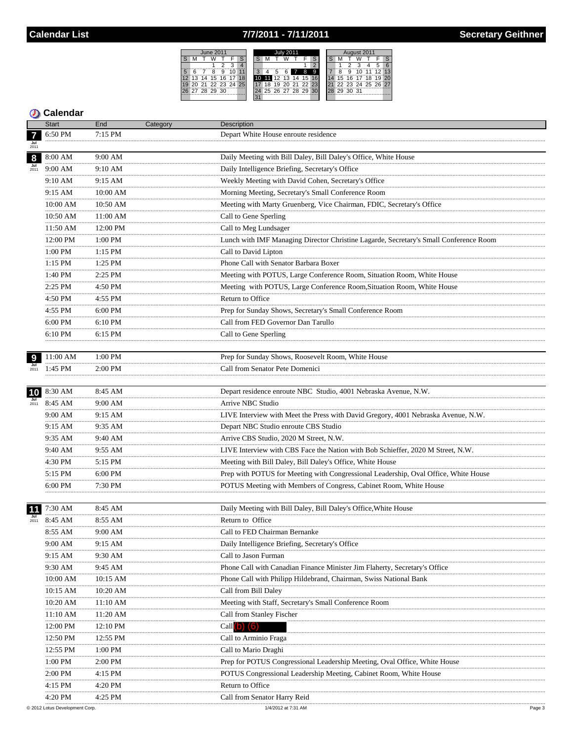## 7/7/2011 - 7/11/2011

<u>June 2011</u><br>
T W T

S M T W T F S<br>
1 2 3 4<br>
5 6 7 8 9 10 11<br>
12 13 14 15 16 17 18<br>
19 20 21 22 23 24 25<br>
26 27 28 29 30



|                    | <b>Start</b>                              | End            | Category | Description                                                                           |        |
|--------------------|-------------------------------------------|----------------|----------|---------------------------------------------------------------------------------------|--------|
| 7                  | 6:50 PM                                   | $7:15$ PM      |          | Depart White House enroute residence                                                  |        |
|                    |                                           |                |          |                                                                                       |        |
| 8                  | 8:00 AM                                   | $9:00$ AM      |          | Daily Meeting with Bill Daley, Bill Daley's Office, White House                       |        |
| 2011               | 9:00 AM                                   | 9:10 AM        |          | Daily Intelligence Briefing, Secretary's Office                                       |        |
|                    | 9:10 AM                                   | 9:15 AM        |          | Weekly Meeting with David Cohen, Secretary's Office                                   |        |
|                    | 9:15 AM                                   | 10:00 AM       |          | Morning Meeting, Secretary's Small Conference Room                                    |        |
|                    | 10:00 AM                                  | 10:50 AM       |          | Meeting with Marty Gruenberg, Vice Chairman, FDIC, Secretary's Office                 |        |
|                    | 10:50 AM                                  | 11:00 AM       |          | Call to Gene Sperling                                                                 |        |
|                    | 11:50 AM                                  | 12:00 PM       |          | Call to Meg Lundsager                                                                 |        |
|                    | .<br>12:00 PM                             | .<br>1:00 PM   |          | Lunch with IMF Managing Director Christine Lagarde, Secretary's Small Conference Room |        |
|                    | .<br>$1:00$ PM                            | $1:15$ PM      |          | Call to David Lipton                                                                  |        |
|                    | <br>$1:15$ PM                             | .<br>$1:25$ PM |          | Phone Call with Senator Barbara Boxer                                                 |        |
|                    | <br>1:40 PM                               | 2:25 PM        |          | Meeting with POTUS, Large Conference Room, Situation Room, White House                |        |
|                    | 2:25 PM                                   | 4:50 PM        |          | Meeting with POTUS, Large Conference Room, Situation Room, White House                |        |
|                    | .<br>4:50 PM                              | 4:55 PM        |          | Return to Office                                                                      |        |
|                    | 4:55 PM                                   | 6:00 PM        |          | Prep for Sunday Shows, Secretary's Small Conference Room                              |        |
|                    | 6:00 PM                                   | 6:10 PM        |          | Call from FED Governor Dan Tarullo                                                    |        |
|                    | .<br>6:10 PM                              | 6:15 PM        |          | Call to Gene Sperling                                                                 |        |
|                    |                                           |                |          |                                                                                       |        |
|                    | 11:00 AM                                  | 1:00 PM        |          | Prep for Sunday Shows, Roosevelt Room, White House                                    |        |
|                    | 1:45 PM                                   | $2:00$ PM      |          | Call from Senator Pete Domenici                                                       |        |
|                    |                                           |                |          |                                                                                       |        |
| 10                 | 8:30 AM                                   | 8:45 AM        |          | Depart residence enroute NBC Studio, 4001 Nebraska Avenue, N.W.                       |        |
| $\frac{Jul}{2011}$ | 8:45 AM                                   | 9:00 AM        |          | Arrive NBC Studio                                                                     |        |
|                    | 9:00 AM                                   | 9:15 AM        |          | LIVE Interview with Meet the Press with David Gregory, 4001 Nebraska Avenue, N.W.     |        |
|                    | 9:15 AM                                   | 9:35 AM        |          | Depart NBC Studio enroute CBS Studio                                                  |        |
|                    | .<br>9:35 AM                              | 9:40 AM        |          | Arrive CBS Studio, 2020 M Street, N.W.                                                |        |
|                    | 9:40 AM                                   | 9:55 AM        |          | LIVE Interview with CBS Face the Nation with Bob Schieffer, 2020 M Street, N.W.       |        |
|                    | 4:30 PM                                   | 5:15 PM        |          | Meeting with Bill Daley, Bill Daley's Office, White House                             |        |
|                    | 5:15 PM                                   | 6:00 PM        |          | Prep with POTUS for Meeting with Congressional Leadership, Oval Office, White House   |        |
|                    | 6:00 PM                                   | 7:30 PM        |          | POTUS Meeting with Members of Congress, Cabinet Room, White House                     |        |
|                    |                                           |                |          |                                                                                       |        |
|                    | 7:30 AM                                   | 8:45 AM        |          | Daily Meeting with Bill Daley, Bill Daley's Office, White House                       |        |
|                    | 8:45 AM                                   | 8:55 AM        |          | Return to Office                                                                      |        |
|                    | 8:55 AM                                   | 9:00 AM        |          | Call to FED Chairman Bernanke                                                         |        |
|                    | 9:00 AM                                   | 9:15 AM        |          | Daily Intelligence Briefing, Secretary's Office                                       |        |
|                    | 9:15 AM                                   | 9:30 AM        |          | Call to Jason Furman                                                                  |        |
|                    | 9:30 AM                                   | 9:45 AM        |          | Phone Call with Canadian Finance Minister Jim Flaherty, Secretary's Office            |        |
|                    | 10:00 AM                                  | 10:15 AM       |          | Phone Call with Philipp Hildebrand, Chairman, Swiss National Bank                     |        |
|                    | 10:15 AM                                  | 10:20 AM       |          | Call from Bill Daley                                                                  |        |
|                    | 10:20 AM                                  | 11:10 AM       |          | Meeting with Staff, Secretary's Small Conference Room                                 |        |
|                    | 11:10 AM                                  | 11:20 AM       |          | Call from Stanley Fischer                                                             |        |
|                    |                                           |                |          |                                                                                       |        |
|                    | 12:00 PM                                  | 12:10 PM       |          | Call $(b)$ $(6)$                                                                      |        |
|                    | 12:50 PM                                  | 12:55 PM       |          | Call to Arminio Fraga                                                                 |        |
|                    | 12:55 PM                                  | 1:00 PM        |          | Call to Mario Draghi                                                                  |        |
|                    | 1:00 PM                                   | 2:00 PM        |          | Prep for POTUS Congressional Leadership Meeting, Oval Office, White House             |        |
|                    | $2:00$ PM                                 | 4:15 PM        |          | POTUS Congressional Leadership Meeting, Cabinet Room, White House                     |        |
|                    | 4:15 PM                                   | 4:20 PM        |          | Return to Office                                                                      |        |
|                    | 4:20 PM<br>C 2012 Lotus Development Corp. | 4:25 PM        |          | Call from Senator Harry Reid<br>1/4/2012 at 7:31 AM                                   |        |
|                    |                                           |                |          |                                                                                       | Page 3 |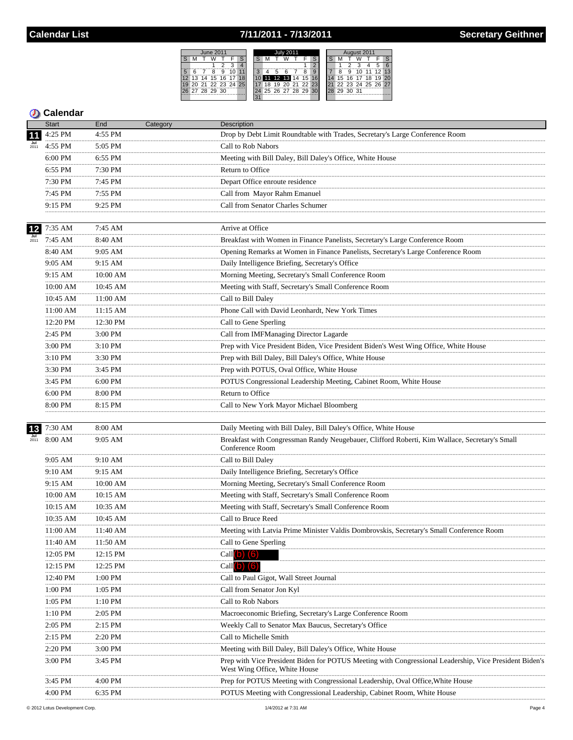## 7/11/2011 - 7/13/2011

June 2011<br>
T W T



|                             | <b>Start</b>      | End          | Category | Description                                                                                                                             |
|-----------------------------|-------------------|--------------|----------|-----------------------------------------------------------------------------------------------------------------------------------------|
| 11                          | 4:25 PM           | 4:55 PM      |          | Drop by Debt Limit Roundtable with Trades, Secretary's Large Conference Room                                                            |
| $\frac{Jul}{2011}$          | 4:55 PM           | 5:05 PM      |          | Call to Rob Nabors                                                                                                                      |
|                             | 6:00 PM           | 6:55 PM      |          | Meeting with Bill Daley, Bill Daley's Office, White House                                                                               |
|                             | <br>6:55 PM       | 7:30 PM      |          | Return to Office                                                                                                                        |
|                             | 7:30 PM           | 7:45 PM      |          | Depart Office enroute residence                                                                                                         |
|                             | 7:45 PM           | 7:55 PM      |          | Call from Mayor Rahm Emanuel                                                                                                            |
|                             | 9:15 PM           | 9:25 PM      |          | Call from Senator Charles Schumer                                                                                                       |
|                             |                   |              |          |                                                                                                                                         |
| 12                          | 7:35 AM           | 7:45 AM      |          | Arrive at Office                                                                                                                        |
| $\frac{\mathsf{Jul}}{2011}$ | 7:45 AM           | 8:40 AM      |          | Breakfast with Women in Finance Panelists, Secretary's Large Conference Room                                                            |
|                             | 8:40 AM           | 9:05 AM      |          | Opening Remarks at Women in Finance Panelists, Secretary's Large Conference Room                                                        |
|                             | .<br>9:05 AM      | .<br>9:15 AM |          | Daily Intelligence Briefing, Secretary's Office                                                                                         |
|                             | 9:15 AM           | 10:00 AM     |          | Morning Meeting, Secretary's Small Conference Room                                                                                      |
|                             | 10:00 AM          | 10:45 AM     |          | Meeting with Staff, Secretary's Small Conference Room                                                                                   |
|                             | 10:45 AM          | 11:00 AM     |          | Call to Bill Daley                                                                                                                      |
|                             | 11:00 AM          | $11:15$ AM   |          | Phone Call with David Leonhardt, New York Times                                                                                         |
|                             | .<br>12:20 PM     | 12:30 PM     |          | Call to Gene Sperling                                                                                                                   |
|                             | .<br>2:45 PM      | 3:00 PM      |          | Call from IMFManaging Director Lagarde                                                                                                  |
|                             | <br>3:00 PM       | .<br>3:10 PM |          | Prep with Vice President Biden, Vice President Biden's West Wing Office, White House                                                    |
|                             | .<br>3:10 PM      | 3:30 PM      |          | Prep with Bill Daley, Bill Daley's Office, White House                                                                                  |
|                             | <br>3:30 PM       | $3:45$ PM    |          | Prep with POTUS, Oval Office, White House                                                                                               |
|                             | .<br>3:45 PM      | 6:00 PM      |          | POTUS Congressional Leadership Meeting, Cabinet Room, White House                                                                       |
|                             | 6:00 PM           | 8:00 PM      |          | Return to Office                                                                                                                        |
|                             | 8:00 PM           | 8:15 PM      |          | Call to New York Mayor Michael Bloomberg                                                                                                |
|                             |                   |              |          |                                                                                                                                         |
| $13$                        | 7:30 AM           | 8:00 AM      |          | Daily Meeting with Bill Daley, Bill Daley's Office, White House                                                                         |
| $\frac{\mathsf{Jul}}{2011}$ | 8:00 AM           | 9:05 AM      |          | Breakfast with Congressman Randy Neugebauer, Clifford Roberti, Kim Wallace, Secretary's Small<br>Conference Room                        |
|                             | $9:05 \text{ AM}$ | 9:10 AM      |          | Call to Bill Daley                                                                                                                      |
|                             | 9:10 AM           | 9:15 AM      |          | Daily Intelligence Briefing, Secretary's Office                                                                                         |
|                             | 9:15 AM           | 10:00 AM     |          | Morning Meeting, Secretary's Small Conference Room                                                                                      |
|                             | 10:00 AM          | 10:15 AM     |          | Meeting with Staff, Secretary's Small Conference Room                                                                                   |
|                             | 10:15 AM          | $10:35$ AM   |          | Meeting with Staff, Secretary's Small Conference Room                                                                                   |
|                             | 10:35 AM          | 10:45 AM     |          | Call to Bruce Reed                                                                                                                      |
|                             | 11:00 AM          | 11:40 AM     |          | Meeting with Latvia Prime Minister Valdis Dombrovskis, Secretary's Small Conference Room                                                |
|                             | 11:40 AM          | 11:50 AM     |          | Call to Gene Sperling                                                                                                                   |
|                             | 12:05 PM          | 12:15 PM     |          | Call $(b)$ $(6)$                                                                                                                        |
|                             | 12:15 PM          | 12:25 PM     |          | Call $(b)$ $(6)$                                                                                                                        |
|                             | 12:40 PM          | 1:00 PM      |          | Call to Paul Gigot, Wall Street Journal                                                                                                 |
|                             | 1:00 PM           | 1:05 PM      |          | Call from Senator Jon Kyl                                                                                                               |
|                             | $1:05$ PM         | 1:10 PM      |          | Call to Rob Nabors                                                                                                                      |
|                             | 1:10 PM           | 2:05 PM      |          | Macroeconomic Briefing, Secretary's Large Conference Room                                                                               |
|                             | 2:05 PM           | 2:15 PM      |          | Weekly Call to Senator Max Baucus, Secretary's Office                                                                                   |
|                             | 2:15 PM           | 2:20 PM      |          | Call to Michelle Smith                                                                                                                  |
|                             | 2:20 PM           | 3:00 PM      |          | Meeting with Bill Daley, Bill Daley's Office, White House                                                                               |
|                             | 3:00 PM           | 3:45 PM      |          | Prep with Vice President Biden for POTUS Meeting with Congressional Leadership, Vice President Biden's<br>West Wing Office, White House |
|                             | 3:45 PM           | 4:00 PM      |          | Prep for POTUS Meeting with Congressional Leadership, Oval Office, White House                                                          |
|                             | 4:00 PM           | 6:35 PM      |          | POTUS Meeting with Congressional Leadership, Cabinet Room, White House                                                                  |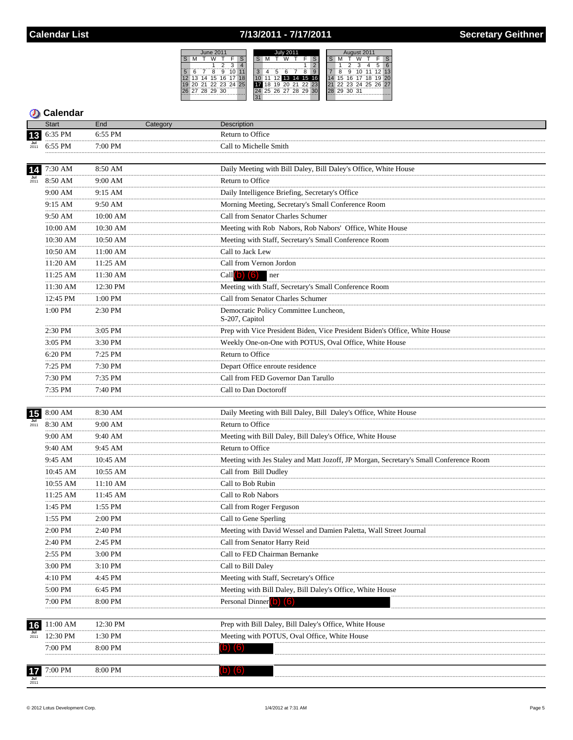### 7/13/2011 - 7/17/2011



|                    | <b>Start</b>   | End          | Category | Description                                                                           |
|--------------------|----------------|--------------|----------|---------------------------------------------------------------------------------------|
| <b>13</b>          | 6:35 PM        | 6:55 PM      |          | Return to Office                                                                      |
|                    | 6:55 PM        | 7:00 PM      |          | Call to Michelle Smith                                                                |
|                    |                |              |          |                                                                                       |
| 14                 | 7:30 AM        | 8:50 AM      |          | Daily Meeting with Bill Daley, Bill Daley's Office, White House                       |
| $\frac{Jul}{2011}$ | 8:50 AM        | 9:00 AM<br>  |          | Return to Office                                                                      |
|                    | 9:00 AM        | 9:15 AM      |          | Daily Intelligence Briefing, Secretary's Office                                       |
|                    | 9:15 AM        | 9:50 AM      |          | Morning Meeting, Secretary's Small Conference Room                                    |
|                    | 9:50 AM        | 10:00 AM     |          | Call from Senator Charles Schumer                                                     |
|                    | 10:00 AM       | 10:30 AM     |          | Meeting with Rob Nabors, Rob Nabors' Office, White House                              |
|                    | <br>10:30 AM   | 10:50 AM     |          | Meeting with Staff, Secretary's Small Conference Room                                 |
|                    | <br>10:50 AM   | 11:00 AM     |          | Call to Jack Lew                                                                      |
|                    | <br>11:20 AM   | 11:25 AM     |          | Call from Vernon Jordon                                                               |
|                    | <br>11:25 AM   | 11:30 AM     |          | Call $(b)$ $(6)$<br>ner                                                               |
|                    | 11:30 AM       | 12:30 PM     |          | Meeting with Staff, Secretary's Small Conference Room                                 |
|                    | <br>12:45 PM   | 1:00 PM      |          | Call from Senator Charles Schumer                                                     |
|                    | 1:00 PM        | 2:30 PM      |          | Democratic Policy Committee Luncheon,                                                 |
|                    |                |              |          | S-207, Capitol                                                                        |
|                    | 2:30 PM<br>    | 3:05 PM      |          | Prep with Vice President Biden, Vice President Biden's Office, White House            |
|                    | $3:05$ PM<br>  | 3:30 PM<br>. |          | Weekly One-on-One with POTUS, Oval Office, White House                                |
|                    | 6:20 PM<br>    | 7:25 PM<br>. |          | Return to Office                                                                      |
|                    | 7:25 PM        | 7:30 PM      |          | Depart Office enroute residence                                                       |
|                    | 7:30 PM        | 7:35 PM      |          | Call from FED Governor Dan Tarullo<br>                                                |
|                    | $7:35$ PM      | 7:40 PM      |          | Call to Dan Doctoroff                                                                 |
|                    |                |              |          |                                                                                       |
| <b>15</b>          | 8:00 AM        | 8:30 AM      |          | Daily Meeting with Bill Daley, Bill Daley's Office, White House                       |
| $\frac{Jul}{2011}$ | 8:30 AM        | 9:00 AM      |          | Return to Office                                                                      |
|                    | 9:00 AM<br>    | 9:40 AM      |          | Meeting with Bill Daley, Bill Daley's Office, White House                             |
|                    | 9:40 AM<br>    | 9:45 AM      |          | Return to Office                                                                      |
|                    | 9:45 AM<br>    | 10:45 AM     |          | Meeting with Jes Staley and Matt Jozoff, JP Morgan, Secretary's Small Conference Room |
|                    | 10:45 AM       | 10:55 AM     |          | Call from Bill Dudley                                                                 |
|                    | 10:55 AM       | 11:10 AM     |          | Call to Bob Rubin                                                                     |
|                    | $11:25$ AM<br> | 11:45 AM     |          | Call to Rob Nabors                                                                    |
|                    | 1:45 PM        | 1:55 PM      |          | Call from Roger Ferguson                                                              |
|                    | 1:55 PM        | 2:00 PM      |          | Call to Gene Sperling                                                                 |
|                    | 2:00 PM        | 2:40 PM      |          | Meeting with David Wessel and Damien Paletta, Wall Street Journal                     |
|                    | 2:40 PM        | 2:45 PM      |          | Call from Senator Harry Reid                                                          |
|                    | $2:55$ PM      | 3:00 PM      |          | Call to FED Chairman Bernanke                                                         |
|                    | $3:00$ PM      | 3:10 PM      |          | Call to Bill Daley                                                                    |
|                    | 4:10 PM        | 4:45 PM      |          | Meeting with Staff, Secretary's Office                                                |
|                    | 5:00 PM        | 6:45 PM      |          | Meeting with Bill Daley, Bill Daley's Office, White House                             |
|                    | 7:00 PM        | 8:00 PM      |          | Personal Dinner                                                                       |
|                    |                |              |          |                                                                                       |
| 16                 | 11:00 AM       | 12:30 PM     |          | Prep with Bill Daley, Bill Daley's Office, White House                                |
| 2011               | 12:30 PM       | 1:30 PM      |          | Meeting with POTUS, Oval Office, White House                                          |
|                    | 7:00 PM        | 8:00 PM      |          | (b) (6)                                                                               |
|                    |                |              |          |                                                                                       |
| 17                 | 7:00 PM        | 8:00 PM      |          | $\lceil 6 \rceil$<br>(D)                                                              |
| $\frac{Jul}{2011}$ |                |              |          |                                                                                       |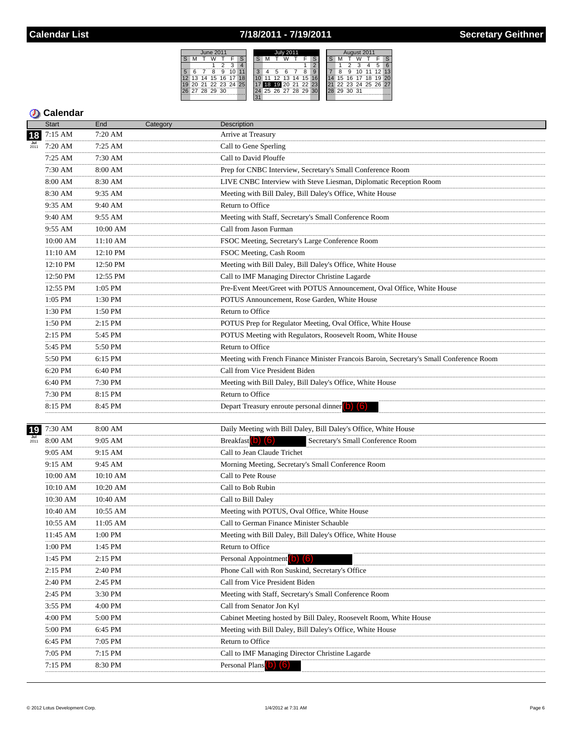## 7/18/2011 - 7/19/2011

<u>June 2011</u><br>
T W T



|                    | <b>Start</b>   | End            | Category | Description                                                                             |
|--------------------|----------------|----------------|----------|-----------------------------------------------------------------------------------------|
| 18                 | 7:15 AM        | 7:20 AM        |          | Arrive at Treasury                                                                      |
|                    | 7:20 AM        | $7:25$ AM<br>. |          | Call to Gene Sperling                                                                   |
|                    | 7:25 AM        | 7:30 AM        |          | Call to David Plouffe                                                                   |
|                    | 7:30 AM<br>.   | 8:00 AM        |          | Prep for CNBC Interview, Secretary's Small Conference Room                              |
|                    | 8:00 AM        | 8:30 AM        |          | LIVE CNBC Interview with Steve Liesman, Diplomatic Reception Room                       |
|                    | 8:30 AM        | 9:35 AM        |          | Meeting with Bill Daley, Bill Daley's Office, White House                               |
|                    | $9:35$ AM<br>. | 9:40 AM<br>.   |          | Return to Office                                                                        |
|                    | 9:40 AM<br>.   | 9:55 AM        |          | Meeting with Staff, Secretary's Small Conference Room                                   |
|                    | 9:55 AM<br>.   | 10:00 AM       |          | Call from Jason Furman                                                                  |
|                    | 10:00 AM       | 11:10 AM       |          | FSOC Meeting, Secretary's Large Conference Room                                         |
|                    | 11:10 AM<br>.  | 12:10 PM<br>.  |          | FSOC Meeting, Cash Room                                                                 |
|                    | 12:10 PM       | 12:50 PM       |          | Meeting with Bill Daley, Bill Daley's Office, White House                               |
|                    | 12:50 PM       | 12:55 PM       |          | Call to IMF Managing Director Christine Lagarde                                         |
|                    | 12:55 PM       | 1:05 PM        |          | Pre-Event Meet/Greet with POTUS Announcement, Oval Office, White House                  |
|                    | 1:05 PM<br>.   | 1:30 PM        |          | POTUS Announcement, Rose Garden, White House                                            |
|                    | 1:30 PM<br>.   | 1:50 PM<br>.   |          | Return to Office                                                                        |
|                    | 1:50 PM        | 2:15 PM        |          | POTUS Prep for Regulator Meeting, Oval Office, White House                              |
|                    | 2:15 PM<br>.   | 5:45 PM        |          | POTUS Meeting with Regulators, Roosevelt Room, White House                              |
|                    | 5:45 PM        | 5:50 PM        |          | Return to Office                                                                        |
|                    | 5:50 PM        | 6:15 PM        |          | Meeting with French Finance Minister Francois Baroin, Secretary's Small Conference Room |
|                    | 6:20 PM        | 6:40 PM        |          | Call from Vice President Biden                                                          |
|                    | 6:40 PM        | 7:30 PM        |          | Meeting with Bill Daley, Bill Daley's Office, White House                               |
|                    | 7:30 PM        | 8:15 PM        |          | Return to Office                                                                        |
|                    | 8:15 PM        | 8:45 PM        |          | Depart Treasury enroute personal dinner (b) (6)                                         |
| 19                 | 7:30 AM        | 8:00 AM        |          | Daily Meeting with Bill Daley, Bill Daley's Office, White House                         |
| $\frac{Jul}{2011}$ | 8:00 AM        | 9:05 AM        |          | Breakfast <sup>(b)</sup> (6)<br>Secretary's Small Conference Room                       |
|                    | 9:05 AM        | .<br>9:15 AM   |          | Call to Jean Claude Trichet                                                             |
|                    | 9:15 AM        | 9:45 AM        |          | Morning Meeting, Secretary's Small Conference Room                                      |
|                    | 10:00 AM       | 10:10 AM       |          | Call to Pete Rouse                                                                      |
|                    | 10:10 AM       | .<br>10:20 AM  |          | Call to Bob Rubin                                                                       |
|                    | 10:30 AM       | 10:40 AM       |          | Call to Bill Daley                                                                      |
|                    | 10:40 AM       | 10:55 AM       |          | Meeting with POTUS, Oval Office, White House                                            |
|                    | 10:55 AM       | 11:05 AM       |          | Call to German Finance Minister Schauble                                                |
|                    | 11:45 AM       | 1:00 PM        |          | Meeting with Bill Daley, Bill Daley's Office, White House                               |
|                    | <br>$1:00$ PM  | <br>$1:45$ PM  |          | Return to Office                                                                        |
|                    | 1:45 PM        | $2:15$ PM      |          | Personal Appointment (0) (6)                                                            |
|                    | $2:15$ PM      | 2:40 PM        |          | Phone Call with Ron Suskind, Secretary's Office                                         |
|                    | 2:40 PM        | 2:45 PM        |          | Call from Vice President Biden                                                          |
|                    | $2:45$ PM      | 3:30 PM        |          | Meeting with Staff, Secretary's Small Conference Room                                   |
|                    | <br>3:55 PM    | 4:00 PM        |          | Call from Senator Jon Kyl                                                               |
|                    | $4:00$ PM      | 5:00 PM        |          | Cabinet Meeting hosted by Bill Daley, Roosevelt Room, White House                       |
|                    | <br>5:00 PM    | 6:45 PM        |          | Meeting with Bill Daley, Bill Daley's Office, White House                               |
|                    | 6:45 PM        | 7:05 PM        |          | Return to Office                                                                        |
|                    | 7:05 PM        | 7:15 PM        |          | Call to IMF Managing Director Christine Lagarde                                         |
|                    | $7:15$ PM      | 8:30 PM        |          | <b>Personal Plans</b>                                                                   |
|                    |                |                |          |                                                                                         |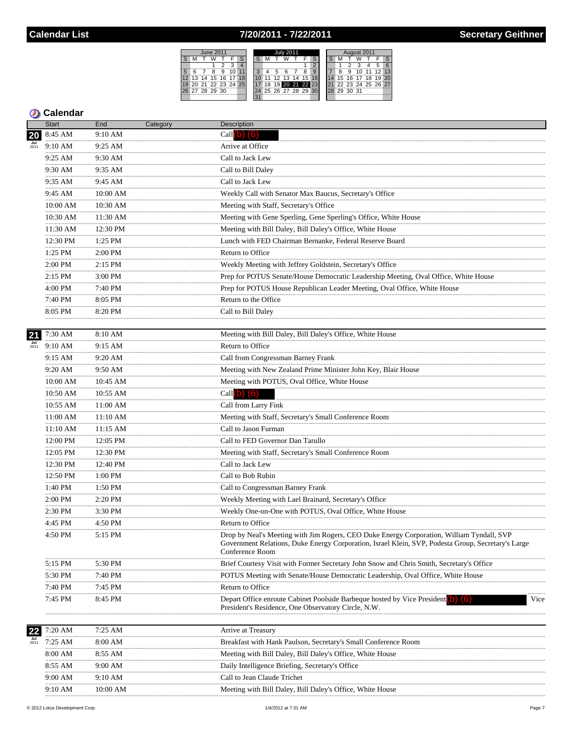### 7/20/2011 - 7/22/2011



## **5** Calendar

|                             | <b>Start</b>  | End            | Category | Description                                                                                                                                                                                                        |
|-----------------------------|---------------|----------------|----------|--------------------------------------------------------------------------------------------------------------------------------------------------------------------------------------------------------------------|
| 20                          | 8:45 AM       | 9:10 AM        |          | Call $(b)$ $(6)$                                                                                                                                                                                                   |
|                             | 9:10 AM<br>.  | 9:25 AM<br>    |          | Arrive at Office                                                                                                                                                                                                   |
|                             | 9:25 AM       | 9:30 AM        |          | Call to Jack Lew                                                                                                                                                                                                   |
|                             | 9:30 AM<br>.  | 9:35 AM        |          | Call to Bill Daley                                                                                                                                                                                                 |
|                             | 9:35 AM       | 9:45 AM        |          | Call to Jack Lew                                                                                                                                                                                                   |
|                             | 9:45 AM       | 10:00 AM       |          | Weekly Call with Senator Max Baucus, Secretary's Office                                                                                                                                                            |
|                             | 10:00 AM      | 10:30 AM       |          | Meeting with Staff, Secretary's Office                                                                                                                                                                             |
|                             | 10:30 AM<br>. | 11:30 AM       |          | Meeting with Gene Sperling, Gene Sperling's Office, White House                                                                                                                                                    |
|                             | 11:30 AM      | 12:30 PM       |          | Meeting with Bill Daley, Bill Daley's Office, White House                                                                                                                                                          |
|                             | 12:30 PM<br>. | .<br>1:25 PM   |          | Lunch with FED Chairman Bernanke, Federal Reserve Board                                                                                                                                                            |
|                             | 1:25 PM<br>.  | 2:00 PM        |          | Return to Office                                                                                                                                                                                                   |
|                             | 2:00 PM<br>.  | $2:15$ PM<br>. |          | Weekly Meeting with Jeffrey Goldstein, Secretary's Office                                                                                                                                                          |
|                             | 2:15 PM       | 3:00 PM        |          | Prep for POTUS Senate/House Democratic Leadership Meeting, Oval Office, White House                                                                                                                                |
|                             | 4:00 PM       | 7:40 PM<br>.   |          | Prep for POTUS House Republican Leader Meeting, Oval Office, White House                                                                                                                                           |
|                             | .<br>7:40 PM  | 8:05 PM        |          | Return to the Office                                                                                                                                                                                               |
|                             | 8:05 PM       | 8:20 PM        |          | Call to Bill Daley                                                                                                                                                                                                 |
| 21                          | 7:30 AM       | 8:10 AM        |          | Meeting with Bill Daley, Bill Daley's Office, White House                                                                                                                                                          |
| $\frac{\mathsf{Jul}}{2011}$ | 9:10 AM       | 9:15 AM        |          | Return to Office                                                                                                                                                                                                   |
|                             | 9:15 AM       | 9:20 AM        |          | Call from Congressman Barney Frank                                                                                                                                                                                 |
|                             | <br>9:20 AM   | .<br>9:50 AM   |          | Meeting with New Zealand Prime Minister John Key, Blair House                                                                                                                                                      |
|                             | 10:00 AM      | 10:45 AM       |          | Meeting with POTUS, Oval Office, White House                                                                                                                                                                       |
|                             | .<br>10:50 AM | 10:55 AM       |          | Call $(b)$ $(6)$                                                                                                                                                                                                   |
|                             | .<br>10:55 AM | .<br>11:00 AM  |          | Call from Larry Fink                                                                                                                                                                                               |
|                             | 11:00 AM      | 11:10 AM       |          | Meeting with Staff, Secretary's Small Conference Room                                                                                                                                                              |
|                             | 11:10 AM      | <br>11:15 AM   |          | Call to Jason Furman                                                                                                                                                                                               |
|                             | 12:00 PM      | 12:05 PM       |          | Call to FED Governor Dan Tarullo                                                                                                                                                                                   |
|                             | 12:05 PM      | 12:30 PM       |          | Meeting with Staff, Secretary's Small Conference Room                                                                                                                                                              |
|                             | .<br>12:30 PM | 12:40 PM       |          | Call to Jack Lew                                                                                                                                                                                                   |
|                             | .<br>12:50 PM | 1:00 PM        |          | Call to Bob Rubin                                                                                                                                                                                                  |
|                             | .<br>1:40 PM  | 1:50 PM        |          | Call to Congressman Barney Frank                                                                                                                                                                                   |
|                             | 2:00 PM       | 2:20 PM        |          | Weekly Meeting with Lael Brainard, Secretary's Office                                                                                                                                                              |
|                             | .<br>2:30 PM  | 3:30 PM        |          | Weekly One-on-One with POTUS, Oval Office, White House                                                                                                                                                             |
|                             | .<br>4:45 PM  | 4:50 PM        |          | Return to Office                                                                                                                                                                                                   |
|                             | 4:50 PM       | 5:15 PM        |          | Drop by Neal's Meeting with Jim Rogers, CEO Duke Energy Corporation, William Tyndall, SVP<br>Government Relations, Duke Energy Corporation, Israel Klein, SVP, Podesta Group, Secretary's Large<br>Conference Room |
|                             | 5:15 PM       | 5:30 PM        |          | Brief Courtesy Visit with Former Secretary John Snow and Chris Smith, Secretary's Office                                                                                                                           |
|                             | 5:30 PM       | 7:40 PM        |          | POTUS Meeting with Senate/House Democratic Leadership, Oval Office, White House                                                                                                                                    |
|                             | 7:40 PM       | 7:45 PM        |          | Return to Office                                                                                                                                                                                                   |
|                             | 7:45 PM       | 8:45 PM        |          | Depart Office enroute Cabinet Poolside Barbeque hosted by Vice President<br>Vice<br>President's Residence, One Observatory Circle, N.W.                                                                            |
|                             | 7:20 AM       | 7:25 AM        |          | Arrive at Treasury                                                                                                                                                                                                 |
| 2011                        | $7:25$ AM     | 8:00 AM        |          | Breakfast with Hank Paulson, Secretary's Small Conference Room                                                                                                                                                     |
|                             | 8:00 AM       | 8:55 AM        |          | Meeting with Bill Daley, Bill Daley's Office, White House                                                                                                                                                          |
|                             | 8:55 AM       | 9:00 AM        |          | Daily Intelligence Briefing, Secretary's Office                                                                                                                                                                    |
|                             | 9:00 AM       | 9:10 AM        |          | Call to Jean Claude Trichet                                                                                                                                                                                        |
|                             | 9:10 AM       | 10:00 AM       |          | Meeting with Bill Daley, Bill Daley's Office, White House                                                                                                                                                          |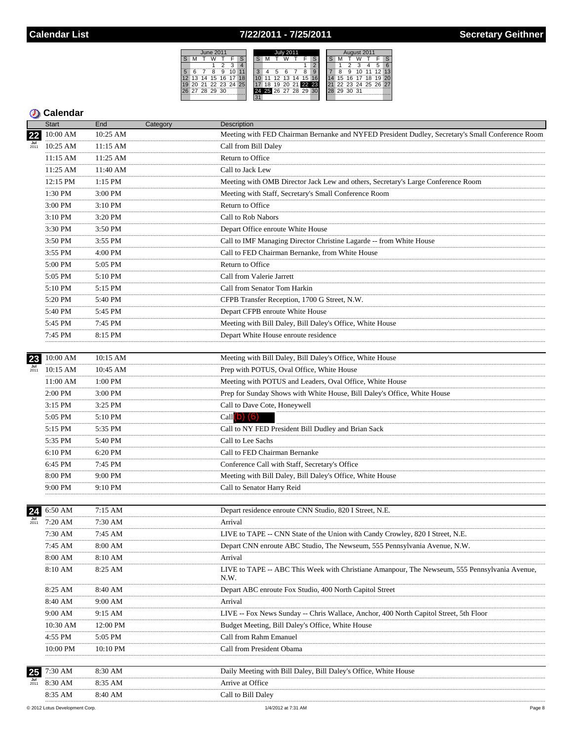### 7/22/2011 - 7/25/2011



## **5** Calendar

|    | <b>Start</b>   | End          | Category | <b>Description</b>                                                                                    |
|----|----------------|--------------|----------|-------------------------------------------------------------------------------------------------------|
| 22 | 10:00 AM       | 10:25 AM     |          | Meeting with FED Chairman Bernanke and NYFED President Dudley, Secretary's Small Conference Room      |
|    | 10:25 AM       | 11:15 AM     |          | Call from Bill Daley                                                                                  |
|    | 11:15 AM       | 11:25 AM     |          | Return to Office                                                                                      |
|    | 11:25 AM       | 11:40 AM     |          | Call to Jack Lew                                                                                      |
|    | 12:15 PM       | 1:15 PM      |          | Meeting with OMB Director Jack Lew and others, Secretary's Large Conference Room                      |
|    | 1:30 PM        | 3:00 PM      |          | Meeting with Staff, Secretary's Small Conference Room                                                 |
|    | .<br>$3:00$ PM | $3:10$ PM    |          | Return to Office                                                                                      |
|    | <br>3:10 PM    | .<br>3:20 PM |          | Call to Rob Nabors                                                                                    |
|    | .<br>3:30 PM   | 3:50 PM      |          | Depart Office enroute White House                                                                     |
|    | <br>3:50 PM    | .<br>3:55 PM |          | Call to IMF Managing Director Christine Lagarde -- from White House                                   |
|    | 3:55 PM        | 4:00 PM      |          | Call to FED Chairman Bernanke, from White House                                                       |
|    | <br>5:00 PM    | 5:05 PM      |          | Return to Office                                                                                      |
|    | .<br>5:05 PM   | 5:10 PM      |          | Call from Valerie Jarrett                                                                             |
|    | 5:10 PM        | 5:15 PM      |          | Call from Senator Tom Harkin                                                                          |
|    | .<br>5:20 PM   | 5:40 PM      |          | CFPB Transfer Reception, 1700 G Street, N.W.                                                          |
|    | .<br>5:40 PM   | $5:45$ PM    |          | Depart CFPB enroute White House                                                                       |
|    | .<br>5:45 PM   | .<br>7:45 PM |          | Meeting with Bill Daley, Bill Daley's Office, White House                                             |
|    | 7:45 PM        | 8:15 PM      |          | Depart White House enroute residence                                                                  |
|    | .              | .            |          |                                                                                                       |
| 23 | 10:00 AM       | 10:15 AM     |          | Meeting with Bill Daley, Bill Daley's Office, White House                                             |
|    | 10:15 AM       | $10:45$ AM   |          | Prep with POTUS, Oval Office, White House                                                             |
|    | 11:00 AM       | 1:00 PM      |          | Meeting with POTUS and Leaders, Oval Office, White House                                              |
|    | <br>2:00 PM    | 3:00 PM      |          | Prep for Sunday Shows with White House, Bill Daley's Office, White House                              |
|    | 3:15 PM        | 3:25 PM      |          | Call to Dave Cote, Honeywell                                                                          |
|    | .<br>5:05 PM   | 5:10 PM      |          | Call $(b)$ $(6)$                                                                                      |
|    | .<br>5:15 PM   | 5:35 PM      |          | Call to NY FED President Bill Dudley and Brian Sack                                                   |
|    | .<br>5:35 PM   | 5:40 PM      |          | Call to Lee Sachs                                                                                     |
|    | 6:10 PM        | 6:20 PM      |          | Call to FED Chairman Bernanke                                                                         |
|    | 6:45 PM        | 7:45 PM      |          | Conference Call with Staff, Secretary's Office                                                        |
|    | 8:00 PM        | 9:00 PM      |          | Meeting with Bill Daley, Bill Daley's Office, White House                                             |
|    | 9:00 PM        | .<br>9:10 PM |          | Call to Senator Harry Reid                                                                            |
|    |                | .            |          |                                                                                                       |
| 24 | 6:50 AM        | 7:15 AM      |          | Depart residence enroute CNN Studio, 820 I Street, N.E.                                               |
|    | 7:20 AM        | 7:30 AM      |          | Arrival                                                                                               |
|    | 7:30 AM        | 7:45 AM      |          | LIVE to TAPE -- CNN State of the Union with Candy Crowley, 820 I Street, N.E.                         |
|    | 7:45 AM        | 8:00 AM      |          | Depart CNN enroute ABC Studio, The Newseum, 555 Pennsylvania Avenue, N.W.                             |
|    | 8:00 AM        | 8:10 AM      |          | Arrival                                                                                               |
|    | 8:10 AM        | 8:25 AM      |          | LIVE to TAPE -- ABC This Week with Christiane Amanpour, The Newseum, 555 Pennsylvania Avenue,<br>N.W. |
|    | .<br>8:25 AM   | 8:40 AM      |          | Depart ABC enroute Fox Studio, 400 North Capitol Street                                               |
|    | 8:40 AM        | 9:00 AM      |          | Arrival                                                                                               |
|    | 9:00 AM        | 9:15 AM      |          | LIVE -- Fox News Sunday -- Chris Wallace, Anchor, 400 North Capitol Street, 5th Floor                 |
|    | 10:30 AM       | 12:00 PM     |          | Budget Meeting, Bill Daley's Office, White House                                                      |
|    | 4:55 PM        | 5:05 PM      |          | Call from Rahm Emanuel                                                                                |
|    | 10:00 PM       | 10:10 PM     |          | Call from President Obama                                                                             |
|    |                |              |          |                                                                                                       |
| 25 | 7:30 AM        | 8:30 AM      |          | Daily Meeting with Bill Daley, Bill Daley's Office, White House                                       |
|    | 8:30 AM        | 8:35 AM      |          | Arrive at Office                                                                                      |
|    | 8:35 AM        | 8:40 AM      |          | Call to Bill Daley                                                                                    |
|    |                |              |          |                                                                                                       |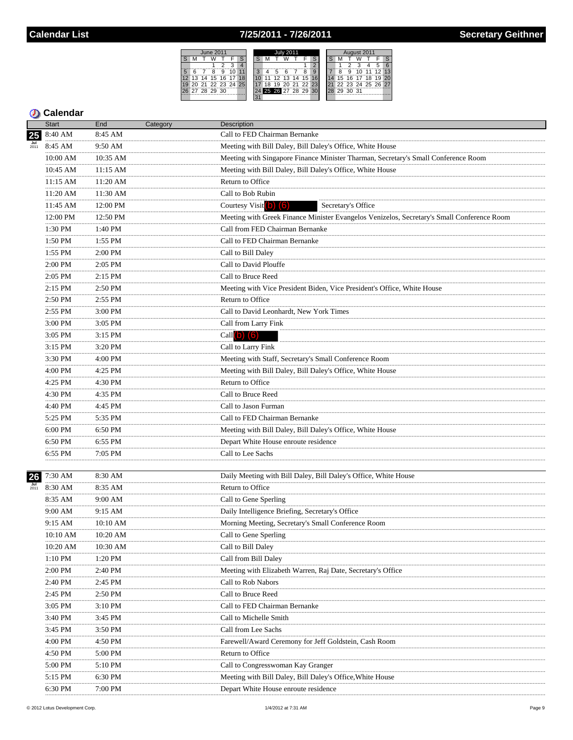## 7/25/2011 - 7/26/2011



|                    | <b>Start</b>   | End          | Category | Description                                                                                |
|--------------------|----------------|--------------|----------|--------------------------------------------------------------------------------------------|
| 25                 | 8:40 AM        | 8:45 AM      |          | Call to FED Chairman Bernanke                                                              |
| $\frac{Jul}{2011}$ | 8:45 AM        | 9:50 AM      |          | Meeting with Bill Daley, Bill Daley's Office, White House                                  |
|                    | 10:00 AM       | 10:35 AM     |          | Meeting with Singapore Finance Minister Tharman, Secretary's Small Conference Room         |
|                    | 10:45 AM       | 11:15 AM     |          | Meeting with Bill Daley, Bill Daley's Office, White House                                  |
|                    | 11:15 AM       | 11:20 AM     |          | Return to Office                                                                           |
|                    | 11:20 AM       | 11:30 AM     |          | Call to Bob Rubin                                                                          |
|                    | 11:45 AM       | <br>12:00 PM |          | Courtesy Visit (b) (6)<br>Secretary's Office                                               |
|                    | .<br>12:00 PM  | 12:50 PM     |          | Meeting with Greek Finance Minister Evangelos Venizelos, Secretary's Small Conference Room |
|                    | .<br>1:30 PM   | 1:40 PM      |          | Call from FED Chairman Bernanke                                                            |
|                    | .<br>1:50 PM   | .<br>1:55 PM |          | Call to FED Chairman Bernanke                                                              |
|                    | 1:55 PM        | 2:00 PM      |          | Call to Bill Daley                                                                         |
|                    | .<br>2:00 PM   | 2:05 PM      |          | Call to David Plouffe                                                                      |
|                    | 2:05 PM        | 2:15 PM      |          | Call to Bruce Reed                                                                         |
|                    | .<br>2:15 PM   | 2:50 PM      |          | Meeting with Vice President Biden, Vice President's Office, White House                    |
|                    | .<br>2:50 PM   | 2:55 PM      |          | Return to Office                                                                           |
|                    | .<br>2:55 PM   | 3:00 PM      |          | Call to David Leonhardt, New York Times                                                    |
|                    | .<br>3:00 PM   | .<br>3:05 PM |          | Call from Larry Fink                                                                       |
|                    | 3:05 PM        | 3:15 PM      |          | Call $(b)$ $(6)$                                                                           |
|                    | .<br>$3:15$ PM | 3:20 PM      |          | Call to Larry Fink                                                                         |
|                    | .<br>3:30 PM   | .<br>4:00 PM |          | Meeting with Staff, Secretary's Small Conference Room                                      |
|                    | 4:00 PM        | 4:25 PM      |          | Meeting with Bill Daley, Bill Daley's Office, White House                                  |
|                    | .<br>4:25 PM   | .<br>4:30 PM |          | Return to Office                                                                           |
|                    | .<br>4:30 PM   | 4:35 PM      |          | Call to Bruce Reed                                                                         |
|                    | .<br>4:40 PM   | 4:45 PM      |          | Call to Jason Furman                                                                       |
|                    | 5:25 PM        | 5:35 PM      |          | Call to FED Chairman Bernanke                                                              |
|                    | 6:00 PM        | 6:50 PM      |          | Meeting with Bill Daley, Bill Daley's Office, White House                                  |
|                    | 6:50 PM        | 6:55 PM      |          | Depart White House enroute residence                                                       |
|                    | 6:55 PM<br>.   | 7:05 PM<br>. |          | Call to Lee Sachs                                                                          |
|                    |                |              |          |                                                                                            |
| 26                 | 7:30 AM        | 8:30 AM      |          | Daily Meeting with Bill Daley, Bill Daley's Office, White House                            |
| 2011               | 8:30 AM        | 8:35 AM      |          | Return to Office                                                                           |
|                    | 8:35 AM        | 9:00 AM      |          | Call to Gene Sperling                                                                      |
|                    | 9:00 AM        | 9:15 AM      |          | Daily Intelligence Briefing, Secretary's Office                                            |
|                    | 9:15 AM        | 10:10 AM     |          | Morning Meeting, Secretary's Small Conference Room                                         |
|                    | 10:10 AM       | 10:20 AM     |          | Call to Gene Sperling                                                                      |
|                    | 10:20 AM       | 10:30 AM     |          | Call to Bill Daley                                                                         |
|                    | $1:10$ PM      | 1:20 PM      |          | Call from Bill Daley<br>                                                                   |
|                    | $2:00$ PM      | 2:40 PM      |          | Meeting with Elizabeth Warren, Raj Date, Secretary's Office                                |
|                    | 2:40 PM<br>.   | 2:45 PM      |          | Call to Rob Nabors<br>                                                                     |
|                    | 2:45 PM<br>    | 2:50 PM      |          | Call to Bruce Reed                                                                         |
|                    | 3:05 PM        | 3:10 PM      |          | Call to FED Chairman Bernanke                                                              |
|                    | 3:40 PM<br>.   | $3:45$ PM    |          | Call to Michelle Smith                                                                     |
|                    | 3:45 PM        | 3:50 PM      |          | Call from Lee Sachs                                                                        |
|                    | 4:00 PM<br>.   | 4:50 PM      |          | Farewell/Award Ceremony for Jeff Goldstein, Cash Room                                      |
|                    | 4:50 PM<br>    | 5:00 PM      |          | Return to Office<br>                                                                       |
|                    | 5:00 PM        | 5:10 PM      |          | Call to Congresswoman Kay Granger                                                          |
|                    | 5:15 PM        | 6:30 PM      |          | Meeting with Bill Daley, Bill Daley's Office, White House                                  |
|                    | 6:30 PM        | 7:00 PM      |          | Depart White House enroute residence                                                       |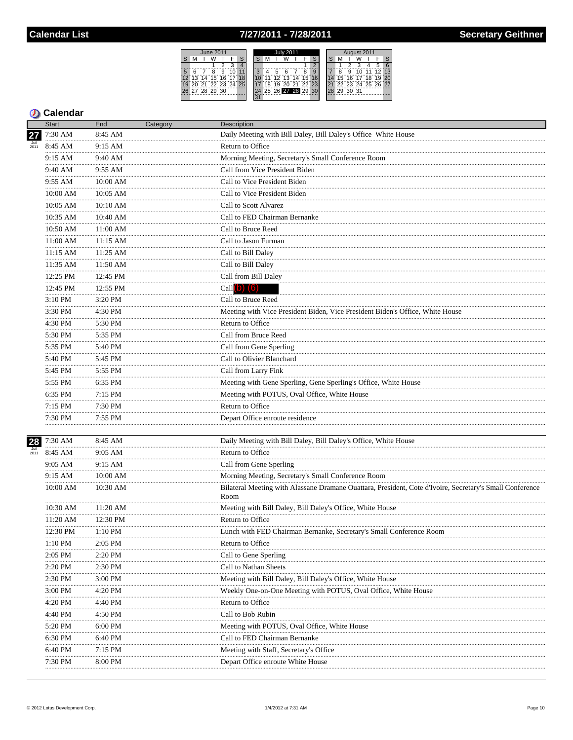# 7/27/2011 - 7/28/2011

| June 2011            | <b>July 2011</b>        | August 2011                                         |
|----------------------|-------------------------|-----------------------------------------------------|
|                      |                         |                                                     |
|                      |                         |                                                     |
| 5<br>9               | .بْ<br>8<br>ี<br>5<br>9 | ï٦<br>45.                                           |
| 13 14 15 16 17<br>18 | 12 13 14 15<br>11       | $\overline{20}$<br>$15$ 16 17 18<br>19 <sup>1</sup> |
| 20 21 22 23 24 25    | 20 21 22 23<br>19       | 21 22 23 24 25 26 27                                |
| 27 28 29 30          | 24 25 26 27 28 29 30    | 29 30 31                                            |
|                      |                         |                                                     |

### **Calendar**

|                    | <b>Start</b>        | End          | Category | <b>Description</b>                                                                                               |
|--------------------|---------------------|--------------|----------|------------------------------------------------------------------------------------------------------------------|
| 27                 | 7:30 AM             | 8:45 AM      |          | Daily Meeting with Bill Daley, Bill Daley's Office White House                                                   |
| $\frac{Jul}{2011}$ | 8:45 AM             | 9:15 AM      |          | Return to Office                                                                                                 |
|                    | 9:15 AM<br>.        | 9:40 AM      |          | Morning Meeting, Secretary's Small Conference Room                                                               |
|                    | 9:40 AM             | 9:55 AM      |          | Call from Vice President Biden                                                                                   |
|                    | 9:55 AM             | 10:00 AM     |          | Call to Vice President Biden                                                                                     |
|                    | $10:00~\mathrm{AM}$ | 10:05 AM     |          | Call to Vice President Biden                                                                                     |
|                    | 10:05 AM            | 10:10 AM     |          | Call to Scott Alvarez                                                                                            |
|                    | 10:35 AM<br>.       | 10:40 AM     |          | Call to FED Chairman Bernanke                                                                                    |
|                    | 10:50 AM<br>.       | 11:00 AM     |          | Call to Bruce Reed<br>                                                                                           |
|                    | 11:00 AM            | 11:15 AM     |          | Call to Jason Furman                                                                                             |
|                    | 11:15 AM<br>.       | 11:25 AM     |          | Call to Bill Daley                                                                                               |
|                    | 11:35 AM            | 11:50 AM     |          | Call to Bill Daley                                                                                               |
|                    | 12:25 PM            | 12:45 PM     |          | Call from Bill Daley                                                                                             |
|                    | 12:45 PM<br>.       | 12:55 PM     |          | Call $(b)$ $(6)$                                                                                                 |
|                    | 3:10 PM<br>.        | 3:20 PM      |          | Call to Bruce Reed                                                                                               |
|                    | 3:30 PM<br>         | 4:30 PM<br>. |          | Meeting with Vice President Biden, Vice President Biden's Office, White House                                    |
|                    | 4:30 PM<br>.        | 5:30 PM      |          | Return to Office                                                                                                 |
|                    | 5:30 PM<br>.        | 5:35 PM<br>. |          | Call from Bruce Reed                                                                                             |
|                    | 5:35 PM             | 5:40 PM      |          | Call from Gene Sperling                                                                                          |
|                    | 5:40 PM             | 5:45 PM      |          | Call to Olivier Blanchard                                                                                        |
|                    | 5:45 PM<br>         | 5:55 PM<br>. |          | Call from Larry Fink                                                                                             |
|                    | 5:55 PM<br>.        | 6:35 PM      |          | Meeting with Gene Sperling, Gene Sperling's Office, White House                                                  |
|                    | 6:35 PM<br>         | 7:15 PM      |          | Meeting with POTUS, Oval Office, White House                                                                     |
|                    | 7:15 PM             | 7:30 PM      |          | Return to Office                                                                                                 |
|                    | 7:30 PM<br>.        | 7:55 PM      |          | Depart Office enroute residence                                                                                  |
|                    |                     |              |          |                                                                                                                  |
| 28                 | 7:30 AM             | 8:45 AM      |          | Daily Meeting with Bill Daley, Bill Daley's Office, White House                                                  |
| $\frac{Jul}{2011}$ | 8:45 AM             | 9:05 AM      |          | Return to Office                                                                                                 |
|                    | 9:05 AM<br>         | 9:15 AM      |          | Call from Gene Sperling                                                                                          |
|                    | 9:15 AM             | 10:00 AM     |          | Morning Meeting, Secretary's Small Conference Room                                                               |
|                    | 10:00 AM            | 10:30 AM     |          | Bilateral Meeting with Alassane Dramane Ouattara, President, Cote d'Ivoire, Secretary's Small Conference<br>Room |
|                    | 10:30 AM            | 11:20 AM     |          | Meeting with Bill Daley, Bill Daley's Office, White House                                                        |
|                    | 11:20 AM            | 12:30 PM     |          | Return to Office                                                                                                 |
|                    | 12:30 PM            | 1:10 PM      |          | Lunch with FED Chairman Bernanke, Secretary's Small Conference Room                                              |
|                    | 1:10 PM             | 2:05 PM      |          | Return to Office                                                                                                 |
|                    | 2:05 PM             | 2:20 PM      |          | Call to Gene Sperling                                                                                            |
|                    | 2:20 PM             | 2:30 PM      |          | Call to Nathan Sheets                                                                                            |
|                    | 2:30 PM             | 3:00 PM      |          | Meeting with Bill Daley, Bill Daley's Office, White House                                                        |
|                    | 3:00 PM             | 4:20 PM      |          | Weekly One-on-One Meeting with POTUS, Oval Office, White House                                                   |
|                    | 4:20 PM             | 4:40 PM      |          | Return to Office<br>.                                                                                            |
|                    | 4:40 PM             | 4:50 PM      |          | Call to Bob Rubin                                                                                                |
|                    | 5:20 PM             | $6:00$ PM    |          | Meeting with POTUS, Oval Office, White House                                                                     |
|                    | 6:30 PM<br>.        | 6:40 PM      |          | Call to FED Chairman Bernanke                                                                                    |
|                    | 6:40 PM             | 7:15 PM      |          | Meeting with Staff, Secretary's Office                                                                           |
|                    | 7:30 PM<br>.        | 8:00 PM      |          | Depart Office enroute White House                                                                                |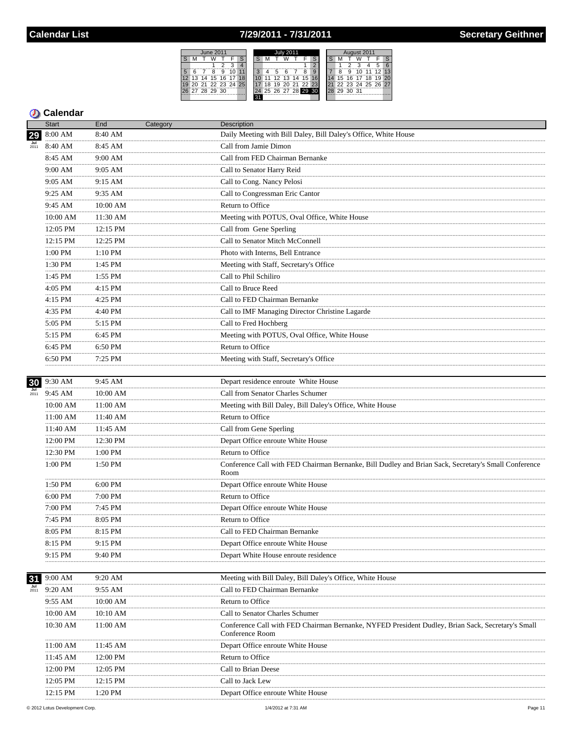## 7/29/2011 - 7/31/2011



## **5** Calendar

|      | <b>Start</b>  | End          | Category | Description                                                                                                          |
|------|---------------|--------------|----------|----------------------------------------------------------------------------------------------------------------------|
| 29   | 8:00 AM       | 8:40 AM      |          | Daily Meeting with Bill Daley, Bill Daley's Office, White House                                                      |
|      | 8:40 AM       | 8:45 AM<br>. |          | Call from Jamie Dimon                                                                                                |
|      | .<br>8:45 AM  | 9:00 AM      |          | Call from FED Chairman Bernanke                                                                                      |
|      | 9:00 AM       | 9:05 AM      |          | Call to Senator Harry Reid                                                                                           |
|      | .<br>9:05 AM  | .<br>9:15 AM |          | Call to Cong. Nancy Pelosi                                                                                           |
|      | 9:25 AM       | 9:35 AM      |          | Call to Congressman Eric Cantor                                                                                      |
|      | .<br>9:45 AM  | 10:00 AM     |          | Return to Office                                                                                                     |
|      | 10:00 AM      | 11:30 AM     |          | Meeting with POTUS, Oval Office, White House                                                                         |
|      | .<br>12:05 PM | $12:15$ PM   |          | Call from Gene Sperling                                                                                              |
|      | 12:15 PM      | 12:25 PM     |          | Call to Senator Mitch McConnell                                                                                      |
|      | .<br>1:00 PM  | 1:10 PM      |          | Photo with Interns, Bell Entrance                                                                                    |
|      | <br>1:30 PM   | .<br>1:45 PM |          | Meeting with Staff, Secretary's Office                                                                               |
|      | .<br>1:45 PM  | .<br>1:55 PM |          | Call to Phil Schiliro                                                                                                |
|      | .<br>4:05 PM  | 4:15 PM      |          | Call to Bruce Reed                                                                                                   |
|      | .<br>4:15 PM  | .<br>4:25 PM |          | Call to FED Chairman Bernanke                                                                                        |
|      | 4:35 PM       | 4:40 PM      |          | Call to IMF Managing Director Christine Lagarde                                                                      |
|      | .<br>5:05 PM  | 5:15 PM      |          | Call to Fred Hochberg                                                                                                |
|      | .<br>5:15 PM  | 6:45 PM      |          | Meeting with POTUS, Oval Office, White House                                                                         |
|      | .<br>6:45 PM  | 6:50 PM      |          | Return to Office                                                                                                     |
|      | 6:50 PM       | 7:25 PM      |          | Meeting with Staff, Secretary's Office                                                                               |
|      |               |              |          |                                                                                                                      |
| 30   | 9:30 AM       | 9:45 AM      |          | Depart residence enroute White House                                                                                 |
| 2011 | 9:45 AM       | 10:00 AM     |          | Call from Senator Charles Schumer                                                                                    |
|      | 10:00 AM      | 11:00 AM     |          | Meeting with Bill Daley, Bill Daley's Office, White House                                                            |
|      | 11:00 AM      | 11:40 AM     |          | Return to Office                                                                                                     |
|      | 11:40 AM      | 11:45 AM     |          | Call from Gene Sperling                                                                                              |
|      | 12:00 PM      | 12:30 PM     |          | Depart Office enroute White House                                                                                    |
|      | 12:30 PM      | $1:00$ PM    |          | Return to Office                                                                                                     |
|      | 1:00 PM       | 1:50 PM      |          | Conference Call with FED Chairman Bernanke, Bill Dudley and Brian Sack, Secretary's Small Conference<br>Room         |
|      | 1:50 PM       | 6:00 PM      |          | Depart Office enroute White House                                                                                    |
|      | .<br>6:00 PM  | 7:00 PM      |          | Return to Office                                                                                                     |
|      | .<br>7:00 PM  | 7:45 PM      |          |                                                                                                                      |
|      | .<br>7:45 PM  | 8:05 PM      |          | Depart Office enroute White House<br>Return to Office                                                                |
|      | 8:05 PM       | 8:15 PM      |          | Call to FED Chairman Bernanke                                                                                        |
|      | 8:15 PM       | 9:15 PM      |          | Depart Office enroute White House                                                                                    |
|      | .<br>9:15 PM  | 9:40 PM      |          | Depart White House enroute residence                                                                                 |
|      |               |              |          |                                                                                                                      |
| 31   | 9:00 AM       | 9:20 AM      |          | Meeting with Bill Daley, Bill Daley's Office, White House                                                            |
| 2011 | 9:20 AM       | 9:55 AM      |          | Call to FED Chairman Bernanke                                                                                        |
|      | 9:55 AM       | 10:00 AM     |          | Return to Office                                                                                                     |
|      | 10:00 AM      | 10:10 AM     |          | Call to Senator Charles Schumer                                                                                      |
|      | 10:30 AM      | 11:00 AM     |          | Conference Call with FED Chairman Bernanke, NYFED President Dudley, Brian Sack, Secretary's Small<br>Conference Room |
|      | 11:00 AM      | 11:45 AM     |          | Depart Office enroute White House                                                                                    |
|      | 11:45 AM      | 12:00 PM     |          | Return to Office                                                                                                     |
|      | 12:00 PM      | 12:05 PM     |          | Call to Brian Deese                                                                                                  |
|      | 12:05 PM      | 12:15 PM     |          | Call to Jack Lew                                                                                                     |
|      | 12:15 PM      | $1:20$ PM    |          | Depart Office enroute White House                                                                                    |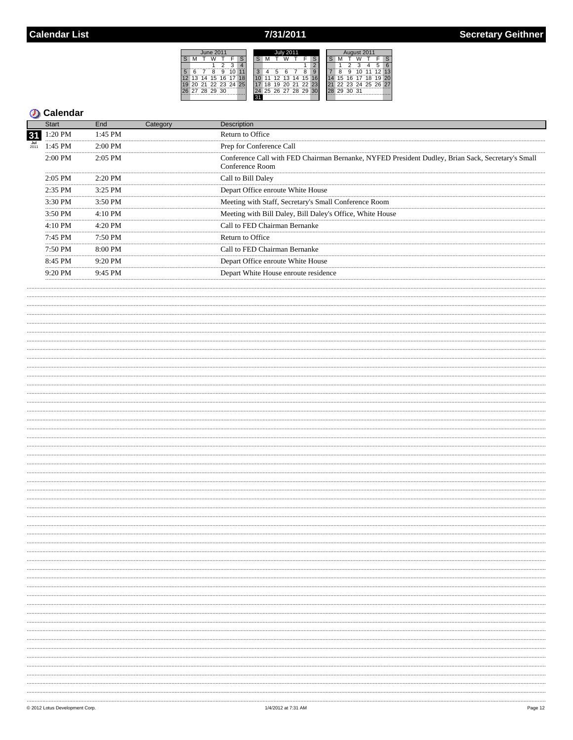# 7/31/2011

| June 2011                  | <b>July 2011</b>                      | August 2011          |
|----------------------------|---------------------------------------|----------------------|
| S                          |                                       |                      |
|                            |                                       |                      |
| 9<br>5                     | 8<br>9<br>6<br>5                      | 45<br>13<br>9        |
| 14 15 16<br>17<br>18<br>13 | $12^{13}$<br>16<br>- 15 ™<br>14<br>11 | 15 16 17 18 19<br>20 |
| 20 21 22 23 24 25          | 20 21 22 23<br>19                     | 122 23 24 25 26 27   |
| 27 28 29 30                | 25 26 27 28 29<br>30 <sub>1</sub>     | 29 30 31             |
|                            |                                       |                      |

|                    | <b>Start</b>  | End          | Category | Description                                                                                                                                                                   |
|--------------------|---------------|--------------|----------|-------------------------------------------------------------------------------------------------------------------------------------------------------------------------------|
| 31                 | 1:20 PM       | 1:45 PM      |          | Return to Office                                                                                                                                                              |
| $\frac{Jul}{2011}$ | 1:45 PM       | 2:00 PM      |          | Prep for Conference Call                                                                                                                                                      |
|                    | 2:00 PM       | .<br>2:05 PM |          | Conference Call with FED Chairman Bernanke, NYFED President Dudley, Brian Sack, Secretary's Small<br>Conference Room                                                          |
|                    | 2:05 PM       | 2:20 PM      |          | Call to Bill Daley                                                                                                                                                            |
|                    | <br>2:35 PM   | .<br>3:25 PM |          | Call to Bill Daley<br>Depart Office enroute White House<br>Meeting with Staff, Secretary's Small Conference Room<br>Meeting with Bill Daley, Bill Daley's Office, White House |
|                    | <br>3:30 PM   | .<br>3:50 PM |          |                                                                                                                                                                               |
|                    | .             |              |          |                                                                                                                                                                               |
|                    | 3:50 PM<br>   | 4:10 PM<br>. |          |                                                                                                                                                                               |
|                    | 4:10 PM<br>   | 4:20 PM      |          | Call to FED Chairman Bernanke                                                                                                                                                 |
|                    | $7:45$ PM<br> | 7:50 PM<br>. |          | Return to Office                                                                                                                                                              |
|                    | 7:50 PM<br>   | 8:00 PM      |          | Call to FED Chairman Bernanke                                                                                                                                                 |
|                    | 8:45 PM<br>   | 9:20 PM      |          | Depart Office enroute White House<br>Depart White House enroute residence                                                                                                     |
|                    | 9:20 PM       | 9:45 PM      |          |                                                                                                                                                                               |
|                    |               |              |          |                                                                                                                                                                               |
|                    |               |              |          |                                                                                                                                                                               |
|                    |               |              |          |                                                                                                                                                                               |
|                    |               |              |          |                                                                                                                                                                               |
|                    |               |              |          |                                                                                                                                                                               |
|                    |               |              |          |                                                                                                                                                                               |
|                    |               |              |          |                                                                                                                                                                               |
|                    |               |              |          |                                                                                                                                                                               |
|                    |               |              |          |                                                                                                                                                                               |
|                    |               |              |          |                                                                                                                                                                               |
|                    |               |              |          |                                                                                                                                                                               |
|                    |               |              |          |                                                                                                                                                                               |
|                    |               |              |          |                                                                                                                                                                               |
|                    |               |              |          |                                                                                                                                                                               |
|                    |               |              |          |                                                                                                                                                                               |
|                    |               |              |          |                                                                                                                                                                               |
|                    |               |              |          |                                                                                                                                                                               |
|                    |               |              |          |                                                                                                                                                                               |
|                    |               |              |          |                                                                                                                                                                               |
|                    |               |              |          |                                                                                                                                                                               |
|                    |               |              |          |                                                                                                                                                                               |
|                    |               |              |          |                                                                                                                                                                               |
|                    |               |              |          |                                                                                                                                                                               |
|                    |               |              |          |                                                                                                                                                                               |
|                    |               |              |          |                                                                                                                                                                               |
|                    |               |              |          |                                                                                                                                                                               |
|                    |               |              |          |                                                                                                                                                                               |
|                    |               |              |          |                                                                                                                                                                               |
|                    |               |              |          |                                                                                                                                                                               |
|                    |               |              |          |                                                                                                                                                                               |
|                    |               |              |          |                                                                                                                                                                               |
|                    |               |              |          |                                                                                                                                                                               |
|                    |               |              |          |                                                                                                                                                                               |
|                    |               |              |          |                                                                                                                                                                               |
|                    |               |              |          |                                                                                                                                                                               |
|                    |               |              |          |                                                                                                                                                                               |
|                    |               |              |          |                                                                                                                                                                               |
|                    |               |              |          |                                                                                                                                                                               |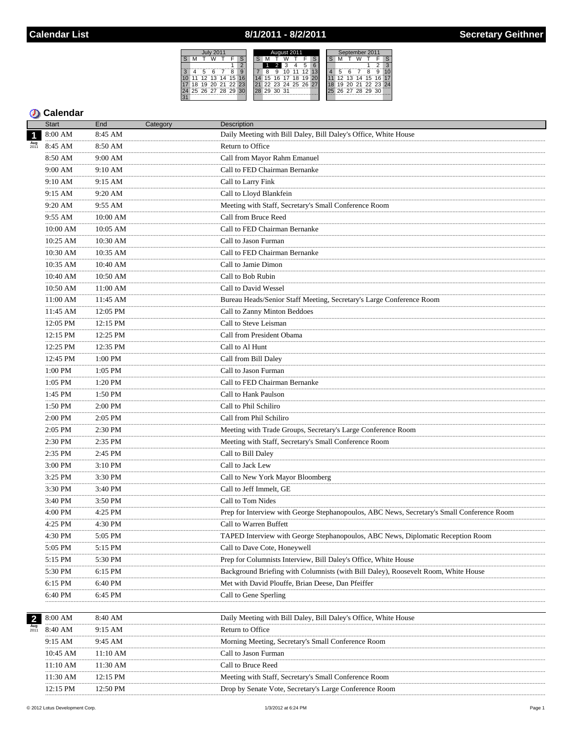# 8/1/2011 - 8/2/2011

|                          | August 2011                      | September 2011                       |  |  |  |  |  |  |  |  |  |
|--------------------------|----------------------------------|--------------------------------------|--|--|--|--|--|--|--|--|--|
|                          | ີ                                |                                      |  |  |  |  |  |  |  |  |  |
|                          | 6                                |                                      |  |  |  |  |  |  |  |  |  |
| 9                        | 9<br>я                           | g                                    |  |  |  |  |  |  |  |  |  |
| 12, 13<br>14<br>15<br>16 | 16 17<br>18<br>19<br>$20 -$<br>5 | 13<br>14<br>15<br>$16 =$<br>17<br>12 |  |  |  |  |  |  |  |  |  |
| 72.123<br>"21"<br>ה ה'   | 22 23 24 25 26 27                | 20 21 22 23<br>öΪ                    |  |  |  |  |  |  |  |  |  |
| 25 26 27<br>78.29<br>30  | 30 31<br>29                      | 26 27 28 29<br>-30                   |  |  |  |  |  |  |  |  |  |
|                          |                                  |                                      |  |  |  |  |  |  |  |  |  |
|                          |                                  |                                      |  |  |  |  |  |  |  |  |  |

|   | <b>Start</b>        | End           | Category | Description                                                                                |
|---|---------------------|---------------|----------|--------------------------------------------------------------------------------------------|
| 1 | 8:00 AM             | 8:45 AM       |          | Daily Meeting with Bill Daley, Bill Daley's Office, White House                            |
|   | 8:45 AM             | 8:50 AM       |          | Return to Office                                                                           |
|   | 8:50 AM<br>.        | 9:00 AM       |          | Call from Mayor Rahm Emanuel                                                               |
|   | 9:00 AM             | 9:10 AM       |          | Call to FED Chairman Bernanke                                                              |
|   | .<br>9:10 AM        | 9:15 AM       |          | Call to Larry Fink                                                                         |
|   | 9:15 AM             | 9:20 AM       |          | Call to Lloyd Blankfein                                                                    |
|   | 9:20 AM             | 9:55 AM       |          | Meeting with Staff, Secretary's Small Conference Room                                      |
|   | .<br>9:55 AM        | 10:00 AM      |          | Call from Bruce Reed                                                                       |
|   | .<br>10:00 AM       | 10:05 AM      |          | Call to FED Chairman Bernanke                                                              |
|   | .<br>10:25 AM       | 10:30 AM      |          | Call to Jason Furman                                                                       |
|   | 10:30 AM            | 10:35 AM      |          | Call to FED Chairman Bernanke                                                              |
|   | 10:35 AM            | 10:40 AM      |          | Call to Jamie Dimon                                                                        |
|   | 10:40 AM            | 10:50 AM      |          | Call to Bob Rubin                                                                          |
|   | 10:50 AM            | 11:00 AM      |          | Call to David Wessel                                                                       |
|   | $11:00~\mathrm{AM}$ | 11:45 AM      |          | Bureau Heads/Senior Staff Meeting, Secretary's Large Conference Room                       |
|   | 11:45 AM            | 12:05 PM      |          | Call to Zanny Minton Beddoes                                                               |
|   | .<br>12:05 PM       | <br>12:15 PM  |          | Call to Steve Leisman                                                                      |
|   | 12:15 PM            | 12:25 PM      |          | Call from President Obama                                                                  |
|   | .<br>12:25 PM       | .<br>12:35 PM |          | Call to Al Hunt                                                                            |
|   | 12:45 PM            | 1:00 PM       |          | Call from Bill Daley                                                                       |
|   | 1:00 PM             | $1:05$ PM     |          | Call to Jason Furman                                                                       |
|   | .<br>1:05 PM        | 1:20 PM       |          | Call to FED Chairman Bernanke                                                              |
|   | .<br>1:45 PM        | 1:50 PM       |          | Call to Hank Paulson                                                                       |
|   | <br>1:50 PM         | 2:00 PM       |          | Call to Phil Schiliro                                                                      |
|   | 2:00 PM             | 2:05 PM       |          | Call from Phil Schiliro                                                                    |
|   | .<br>$2:05$ PM      | 2:30 PM       |          | Meeting with Trade Groups, Secretary's Large Conference Room                               |
|   | 2:30 PM             | 2:35 PM       |          | Meeting with Staff, Secretary's Small Conference Room                                      |
|   | .<br>2:35 PM        | .<br>2:45 PM  |          | Call to Bill Daley                                                                         |
|   | .<br>3:00 PM        | 3:10 PM       |          | Call to Jack Lew                                                                           |
|   | .<br>3:25 PM        | 3:30 PM       |          | Call to New York Mayor Bloomberg                                                           |
|   | .<br>3:30 PM        | 3:40 PM       |          | Call to Jeff Immelt, GE                                                                    |
|   | 3:40 PM             | 3:50 PM       |          | Call to Tom Nides                                                                          |
|   | 4:00 PM             | 4:25 PM       |          | Prep for Interview with George Stephanopoulos, ABC News, Secretary's Small Conference Room |
|   | 4:25 PM             | 4:30 PM       |          | Call to Warren Buffett                                                                     |
|   | 4:30 PM             | 5:05 PM       |          | TAPED Interview with George Stephanopoulos, ABC News, Diplomatic Reception Room            |
|   | <br>5:05 PM         | <br>5:15 PM   |          | Call to Dave Cote, Honeywell                                                               |
|   | 5:15 PM             | 5:30 PM       |          | Prep for Columnists Interview, Bill Daley's Office, White House                            |
|   | 5:30 PM             | 6:15 PM       |          | Background Briefing with Columnists (with Bill Daley), Roosevelt Room, White House         |
|   | 6:15 PM             | 6:40 PM       |          | Met with David Plouffe, Brian Deese, Dan Pfeiffer                                          |
|   | 6:40 PM             | 6:45 PM       |          | Call to Gene Sperling                                                                      |
|   |                     |               |          |                                                                                            |
|   | 8:00 AM             | 8:40 AM       |          | Daily Meeting with Bill Daley, Bill Daley's Office, White House                            |
|   | 8:40 AM             | 9:15 AM       |          | Return to Office                                                                           |
|   | 9:15 AM             | 9:45 AM       |          | Morning Meeting, Secretary's Small Conference Room                                         |
|   | 10:45 AM            | 11:10 AM      |          | Call to Jason Furman                                                                       |
|   | 11:10 AM            | 11:30 AM      |          | Call to Bruce Reed                                                                         |
|   | 11:30 AM            | 12:15 PM      |          | Meeting with Staff, Secretary's Small Conference Room                                      |
|   | 12:15 PM            | 12:50 PM      |          | Drop by Senate Vote, Secretary's Large Conference Room                                     |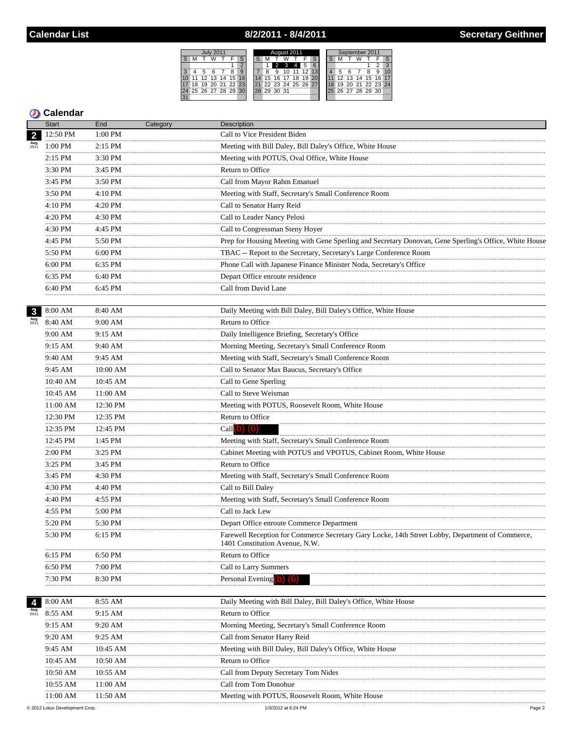# 8/2/2011 - 8/4/2011

|    |                |  |                |  |    | August 2011 |     |    |                   |  |    | September 2011 |                |  |
|----|----------------|--|----------------|--|----|-------------|-----|----|-------------------|--|----|----------------|----------------|--|
|    |                |  |                |  |    |             |     |    |                   |  |    |                |                |  |
|    |                |  |                |  |    |             |     |    |                   |  |    |                |                |  |
|    |                |  | $\mathbf{Q}$   |  |    | 9           |     |    | <b>45°</b>        |  |    |                |                |  |
| 11 | $12$ 13 14 15  |  |                |  | 15 | 16          | -17 | 18 | 19                |  | 12 |                | 13 14 15 16    |  |
| ΊŘ |                |  | 19 20 21 22 23 |  |    |             |     |    | 22 23 24 25 26 27 |  | 19 |                | 70 21 22 23 24 |  |
|    | 25 26 27 28 29 |  | 3 <sub>0</sub> |  |    | 29 30 31    |     |    |                   |  |    |                | 26 27 28 29 30 |  |
|    |                |  |                |  |    |             |     |    |                   |  |    |                |                |  |

|                         | <b>Start</b> | End                         | Category | Description                                                                                                                        |
|-------------------------|--------------|-----------------------------|----------|------------------------------------------------------------------------------------------------------------------------------------|
| $\overline{2}$          | 12:50 PM     | 1:00 PM                     |          | Call to Vice President Biden                                                                                                       |
|                         | 1:00 PM      | 2:15 PM                     |          | Meeting with Bill Daley, Bill Daley's Office, White House                                                                          |
|                         | 2:15 PM      | 3:30 PM                     |          | Meeting with POTUS, Oval Office, White House                                                                                       |
|                         | 3:30 PM      | 3:45 PM                     |          | Return to Office                                                                                                                   |
|                         | 3:45 PM      | 3:50 PM                     |          | Call from Mayor Rahm Emanuel                                                                                                       |
|                         | 3:50 PM      | 4:10 PM                     |          | Meeting with Staff, Secretary's Small Conference Room                                                                              |
|                         | 4:10 PM      | $4:20$ PM                   |          | Call to Senator Harry Reid                                                                                                         |
|                         | 4:20 PM      | 4:30 PM                     |          | Call to Leader Nancy Pelosi                                                                                                        |
|                         | .<br>4:30 PM | 4:45 PM                     |          | Call to Congressman Steny Hoyer                                                                                                    |
|                         | .<br>4:45 PM | 5:50 PM                     |          | Prep for Housing Meeting with Gene Sperling and Secretary Donovan, Gene Sperling's Office, White House                             |
|                         | 5:50 PM      | 6:00 PM                     |          | TBAC -- Report to the Secretary, Secretary's Large Conference Room                                                                 |
|                         | .<br>6:00 PM | 6:35 PM                     |          | Phone Call with Japanese Finance Minister Noda, Secretary's Office                                                                 |
|                         | 6:35 PM      | 6:40 PM                     |          | Depart Office enroute residence                                                                                                    |
|                         | 6:40 PM      | 6:45 PM                     |          | Call from David Lane                                                                                                               |
|                         |              |                             |          |                                                                                                                                    |
| $\overline{\mathbf{3}}$ | 8:00 AM      | 8:40 AM                     |          | Daily Meeting with Bill Daley, Bill Daley's Office, White House                                                                    |
| <b>Aug</b><br>2011      | 8:40 AM      | 9:00 AM                     |          | Return to Office                                                                                                                   |
|                         | 9:00 AM      | 9:15 AM                     |          | Daily Intelligence Briefing, Secretary's Office                                                                                    |
|                         | .<br>9:15 AM | 9:40 AM                     |          | Morning Meeting, Secretary's Small Conference Room                                                                                 |
|                         | .<br>9:40 AM | 9:45 AM                     |          | Meeting with Staff, Secretary's Small Conference Room                                                                              |
|                         | .<br>9:45 AM | 10:00 AM                    |          | Call to Senator Max Baucus, Secretary's Office                                                                                     |
|                         | 10:40 AM     | 10:45 AM                    |          | Call to Gene Sperling                                                                                                              |
|                         | 10:45 AM     | 11:00 AM                    |          | Call to Steve Weisman                                                                                                              |
|                         | 11:00 AM     | 12:30 PM                    |          | Meeting with POTUS, Roosevelt Room, White House                                                                                    |
|                         | 12:30 PM     | 12:35 PM                    |          | Return to Office                                                                                                                   |
|                         | 12:35 PM     | 12:45 PM                    |          | Call $(b)$ $(6)$                                                                                                                   |
|                         | 12:45 PM     | 1:45 PM                     |          | Meeting with Staff, Secretary's Small Conference Room                                                                              |
|                         | <br>2:00 PM  | $\frac{1}{3:25 \text{ PM}}$ |          | Cabinet Meeting with POTUS and VPOTUS, Cabinet Room, White House                                                                   |
|                         | 3:25 PM      | 3:45 PM                     |          | Return to Office                                                                                                                   |
|                         | 3:45 PM      | 4:30 PM                     |          | Meeting with Staff, Secretary's Small Conference Room                                                                              |
|                         | .<br>4:30 PM | 4:40 PM                     |          | Call to Bill Daley                                                                                                                 |
|                         | 4:40 PM      | 4:55 PM                     |          | Meeting with Staff, Secretary's Small Conference Room                                                                              |
|                         | .<br>4:55 PM | 5:00 PM                     |          | Call to Jack Lew                                                                                                                   |
|                         | 5:20 PM      | 5:30 PM                     |          | Depart Office enroute Commerce Department                                                                                          |
|                         | 5:30 PM      | 6:15 PM                     |          | Farewell Reception for Commerce Secretary Gary Locke, 14th Street Lobby, Department of Commerce,<br>1401 Constitution Avenue, N.W. |
|                         | 6:15 PM      | 6:50 PM                     |          | Return to Office                                                                                                                   |
|                         | 6:50 PM      | 7:00 PM                     |          | Call to Larry Summers                                                                                                              |
|                         | 7:30 PM      | 8:30 PM                     |          | Personal Evening <sup>1</sup>                                                                                                      |
| 4                       | 8:00 AM      | 8:55 AM                     |          | Daily Meeting with Bill Daley, Bill Daley's Office, White House                                                                    |
| Aug<br>2011             | 8:55 AM      | 9:15 AM                     |          | Return to Office                                                                                                                   |
|                         | 9:15 AM      | 9:20 AM                     |          | Morning Meeting, Secretary's Small Conference Room                                                                                 |
|                         | 9:20 AM      | 9:25 AM                     |          | Call from Senator Harry Reid                                                                                                       |
|                         | 9:45 AM      | 10:45 AM                    |          | Meeting with Bill Daley, Bill Daley's Office, White House                                                                          |
|                         | 10:45 AM     | 10:50 AM                    |          | Return to Office                                                                                                                   |
|                         | 10:50 AM     | 10:55 AM                    |          | Call from Deputy Secretary Tom Nides                                                                                               |
|                         | 10:55 AM     | 11:00 AM                    |          | Call from Tom Donohue                                                                                                              |
|                         | 11:00 AM     | 11:50 AM                    |          | Meeting with POTUS, Roosevelt Room, White House                                                                                    |
|                         |              |                             |          |                                                                                                                                    |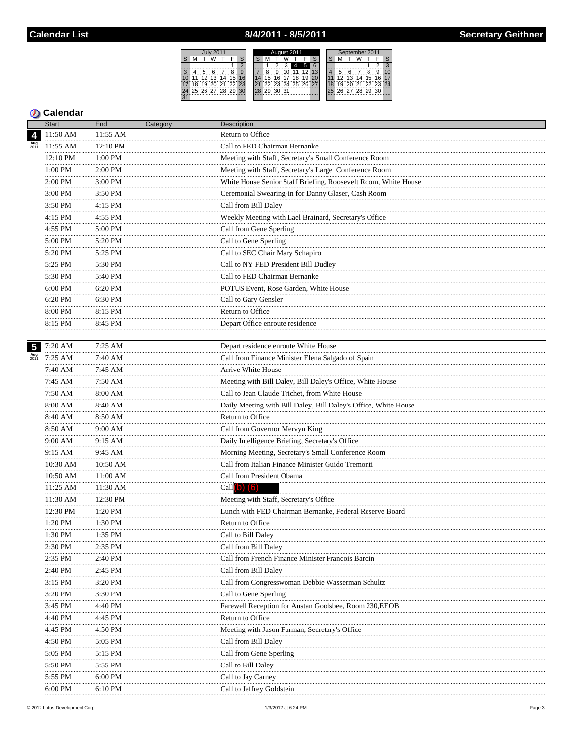# 8/4/2011 - 8/5/2011

|   |                |        |     |    |       | August 2011 |    |          |  |                   |    |    |  |  | September 2011 |  |                |   |    |   |  |  |
|---|----------------|--------|-----|----|-------|-------------|----|----------|--|-------------------|----|----|--|--|----------------|--|----------------|---|----|---|--|--|
|   |                |        |     |    |       |             |    |          |  |                   |    |    |  |  |                |  |                |   |    | S |  |  |
|   |                |        |     |    |       |             |    |          |  | 4                 |    |    |  |  |                |  |                |   |    |   |  |  |
| ä | 5              | ี      |     | Ä  | 9     |             |    | ∵ä.      |  |                   | っ  |    |  |  |                |  |                | 8 | a  |   |  |  |
|   | 12             | 13     | 14  | 15 |       |             | 15 | <b>R</b> |  | 18                | 19 | 20 |  |  | 12             |  | 13 14 15       |   | 16 |   |  |  |
|   | 19             | $20 -$ | '91 |    | 72.73 |             |    |          |  | 22 23 24 25 26 27 |    |    |  |  | ä              |  | 30 31 33 33 34 |   |    |   |  |  |
|   | 25 26 27 28 29 |        |     |    | 30    |             | 29 | 30.31    |  |                   |    |    |  |  |                |  | 26 27 28 29 30 |   |    |   |  |  |
|   |                |        |     |    |       |             |    |          |  |                   |    |    |  |  |                |  |                |   |    |   |  |  |

|                         | <b>Start</b>       | End               | Category | Description                                                     |
|-------------------------|--------------------|-------------------|----------|-----------------------------------------------------------------|
| $\overline{4}$          | 11:50 AM           | 11:55 AM          |          | Return to Office                                                |
| Aug<br>2011             | 11:55 AM           | 12:10 PM          |          | Call to FED Chairman Bernanke                                   |
|                         | 12:10 PM           | 1:00 PM           |          | Meeting with Staff, Secretary's Small Conference Room           |
|                         | 1:00 PM            | 2:00 PM           |          | Meeting with Staff, Secretary's Large Conference Room           |
|                         | <br>2:00 PM        | .<br>3:00 PM      |          | White House Senior Staff Briefing, Roosevelt Room, White House  |
|                         | 3:00 PM            | 3:50 PM           |          | Ceremonial Swearing-in for Danny Glaser, Cash Room              |
|                         | .<br>3:50 PM<br>   | .<br>4:15 PM<br>. |          | Call from Bill Daley                                            |
|                         | 4:15 PM            | 4:55 PM           |          | Weekly Meeting with Lael Brainard, Secretary's Office           |
|                         | 4:55 PM<br>        | 5:00 PM<br>.      |          | Call from Gene Sperling                                         |
|                         | 5:00 PM            | 5:20 PM           |          | Call to Gene Sperling                                           |
|                         | 5:20 PM            | 5:25 PM           |          | Call to SEC Chair Mary Schapiro                                 |
|                         | 5:25 PM<br>.       | 5:30 PM<br>.      |          | Call to NY FED President Bill Dudley                            |
|                         | 5:30 PM            | 5:40 PM           |          | Call to FED Chairman Bernanke                                   |
|                         | 6:00 PM<br>        | 6:20 PM<br>.      |          | POTUS Event, Rose Garden, White House                           |
|                         | 6:20 PM<br>.       | 6:30 PM<br>.      |          | Call to Gary Gensler                                            |
|                         | 8:00 PM<br>.       | 8:15 PM<br>.      |          | Return to Office                                                |
|                         | 8:15 PM            | 8:45 PM           |          | Depart Office enroute residence                                 |
|                         |                    |                   |          |                                                                 |
| $\overline{\mathbf{5}}$ | 7:20 AM            | 7:25AM            |          | Depart residence enroute White House                            |
| Aug<br>2011             | 7:25 AM            | 7:40 AM           |          | Call from Finance Minister Elena Salgado of Spain               |
|                         | 7:40 AM            | 7:45 AM           |          | Arrive White House                                              |
|                         | 7:45 AM            | 7:50 AM           |          | Meeting with Bill Daley, Bill Daley's Office, White House       |
|                         | 7:50 AM<br>.       | 8:00 AM<br>.      |          | Call to Jean Claude Trichet, from White House                   |
|                         | $8:00~\mathrm{AM}$ | 8:40 AM           |          | Daily Meeting with Bill Daley, Bill Daley's Office, White House |
|                         | 8:40 AM<br>        | 8:50 AM<br>.      |          | Return to Office<br>                                            |
|                         | 8:50 AM<br>.       | 9:00 AM<br>.      |          | Call from Governor Mervyn King                                  |
|                         | 9:00 AM<br>        | 9:15 AM           |          | Daily Intelligence Briefing, Secretary's Office                 |
|                         | 9:15 AM            | 9:45 AM           |          | Morning Meeting, Secretary's Small Conference Room              |
|                         | 10:30 AM           | 10:50 AM          |          | Call from Italian Finance Minister Guido Tremonti               |
|                         | 10:50 AM           | 11:00 AM          |          | Call from President Obama                                       |
|                         | 11:25 AM           | 11:30 AM          |          | Call $(b)$ $(6)$                                                |
|                         | 11:30 AM           | 12:30 PM          |          | Meeting with Staff, Secretary's Office                          |
|                         | 12:30 PM           | 1:20 PM           |          | Lunch with FED Chairman Bernanke, Federal Reserve Board         |
|                         | 1:20 PM            | 1:30 PM           |          | Return to Office                                                |
|                         | 1:30 PM            | 1:35 PM           |          | Call to Bill Daley                                              |
|                         | $2:30$ PM          | $2:35$ PM         |          | Call from Bill Daley                                            |
|                         | $2:35$ PM<br>      | 2:40 PM           |          | Call from French Finance Minister Francois Baroin               |
|                         | 2:40 PM            | 2:45 PM           |          | Call from Bill Daley                                            |
|                         | $3:15$ PM<br>      | 3:20 PM           |          | Call from Congresswoman Debbie Wasserman Schultz                |
|                         | 3:20 PM            | 3:30 PM           |          | Call to Gene Sperling                                           |
|                         | 3:45 PM            | 4:40 PM           |          | Farewell Reception for Austan Goolsbee, Room 230, EEOB          |
|                         | 4:40 PM<br>        | 4:45 PM           |          | Return to Office                                                |
|                         | 4:45 PM<br>        | 4:50 PM           |          | Meeting with Jason Furman, Secretary's Office                   |
|                         | 4:50 PM            | 5:05 PM           |          | Call from Bill Daley                                            |
|                         | 5:05 PM            | 5:15 PM           |          | Call from Gene Sperling                                         |
|                         | 5:50 PM<br>        | 5:55 PM           |          | Call to Bill Daley                                              |
|                         | 5:55 PM            | 6:00 PM           |          | Call to Jay Carney                                              |
|                         | 6:00 PM            | 6:10 PM           |          | Call to Jeffrey Goldstein                                       |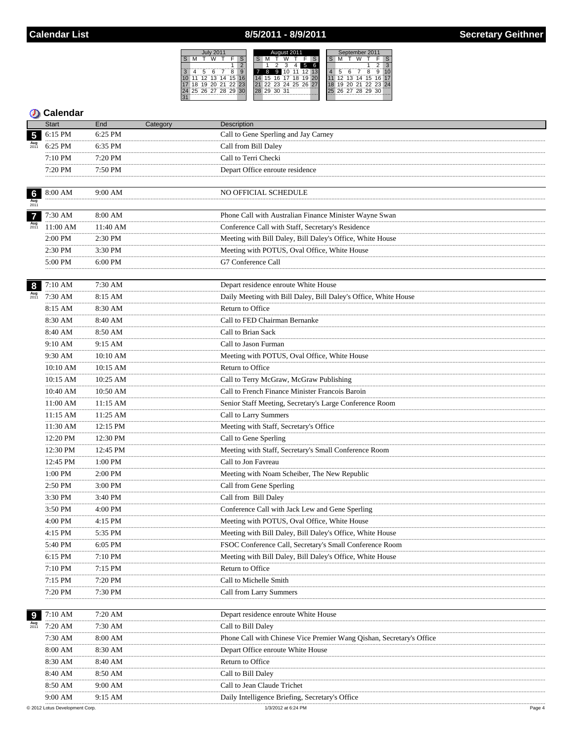# 8/5/2011 - 8/9/2011

|                   |    |    |   |          |             |               | August 2011 |   |          |       |                   |    |  |  | September 2011 |   |  |                   |   |   |  |  |
|-------------------|----|----|---|----------|-------------|---------------|-------------|---|----------|-------|-------------------|----|--|--|----------------|---|--|-------------------|---|---|--|--|
|                   | м  |    |   |          |             | S             |             |   |          |       |                   |    |  |  |                |   |  |                   |   |   |  |  |
|                   |    |    |   |          |             | $\mathcal{P}$ |             |   |          |       |                   |    |  |  |                |   |  |                   |   |   |  |  |
| ್ನ                |    | 5  | 6 |          | Ä           | 9             |             | 8 | 9        |       |                   | 12 |  |  |                | 5 |  |                   | 8 | 9 |  |  |
|                   |    |    |   | 12 13 14 | 15          | 16            |             |   |          | 16 17 | 18                | 19 |  |  |                |   |  | 12 13 14 15 16 17 |   |   |  |  |
|                   | 18 | 79 |   |          | 20 21 22 23 |               | 21          |   |          |       | 22 23 24 25 26 27 |    |  |  |                |   |  | 19 20 21 22 23 24 |   |   |  |  |
| 24 25 26 27 28 29 |    |    |   |          |             | 30            | 28          |   | 29 30 31 |       |                   |    |  |  |                |   |  | 25 26 27 28 29 30 |   |   |  |  |
| 31                |    |    |   |          |             |               |             |   |          |       |                   |    |  |  |                |   |  |                   |   |   |  |  |

|                    | <b>Start</b>  | End            | Category | <b>Description</b>                                                   |
|--------------------|---------------|----------------|----------|----------------------------------------------------------------------|
| 5                  | 6:15 PM       | 6:25 PM        |          | Call to Gene Sperling and Jay Carney                                 |
| Aug<br>2011        | 6:25 PM       | 6:35 PM        |          | Call from Bill Daley                                                 |
|                    | 7:10 PM       | 7:20 PM        |          | Call to Terri Checki                                                 |
|                    | .<br>7:20 PM  | 7:50 PM        |          | Depart Office enroute residence                                      |
|                    |               |                |          |                                                                      |
| $6\phantom{1}6$    | 8:00 AM       | 9:00 AM        |          | NO OFFICIAL SCHEDULE                                                 |
| Aug<br>2011        |               |                |          |                                                                      |
| $\overline{7}$     | 7:30 AM       | 8:00 AM        |          | Phone Call with Australian Finance Minister Wayne Swan               |
| <b>Aug</b><br>2011 | 11:00 AM      | 11:40 AM       |          | Conference Call with Staff, Secretary's Residence                    |
|                    | 2:00 PM       | 2:30 PM        |          | Meeting with Bill Daley, Bill Daley's Office, White House            |
|                    | 2:30 PM       | 3:30 PM        |          | Meeting with POTUS, Oval Office, White House                         |
|                    | 5:00 PM       | 6:00 PM        |          | G7 Conference Call                                                   |
|                    |               | .              |          |                                                                      |
| 8                  | 7:10 AM       | 7:30 AM        |          | Depart residence enroute White House                                 |
|                    | 7:30 AM       | 8:15 AM        |          | Daily Meeting with Bill Daley, Bill Daley's Office, White House      |
|                    | 8:15 AM       | 8:30 AM        |          | Return to Office                                                     |
|                    | 8:30 AM       | 8:40 AM        |          | Call to FED Chairman Bernanke                                        |
|                    | 8:40 AM       | 8:50 AM        |          | Call to Brian Sack                                                   |
|                    | .<br>9:10 AM  | 9:15 AM        |          | Call to Jason Furman                                                 |
|                    | .<br>9:30 AM  | 10:10 AM       |          | Meeting with POTUS, Oval Office, White House                         |
|                    | .<br>10:10 AM | <br>10:15 AM   |          | Return to Office                                                     |
|                    | 10:15 AM      | 10:25 AM       |          | Call to Terry McGraw, McGraw Publishing                              |
|                    | 10:40 AM      | 10:50 AM       |          | Call to French Finance Minister Francois Baroin                      |
|                    | 11:00 AM      | 11:15 AM       |          | Senior Staff Meeting, Secretary's Large Conference Room              |
|                    | 11:15 AM      | $11:25$ AM     |          | Call to Larry Summers                                                |
|                    | 11:30 AM      | 12:15 PM       |          | Meeting with Staff, Secretary's Office                               |
|                    | 12:20 PM      | 12:30 PM       |          | Call to Gene Sperling                                                |
|                    | 12:30 PM      | 12:45 PM       |          | Meeting with Staff, Secretary's Small Conference Room                |
|                    | 12:45 PM      | .<br>$1:00$ PM |          | Call to Jon Favreau                                                  |
|                    | .<br>1:00 PM  | .<br>2:00 PM   |          | Meeting with Noam Scheiber, The New Republic                         |
|                    | .<br>2:50 PM  | 3:00 PM        |          | Call from Gene Sperling                                              |
|                    | .<br>3:30 PM  | .<br>3:40 PM   |          | Call from Bill Daley                                                 |
|                    | 3:50 PM       | 4:00 PM        |          | Conference Call with Jack Lew and Gene Sperling                      |
|                    | 4:00 PM       | 4:15 PM        |          | Meeting with POTUS, Oval Office, White House                         |
|                    | 4:15 PM       | 5:35 PM        |          | Meeting with Bill Daley, Bill Daley's Office, White House            |
|                    | 5:40 PM       | 6:05 PM        |          | FSOC Conference Call, Secretary's Small Conference Room              |
|                    | 6:15 PM       | 7:10 PM        |          | Meeting with Bill Daley, Bill Daley's Office, White House            |
|                    | 7:10 PM       | 7:15 PM        |          | Return to Office                                                     |
|                    | 7:15 PM       | 7:20 PM        |          | Call to Michelle Smith                                               |
|                    | 7:20 PM       |                |          | Call from Larry Summers                                              |
|                    |               | 7:30 PM        |          |                                                                      |
| 9                  | 7:10 AM       | 7:20 AM        |          | Depart residence enroute White House                                 |
|                    | $7:20$ AM     | 7:30 AM        |          | Call to Bill Daley                                                   |
|                    | 7:30 AM       | 8:00 AM        |          | Phone Call with Chinese Vice Premier Wang Oishan, Secretary's Office |
|                    | 8:00 AM       | 8:30 AM        |          | Depart Office enroute White House                                    |
|                    | 8:30 AM       | 8:40 AM        |          | Return to Office                                                     |
|                    | 8:40 AM       | 8:50 AM        |          | Call to Bill Daley                                                   |
|                    | 8:50 AM       | 9:00 AM        |          | Call to Jean Claude Trichet                                          |
|                    | 9:00 AM       | 9:15 AM        |          | Daily Intelligence Briefing, Secretary's Office                      |
|                    |               |                |          |                                                                      |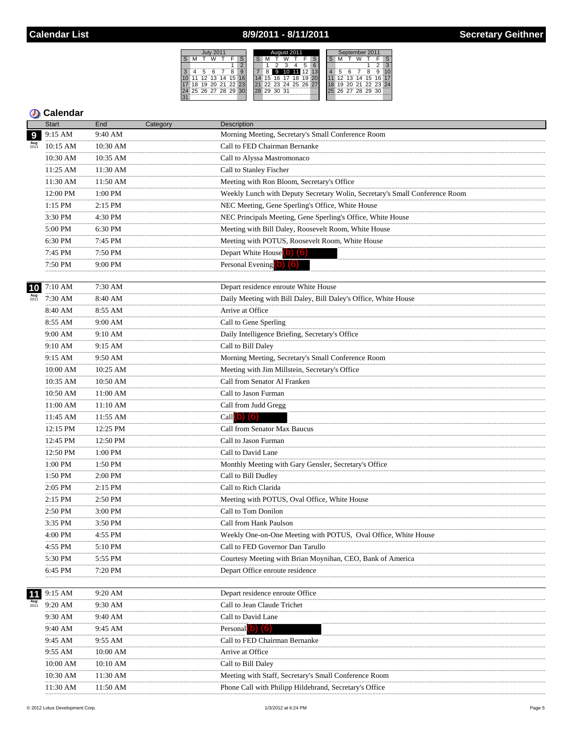# 8/9/2011 - 8/11/2011

|    |                      |     |                |  |  |    |          |     | August 2011       |    |  |    | September 2011   |   |  |
|----|----------------------|-----|----------------|--|--|----|----------|-----|-------------------|----|--|----|------------------|---|--|
|    |                      |     |                |  |  |    |          |     |                   |    |  |    |                  |   |  |
|    |                      |     |                |  |  |    |          |     |                   |    |  |    |                  |   |  |
|    |                      |     |                |  |  |    | 9        | 10' | <b>WHI 12</b>     |    |  |    |                  | 9 |  |
| 10 | 11                   |     | 12 13 14 15 16 |  |  | 15 | 16       |     | 18                | 19 |  | 12 | 13 14 15 16 17   |   |  |
|    | ΪÄ                   | 79. | 70 21 22 23    |  |  |    |          |     | 22 23 24 25 26 27 |    |  | 19 | 1 20 21 22 23 24 |   |  |
|    | 24 25 26 27 28 29 30 |     |                |  |  |    | 29 30 31 |     |                   |    |  |    | 26 27 28 29 30   |   |  |
| 31 |                      |     |                |  |  |    |          |     |                   |    |  |    |                  |   |  |

### **Calendar**

|             | <b>Start</b><br>End<br>Category |                     | <b>Description</b>                                                          |  |  |  |  |  |  |  |  |
|-------------|---------------------------------|---------------------|-----------------------------------------------------------------------------|--|--|--|--|--|--|--|--|
| 9           | 9:15 AM                         | 9:40 AM             | Morning Meeting, Secretary's Small Conference Room                          |  |  |  |  |  |  |  |  |
|             | 10:15 AM                        | 10:30 AM            | Call to FED Chairman Bernanke                                               |  |  |  |  |  |  |  |  |
|             | 10:30 AM                        | 10:35 AM            | Call to Alyssa Mastromonaco                                                 |  |  |  |  |  |  |  |  |
|             | 11:25 AM                        | 11:30 AM            | Call to Stanley Fischer                                                     |  |  |  |  |  |  |  |  |
|             | 11:30 AM                        | 11:50 AM            | Meeting with Ron Bloom, Secretary's Office                                  |  |  |  |  |  |  |  |  |
|             | 12:00 PM                        | 1:00 PM             | Weekly Lunch with Deputy Secretary Wolin, Secretary's Small Conference Room |  |  |  |  |  |  |  |  |
|             | 1:15 PM                         | 2:15 PM             | NEC Meeting, Gene Sperling's Office, White House                            |  |  |  |  |  |  |  |  |
|             | 3:30 PM                         | 4:30 PM             | NEC Principals Meeting, Gene Sperling's Office, White House                 |  |  |  |  |  |  |  |  |
|             | .<br>5:00 PM<br>.               | 6:30 PM             | Meeting with Bill Daley, Roosevelt Room, White House                        |  |  |  |  |  |  |  |  |
|             | 6:30 PM<br>.                    | 7:45 PM             | Meeting with POTUS, Roosevelt Room, White House                             |  |  |  |  |  |  |  |  |
|             | 7:45 PM<br>.                    | 7:50 PM             | Depart White House (b) (6)                                                  |  |  |  |  |  |  |  |  |
|             | 7:50 PM                         | 9:00 PM             | Personal Evening (b) (6)                                                    |  |  |  |  |  |  |  |  |
|             |                                 |                     |                                                                             |  |  |  |  |  |  |  |  |
| 10          | 7:10 AM<br>.                    | 7:30 AM             | Depart residence enroute White House                                        |  |  |  |  |  |  |  |  |
| Aug<br>2011 | 7:30 AM                         | 8:40 AM             | Daily Meeting with Bill Daley, Bill Daley's Office, White House             |  |  |  |  |  |  |  |  |
|             | 8:40 AM                         | 8:55 AM             | Arrive at Office                                                            |  |  |  |  |  |  |  |  |
|             | 8:55 AM                         | 9:00 AM             | Call to Gene Sperling                                                       |  |  |  |  |  |  |  |  |
|             | 9:00 AM                         | 9:10 AM<br>.        | Daily Intelligence Briefing, Secretary's Office                             |  |  |  |  |  |  |  |  |
|             | 9:10 AM<br>.                    | 9:15 AM<br>.        | Call to Bill Daley                                                          |  |  |  |  |  |  |  |  |
|             | 9:15 AM                         | 9:50 AM             | Morning Meeting, Secretary's Small Conference Room                          |  |  |  |  |  |  |  |  |
|             | 10:00 AM                        | 10:25 AM            | Meeting with Jim Millstein, Secretary's Office                              |  |  |  |  |  |  |  |  |
|             | 10:35 AM                        | 10:50 AM            | Call from Senator Al Franken                                                |  |  |  |  |  |  |  |  |
|             | 10:50 AM                        | 11:00 AM            | Call to Jason Furman                                                        |  |  |  |  |  |  |  |  |
|             | 11:00 AM                        | $11:10~\mathrm{AM}$ | Call from Judd Gregg                                                        |  |  |  |  |  |  |  |  |
|             | 11:45 AM                        | 11:55 AM            | Call $(b)$ $(6)$                                                            |  |  |  |  |  |  |  |  |
|             | 12:15 PM                        | 12:25 PM            | Call from Senator Max Baucus                                                |  |  |  |  |  |  |  |  |
|             | 12:45 PM<br>.                   | 12:50 PM            | Call to Jason Furman                                                        |  |  |  |  |  |  |  |  |
|             | 12:50 PM<br>.                   | $1:00$ PM<br>.      | Call to David Lane                                                          |  |  |  |  |  |  |  |  |
|             | 1:00 PM<br>.                    | 1:50 PM             | Monthly Meeting with Gary Gensler, Secretary's Office                       |  |  |  |  |  |  |  |  |
|             | 1:50 PM<br>.                    | 2:00 PM<br>.        | Call to Bill Dudley                                                         |  |  |  |  |  |  |  |  |
|             | 2:05 PM                         | 2:15 PM             | Call to Rich Clarida                                                        |  |  |  |  |  |  |  |  |
|             | 2:15 PM<br>.                    | 2:50 PM<br>.        | Meeting with POTUS, Oval Office, White House                                |  |  |  |  |  |  |  |  |
|             | 2:50 PM                         | 3:00 PM             | Call to Tom Donilon                                                         |  |  |  |  |  |  |  |  |
|             | 3:35 PM                         | 3:50 PM             | Call from Hank Paulson                                                      |  |  |  |  |  |  |  |  |
|             | 4:00 PM                         | 4:55 PM             | Weekly One-on-One Meeting with POTUS, Oval Office, White House              |  |  |  |  |  |  |  |  |
|             | 4:55 PM                         | 5:10 PM             | Call to FED Governor Dan Tarullo                                            |  |  |  |  |  |  |  |  |
|             | 5:30 PM                         | 5:55 PM             | Courtesy Meeting with Brian Moynihan, CEO, Bank of America                  |  |  |  |  |  |  |  |  |
|             | 6:45 PM                         | 7:20 PM             | Depart Office enroute residence                                             |  |  |  |  |  |  |  |  |
|             |                                 |                     |                                                                             |  |  |  |  |  |  |  |  |
| 11          | 9:15 AM                         | 9:20 AM             | Depart residence enroute Office                                             |  |  |  |  |  |  |  |  |
|             | 9:20 AM                         | 9:30 AM             | Call to Jean Claude Trichet                                                 |  |  |  |  |  |  |  |  |
|             | 9:30 AM                         | 9:40 AM             | Call to David Lane                                                          |  |  |  |  |  |  |  |  |
|             | 9:40 AM                         | 9:45 AM             | Personal $(b)$ $(6)$                                                        |  |  |  |  |  |  |  |  |
|             | 9:45 AM                         | 9:55 AM             | Call to FED Chairman Bernanke                                               |  |  |  |  |  |  |  |  |
|             | 9:55 AM                         | 10:00 AM            | Arrive at Office                                                            |  |  |  |  |  |  |  |  |
|             | 10:00 AM                        | 10:10 AM            | Call to Bill Daley                                                          |  |  |  |  |  |  |  |  |
|             | 10:30 AM                        | 11:30 AM            | Meeting with Staff, Secretary's Small Conference Room                       |  |  |  |  |  |  |  |  |
|             | 11:30 AM                        | 11:50 AM            | Phone Call with Philipp Hildebrand, Secretary's Office                      |  |  |  |  |  |  |  |  |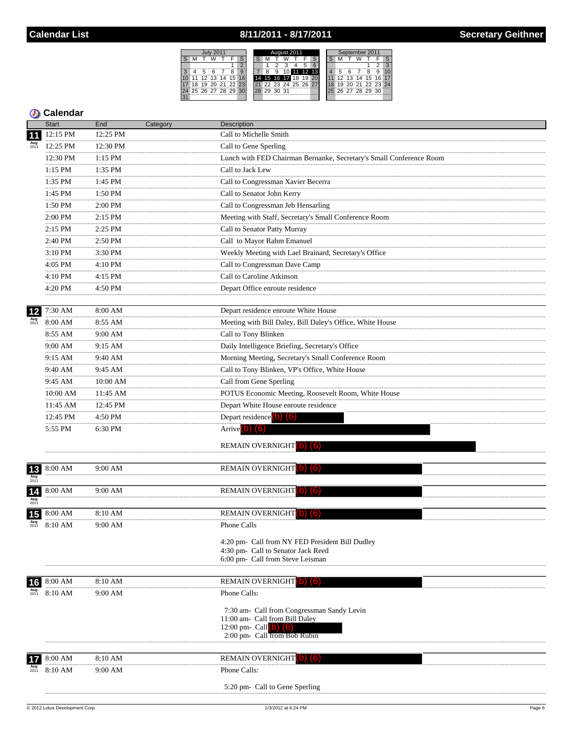## 8/11/2011 - 8/17/2011

July 2011<br>T W T

S M T W T F S<br>
3 4 5 6 7 8 9<br>
10 11 12 13 14 15 16<br>
17 18 19 20 21 22 23<br>
24 25 26 27 28 29 30<br>
31

i 31



|                    | <b>Start</b>     | End            | Category | Description                                                                  |
|--------------------|------------------|----------------|----------|------------------------------------------------------------------------------|
|                    | 12:15 PM         | 12:25 PM       |          | Call to Michelle Smith                                                       |
| <b>Aug</b><br>2011 | 12:25 PM         | 12:30 PM       |          | Call to Gene Sperling                                                        |
|                    | 12:30 PM         | 1:15 PM        |          | Lunch with FED Chairman Bernanke, Secretary's Small Conference Room          |
|                    | <br>1:15 PM      | <br>1:35 PM    |          | Call to Jack Lew                                                             |
|                    | .<br>1:35 PM     | 1:45 PM        |          | Call to Congressman Xavier Becerra                                           |
|                    | .<br>1:45 PM     | 1:50 PM        |          | Call to Senator John Kerry                                                   |
|                    | .<br>1:50 PM     | 2:00 PM        |          | Call to Congressman Jeb Hensarling                                           |
|                    | .<br>2:00 PM     | .<br>$2:15$ PM |          | Meeting with Staff, Secretary's Small Conference Room                        |
|                    | <br>2:15 PM      | .<br>2:25 PM   |          | Call to Senator Patty Murray                                                 |
|                    | .<br>2:40 PM     | 2:50 PM        |          | Call to Mayor Rahm Emanuel                                                   |
|                    | <br>3:10 PM<br>. | 3:30 PM        |          | Weekly Meeting with Lael Brainard, Secretary's Office                        |
|                    | 4:05 PM          | 4:10 PM        |          | Call to Congressman Dave Camp                                                |
|                    | 4:10 PM<br>.     | 4:15 PM        |          | Call to Caroline Atkinson                                                    |
|                    | 4:20 PM          | 4:50 PM        |          | Depart Office enroute residence                                              |
|                    |                  |                |          |                                                                              |
| 12                 | 7:30 AM          | 8:00 AM        |          | Depart residence enroute White House                                         |
|                    | 8:00 AM<br>.     | 8:55 AM        |          | Meeting with Bill Daley, Bill Daley's Office, White House                    |
|                    | 8:55 AM<br>.     | 9:00 AM<br>    |          | Call to Tony Blinken                                                         |
|                    | 9:00 AM<br>.     | 9:15 AM<br>.   |          | Daily Intelligence Briefing, Secretary's Office                              |
|                    | 9:15 AM          | 9:40 AM        |          | Morning Meeting, Secretary's Small Conference Room                           |
|                    | 9:40 AM          | 9:45 AM        |          | Call to Tony Blinken, VP's Office, White House                               |
|                    | 9:45 AM          | 10:00 AM<br>   |          | Call from Gene Sperling                                                      |
|                    | 10:00 AM         | 11:45 AM       |          | POTUS Economic Meeting, Roosevelt Room, White House                          |
|                    | 11:45 AM         | 12:45 PM       |          | Depart White House enroute residence                                         |
|                    | 12:45 PM         | 4:50 PM        |          | Depart residence (b) (6)                                                     |
|                    | 5:55 PM          | 6:30 PM        |          | Arrive $\left( 0 \right)$ $\left( 6 \right)$                                 |
|                    |                  |                |          | REMAIN OVERNIGHT (b) (6)                                                     |
|                    |                  |                |          |                                                                              |
| 13                 | 8:00 AM          | 9:00 AM        |          | <b>REMAIN OVERNIGHT</b>                                                      |
|                    |                  |                |          |                                                                              |
| 14                 | 8:00 AM          | 9:00 AM        |          | <b>REMAIN OVERNIGHT</b>                                                      |
|                    |                  |                |          |                                                                              |
| 15                 | 8:00 AM          | 8:10 AM        |          | <b>REMAIN OVERNIGHT</b> O                                                    |
|                    | 8:10 AM          | 9:00 AM        |          | Phone Calls                                                                  |
|                    |                  |                |          | 4:20 pm- Call from NY FED President Bill Dudley                              |
|                    |                  |                |          | 4:30 pm- Call to Senator Jack Reed                                           |
|                    |                  |                |          | 6:00 pm- Call from Steve Leisman                                             |
| 16                 | 8:00 AM          | 8:10 AM        |          | REMAIN OVERNIGHT                                                             |
|                    | 8:10 AM          | 9:00 AM        |          | Phone Calls:                                                                 |
|                    |                  |                |          |                                                                              |
|                    |                  |                |          | 7:30 am- Call from Congressman Sandy Levin<br>11:00 am- Call from Bill Daley |
|                    |                  |                |          | 12:00 pm - Call                                                              |
|                    |                  |                |          | 2:00 pm- Call from Bob Rubin                                                 |
|                    |                  |                |          |                                                                              |
|                    | 8:00 AM          | 8:10 AM        |          | <b>REMAIN OVERNIGHT</b>                                                      |
|                    | 8:10 AM          | 9:00 AM        |          | Phone Calls:                                                                 |
|                    |                  |                |          | 5:20 pm- Call to Gene Sperling                                               |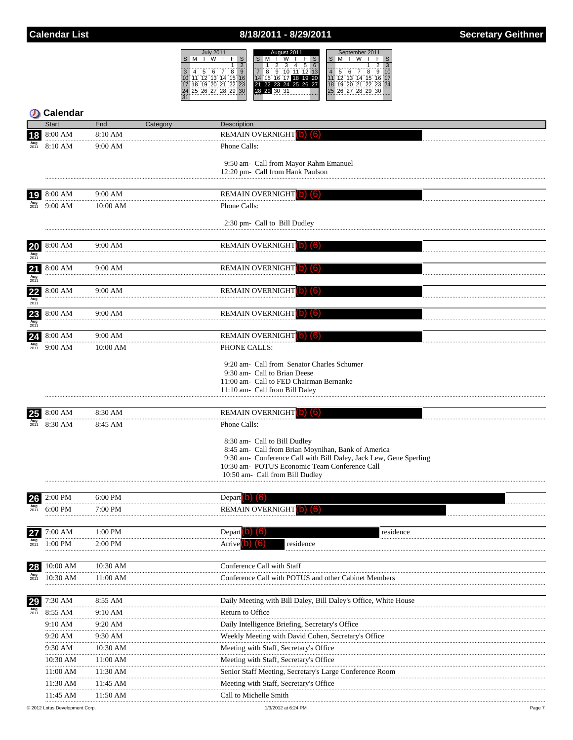# 8/18/2011 - 8/29/2011

|                                     | August 2011           | September 2011       |  |  |  |  |  |  |  |
|-------------------------------------|-----------------------|----------------------|--|--|--|--|--|--|--|
| м                                   |                       |                      |  |  |  |  |  |  |  |
| $\mathcal{P}$                       | $6\overline{6}$<br>5  |                      |  |  |  |  |  |  |  |
| Ä<br>ö<br>ี<br>9<br>5               |                       | Ξ<br>8               |  |  |  |  |  |  |  |
| $12$ 13 14<br>15 <sup>7</sup><br>16 | 15 16 17 18 19 20     | 12 13 14 15 16 17    |  |  |  |  |  |  |  |
| 20 21 22 23<br>19                   | 21 22 23 24 25 26 27  | 20 21 22 23 24<br>19 |  |  |  |  |  |  |  |
| $\overline{30}$<br>25 26 27 28 29   | ------<br>28 29 30 31 | 26 27 28 29 30<br>25 |  |  |  |  |  |  |  |
| 31                                  |                       |                      |  |  |  |  |  |  |  |

|                           | Calendar     |                 |                                                                                    |
|---------------------------|--------------|-----------------|------------------------------------------------------------------------------------|
|                           | <b>Start</b> | End<br>Category | Description                                                                        |
| 18                        | 8:00 AM      | 8:10 AM         | <b>REMAIN OVERNIGHT</b>                                                            |
|                           | 8:10 AM      | 9:00 AM         | Phone Calls:                                                                       |
|                           |              |                 | 9:50 am- Call from Mayor Rahm Emanuel                                              |
|                           |              |                 | 12:20 pm- Call from Hank Paulson                                                   |
|                           |              |                 |                                                                                    |
| 19                        | 8:00 AM      | 9:00 AM         | REMAIN OVERNIGHT<br>llo I                                                          |
| $\frac{\text{Aug}}{2011}$ | 9:00 AM      | 10:00 AM        | Phone Calls:                                                                       |
|                           |              |                 | 2:30 pm- Call to Bill Dudley                                                       |
|                           |              |                 |                                                                                    |
| <b>20</b>                 | 8:00 AM      | $9:00$ AM       | <b>REMAIN OVERNIGHT</b>                                                            |
| Aug<br>2011               |              |                 |                                                                                    |
| 21<br>Aug<br>2011         | 8:00 AM      | 9:00 AM         | <b>REMAIN OVERNIGHT</b>                                                            |
|                           | 8:00 AM      | 9:00 AM         |                                                                                    |
| 22<br>Aug<br>2011         |              |                 | REMAIN OVERNIGHT                                                                   |
| 23                        | 8:00 AM      | 9:00 AM         | REMAIN OVERNIGHT                                                                   |
| Aug<br>2011               |              |                 |                                                                                    |
| 24                        | 8:00 AM      | 9:00 AM         | REMAIN OVERNIGHT                                                                   |
|                           | 9:00 AM      | 10:00 AM        | PHONE CALLS:                                                                       |
|                           |              |                 | 9:20 am- Call from Senator Charles Schumer                                         |
|                           |              |                 | 9:30 am- Call to Brian Deese                                                       |
|                           |              |                 | 11:00 am- Call to FED Chairman Bernanke                                            |
|                           |              |                 | 11:10 am- Call from Bill Daley                                                     |
|                           | 8:00 AM      | 8:30 AM         | <b>REMAIN OVERNIGHT</b> (b)<br>(b)                                                 |
| <b>Aug</b><br>2011        | 8:30 AM      | 8:45 AM         | Phone Calls:                                                                       |
|                           |              |                 |                                                                                    |
|                           |              |                 | 8:30 am- Call to Bill Dudley<br>8:45 am- Call from Brian Moynihan, Bank of America |
|                           |              |                 | 9:30 am- Conference Call with Bill Daley, Jack Lew, Gene Sperling                  |
|                           |              |                 | 10:30 am- POTUS Economic Team Conference Call<br>10:50 am - Call from Bill Dudley  |
|                           |              |                 |                                                                                    |
| 26                        | 2:00 PM      | 6:00 PM         | Depart<br>וסו<br>Ю                                                                 |
|                           | 6:00 PM      | 7:00 PM         | REMAIN OVERNIGHT                                                                   |
|                           |              |                 |                                                                                    |
| 27                        | 7:00 AM      | 1:00 PM         | Depart<br>lo)<br>161<br>residence                                                  |
|                           | $1:00$ PM    | $2:00$ PM       | residence<br>Arrive                                                                |
|                           |              |                 |                                                                                    |
| 28<br>Aug<br>2011         | 10:00 AM     | 10:30 AM        | Conference Call with Staff                                                         |
|                           | 10:30 AM     | 11:00 AM        | Conference Call with POTUS and other Cabinet Members                               |
| 29                        | 7:30 AM      | 8:55 AM         | Daily Meeting with Bill Daley, Bill Daley's Office, White House                    |
| <b>Aug</b><br>2011        | 8:55 AM      | 9:10 AM         | Return to Office                                                                   |
|                           | 9:10 AM      | 9:20 AM         | Daily Intelligence Briefing, Secretary's Office                                    |
|                           | 9:20 AM      | 9:30 AM         | Weekly Meeting with David Cohen, Secretary's Office                                |
|                           | 9:30 AM      | 10:30 AM        | Meeting with Staff, Secretary's Office.                                            |
|                           | <br>10:30 AM | 11:00 AM        | Meeting with Staff, Secretary's Office                                             |
|                           | 11:00 AM     | 11:30 AM        | Senior Staff Meeting, Secretary's Large Conference Room                            |
|                           | 11:30 AM     | 11:45 AM        | Meeting with Staff, Secretary's Office                                             |
|                           | 11:45 AM     | 11:50 AM        | Call to Michelle Smith                                                             |
|                           |              |                 |                                                                                    |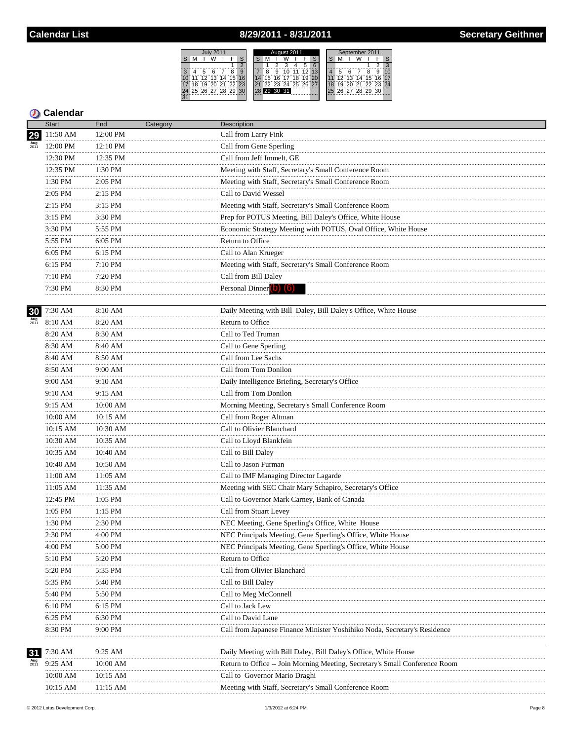## 8/29/2011 - 8/31/2011



|                    | <b>Start</b>   | End            | Category | Description                                                                                                                                                                                                          |
|--------------------|----------------|----------------|----------|----------------------------------------------------------------------------------------------------------------------------------------------------------------------------------------------------------------------|
| 29                 | 11:50 AM       | 12:00 PM       |          | Call from Larry Fink                                                                                                                                                                                                 |
|                    | 12:00 PM       | 12:10 PM<br>.  |          | Call from Gene Sperling                                                                                                                                                                                              |
|                    | 12:30 PM       | 12:35 PM       |          | Call from Jeff Immelt, GE                                                                                                                                                                                            |
|                    | 12:35 PM<br>.  | 1:30 PM        |          | Meeting with Staff, Secretary's Small Conference Room                                                                                                                                                                |
|                    | 1:30 PM        | 2:05 PM        |          | Meeting with Staff, Secretary's Small Conference Room                                                                                                                                                                |
|                    | .<br>2:05 PM   | 2:15 PM        |          | Call to David Wessel                                                                                                                                                                                                 |
|                    | 2:15 PM        | 3:15 PM        |          | Meeting with Staff, Secretary's Small Conference Room                                                                                                                                                                |
|                    | .<br>3:15 PM   | $3:30$ PM      |          | Prep for POTUS Meeting, Bill Daley's Office, White House                                                                                                                                                             |
|                    | .<br>3:30 PM   | .<br>5:55 PM   |          | Economic Strategy Meeting with POTUS, Oval Office, White House                                                                                                                                                       |
|                    | .<br>5:55 PM   | $6:05$ PM      |          | Return to Office                                                                                                                                                                                                     |
|                    | .<br>$6:05$ PM | .<br>$6:15$ PM |          | Call to Alan Krueger                                                                                                                                                                                                 |
|                    | .<br>6:15 PM   | 7:10 PM        |          | Meeting with Staff, Secretary's Small Conference Room                                                                                                                                                                |
|                    | .<br>7:10 PM   | 7:20 PM        |          | Call from Bill Daley                                                                                                                                                                                                 |
|                    | 7:30 PM        | 8:30 PM        |          | Personal Dinner (b) (6)                                                                                                                                                                                              |
|                    |                |                |          |                                                                                                                                                                                                                      |
| 30                 | 7:30 AM        | 8:10 AM        |          | Daily Meeting with Bill Daley, Bill Daley's Office, White House                                                                                                                                                      |
| <b>Aug</b><br>2011 | 8:10 AM        | 8:20 AM        |          | Return to Office                                                                                                                                                                                                     |
|                    | 8:20 AM<br>.   | 8:30 AM        |          | Call to Ted Truman                                                                                                                                                                                                   |
|                    | 8:30 AM        | 8:40 AM        |          | Call to Gene Sperling                                                                                                                                                                                                |
|                    | 8:40 AM<br>.   | 8:50 AM        |          | Call from Lee Sachs                                                                                                                                                                                                  |
|                    | 8:50 AM<br>.   | 9:00 AM<br>.   |          | Call from Tom Donilon                                                                                                                                                                                                |
|                    | 9:00 AM        | 9:10 AM        |          | Daily Intelligence Briefing, Secretary's Office                                                                                                                                                                      |
|                    | 9:10 AM<br>.   | 9:15 AM        |          | Call from Tom Donilon                                                                                                                                                                                                |
|                    | 9:15 AM        | 10:00 AM       |          | Morning Meeting, Secretary's Small Conference Room                                                                                                                                                                   |
|                    | 10:00 AM<br>.  | 10:15 AM       |          | Call from Roger Altman                                                                                                                                                                                               |
|                    | 10:15 AM       | 10:30 AM       |          | Call to Olivier Blanchard                                                                                                                                                                                            |
|                    | 10:30 AM       | 10:35 AM       |          | Call to Lloyd Blankfein                                                                                                                                                                                              |
|                    | 10:35 AM<br>.  | $10:40$ AM     |          | Call to Bill Daley                                                                                                                                                                                                   |
|                    | 10:40 AM<br>.  | 10:50 AM       |          | Call to Jason Furman                                                                                                                                                                                                 |
|                    | 11:00 AM<br>.  | 11:05 AM       |          | Call to IMF Managing Director Lagarde                                                                                                                                                                                |
|                    | 11:05 AM       | 11:35 AM       |          | Meeting with SEC Chair Mary Schapiro, Secretary's Office                                                                                                                                                             |
|                    | 12:45 PM       | 1:05 PM        |          | Call to Governor Mark Carney, Bank of Canada                                                                                                                                                                         |
|                    | 1:05 PM        | 1:15 PM        |          | Call from Stuart Levey                                                                                                                                                                                               |
|                    | 1:30 PM        | 2:30 PM        |          | NEC Meeting, Gene Sperling's Office, White House                                                                                                                                                                     |
|                    | 2:30 PM<br>.   | 4:00 PM        |          | NEC Principals Meeting, Gene Sperling's Office, White House                                                                                                                                                          |
|                    | 4:00 PM        | 5:00 PM        |          | NEC Principals Meeting, Gene Sperling's Office, White House                                                                                                                                                          |
|                    | 5:10 PM        | 5:20 PM        |          | Return to Office                                                                                                                                                                                                     |
|                    | 5:20 PM        | 5:35 PM        |          | Call from Olivier Blanchard                                                                                                                                                                                          |
|                    | 5:35 PM        | 5:40 PM        |          | Call to Bill Daley                                                                                                                                                                                                   |
|                    | 5:40 PM<br>    | 5:50 PM        |          | Call to Meg McConnell                                                                                                                                                                                                |
|                    | 6:10 PM        | 6:15 PM        |          | Call to Jack Lew                                                                                                                                                                                                     |
|                    | 6:25 PM        | 6:30 PM        |          | Call to David Lane                                                                                                                                                                                                   |
|                    | 8:30 PM        | 9:00 PM        |          | Call from Japanese Finance Minister Yoshihiko Noda, Secretary's Residence                                                                                                                                            |
|                    |                |                |          |                                                                                                                                                                                                                      |
| 31                 | 7:30 AM        | $9:25$ AM      |          | Daily Meeting with Bill Daley, Bill Daley's Office, White House                                                                                                                                                      |
| <b>Aug</b><br>2011 | 9:25 AM        | 10:00 AM       |          | Return to Office -- Join Morning Meeting, Secretary's Small Conference Room<br>$\mathcal{L}$ , and $\mathcal{L}$ , and $\mathcal{L}$ , and $\mathcal{L}$ , and $\mathcal{L}$ , and $\mathcal{L}$ , and $\mathcal{L}$ |
|                    | 10:00 AM       | 10:15 AM       |          | Call to Governor Mario Draghi                                                                                                                                                                                        |
|                    | 10:15 AM       | 11:15 AM       |          | Meeting with Staff, Secretary's Small Conference Room                                                                                                                                                                |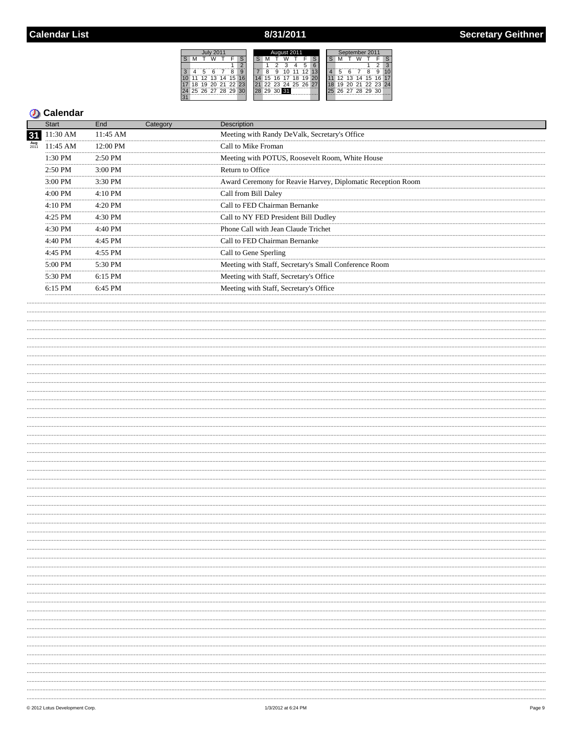# 8/31/2011

ïö 77 75 ำจั

 $\frac{77}{24}$ 

|                   |             |  |  | August 2011 |    |   |                   |    |           |    |  |  | September 2011 |  |                   |  |  |  |  |  |
|-------------------|-------------|--|--|-------------|----|---|-------------------|----|-----------|----|--|--|----------------|--|-------------------|--|--|--|--|--|
| м                 |             |  |  |             |    |   |                   |    |           |    |  |  |                |  |                   |  |  |  |  |  |
|                   |             |  |  |             |    |   |                   |    |           |    |  |  |                |  |                   |  |  |  |  |  |
| 4                 |             |  |  |             |    | g |                   |    | $45 - 42$ |    |  |  |                |  |                   |  |  |  |  |  |
| 11 12 13 14 15 16 |             |  |  |             | 15 |   | 16.17             | 18 | 19        | 20 |  |  |                |  | 12 13 14 15 16 17 |  |  |  |  |  |
| 18<br>19          | 20 21 22 23 |  |  |             |    |   | 22 23 24 25 26 27 |    |           |    |  |  | ä              |  | 20 21 22 23 24    |  |  |  |  |  |
| 25 26 27 28 29 30 |             |  |  |             |    |   | 29 30 31          |    |           |    |  |  |                |  | 26 27 28 29 30    |  |  |  |  |  |
|                   |             |  |  |             |    |   |                   |    |           |    |  |  |                |  |                   |  |  |  |  |  |

|             | Start             | End                | Category | Description                                                 |
|-------------|-------------------|--------------------|----------|-------------------------------------------------------------|
| 31          | 11:30 AM          | 11:45 AM           |          | Meeting with Randy DeValk, Secretary's Office               |
| Aug<br>2011 | 11:45 AM          | $12:00 \text{ PM}$ |          | Call to Mike Froman                                         |
|             | 1:30 PM           | $2:50 \text{ PM}$  |          | Meeting with POTUS, Roosevelt Room, White House             |
|             | 2:50 PM           | $3:00 \text{ PM}$  |          | Return to Office                                            |
|             | $3:00$ PM         | $3:30$ PM          |          | Award Ceremony for Reavie Harvey, Diplomatic Reception Room |
|             | $4:00$ PM         | $4:10$ PM          |          | Call from Bill Daley                                        |
|             | $4:10 \text{ PM}$ | $4:20$ PM          |          | Call to FED Chairman Bernanke                               |
|             | $4.25$ PM         | $4:30$ PM          |          | Call to NY FED President Bill Dudley                        |
|             | $4:30$ PM         | $4:40$ PM          |          | Phone Call with Jean Claude Trichet                         |
|             | $4:40 \text{ PM}$ | $4.45$ PM          |          | Call to FED Chairman Bernanke                               |
|             | 4:45 PM           | $4:55$ PM          |          | Call to Gene Sperling                                       |
|             | $5:00 \text{ PM}$ | $5:30$ PM          |          | Meeting with Staff, Secretary's Small Conference Room       |
|             | 5:30 PM           | 6:15 PM            |          | Meeting with Staff, Secretary's Office.                     |
|             | 6:15 PM           | $6:45$ PM          |          | Meeting with Staff, Secretary's Office                      |
|             |                   |                    |          |                                                             |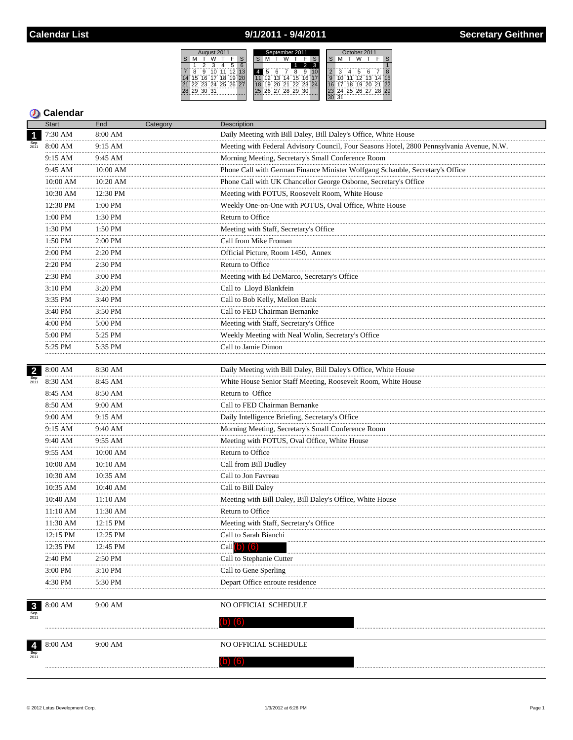## 9/1/2011 - 9/4/2011



|                         | <b>Start</b>      | End                                                       | Category | <b>Description</b>                                                                        |
|-------------------------|-------------------|-----------------------------------------------------------|----------|-------------------------------------------------------------------------------------------|
| $\overline{\mathbf{1}}$ | 7:30 AM           | 8:00 AM                                                   |          | Daily Meeting with Bill Daley, Bill Daley's Office, White House                           |
| Sep<br>2011             | 8:00 AM<br>.      | 9:15 AM                                                   |          | Meeting with Federal Advisory Council, Four Seasons Hotel, 2800 Pennsylvania Avenue, N.W. |
|                         | 9:15 AM           | 9:45 AM                                                   |          | Morning Meeting, Secretary's Small Conference Room                                        |
|                         | 9:45 AM           | 10:00 AM                                                  |          | Phone Call with German Finance Minister Wolfgang Schauble, Secretary's Office             |
|                         | 10:00 AM          | 10:20 AM                                                  |          | Phone Call with UK Chancellor George Osborne, Secretary's Office                          |
|                         | 10:30 AM          | 12:30 PM                                                  |          | Meeting with POTUS, Roosevelt Room, White House                                           |
|                         | 12:30 PM          | $\begin{array}{c}\n  \  \, 1:00 \text{ PM}\n \end{array}$ |          | Weekly One-on-One with POTUS, Oval Office, White House                                    |
|                         | .<br>1:00 PM      | <br>1:30 PM                                               |          | Return to Office                                                                          |
|                         | .<br>1:30 PM      | 1:50 PM                                                   |          | Meeting with Staff, Secretary's Office                                                    |
|                         | .<br>1:50 PM      | .<br>2:00 PM                                              |          | Call from Mike Froman                                                                     |
|                         | .<br>2:00 PM<br>. | 2:20 PM                                                   |          | Official Picture, Room 1450, Annex                                                        |
|                         | 2:20 PM           | 2:30 PM                                                   |          | Return to Office                                                                          |
|                         | .<br>2:30 PM<br>. | 3:00 PM                                                   |          | Meeting with Ed DeMarco, Secretary's Office                                               |
|                         | 3:10 PM           | 3:20 PM                                                   |          | Call to Lloyd Blankfein                                                                   |
|                         | .<br>3:35 PM      | 3:40 PM                                                   |          | Call to Bob Kelly, Mellon Bank                                                            |
|                         | <br>3:40 PM       | 3:50 PM                                                   |          | Call to FED Chairman Bernanke                                                             |
|                         | .<br>4:00 PM      | .<br>5:00 PM                                              |          | Meeting with Staff, Secretary's Office                                                    |
|                         | .<br>5:00 PM      | 5:25 PM                                                   |          | Weekly Meeting with Neal Wolin, Secretary's Office                                        |
|                         | .<br>5:25 PM      | 5:35 PM                                                   |          | Call to Jamie Dimon                                                                       |
|                         |                   |                                                           |          |                                                                                           |
| $\overline{2}$          | 8:00 AM           | 8:30 AM                                                   |          | Daily Meeting with Bill Daley, Bill Daley's Office, White House                           |
| Sep<br>2011             | 8:30 AM           | 8:45 AM                                                   |          | White House Senior Staff Meeting, Roosevelt Room, White House                             |
|                         | 8:45 AM<br>.      | 8:50 AM                                                   |          | Return to Office                                                                          |
|                         | 8:50 AM<br>.      | 9:00 AM                                                   |          | Call to FED Chairman Bernanke                                                             |
|                         | 9:00 AM<br>.      | 9:15 AM                                                   |          | Daily Intelligence Briefing, Secretary's Office                                           |
|                         | 9:15 AM           | 9:40 AM                                                   |          | Morning Meeting, Secretary's Small Conference Room                                        |
|                         | 9:40 AM           | 9:55 AM                                                   |          | Meeting with POTUS, Oval Office, White House                                              |
|                         | 9:55 AM<br>.      | 10:00 AM                                                  |          | Return to Office                                                                          |
|                         | 10:00 AM<br>.     | 10:10 AM<br>                                              |          | Call from Bill Dudley                                                                     |
|                         | 10:30 AM<br>.     | 10:35 AM<br>.                                             |          | Call to Jon Favreau                                                                       |
|                         | 10:35 AM          | 10:40 AM                                                  |          | Call to Bill Daley                                                                        |
|                         | 10:40 AM          | 11:10 AM                                                  |          | Meeting with Bill Daley, Bill Daley's Office, White House                                 |
|                         | 11:10 AM          | 11:30 AM                                                  |          | Return to Office                                                                          |
|                         | 11:30 AM          | 12:15 PM                                                  |          | Meeting with Staff, Secretary's Office                                                    |
|                         | 12:15 PM          | 12:25 PM                                                  |          | Call to Sarah Bianchi                                                                     |
|                         | 12:35 PM          | 12:45 PM                                                  |          | $Call$ $O$ $G$                                                                            |
|                         | 2:40 PM           | 2:50 PM                                                   |          | Call to Stephanie Cutter                                                                  |
|                         | 3:00 PM           | 3:10 PM                                                   |          | Call to Gene Sperling                                                                     |
|                         | 4:30 PM           | 5:30 PM                                                   |          | Depart Office enroute residence                                                           |
|                         |                   |                                                           |          |                                                                                           |
| $\frac{3}{\text{Sep}}$  | 8:00 AM           | $9:00$ AM                                                 |          | NO OFFICIAL SCHEDULE                                                                      |
|                         |                   |                                                           |          |                                                                                           |
|                         |                   |                                                           |          |                                                                                           |
| $\overline{4}$          | 8:00 AM           | 9:00 AM                                                   |          | NO OFFICIAL SCHEDULE                                                                      |
|                         |                   |                                                           |          | $\vert$ 0) (b)                                                                            |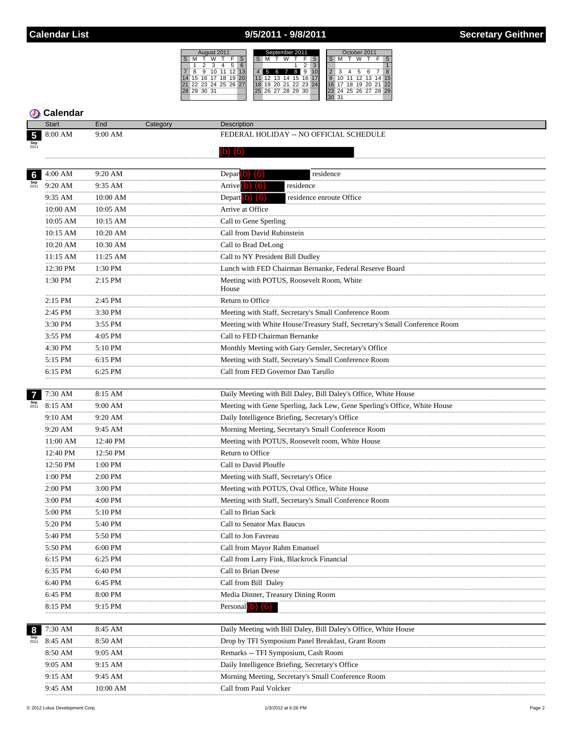## 9/5/2011 - 9/8/2011



|                    | Start         | End<br>Category | Description                                                                |
|--------------------|---------------|-----------------|----------------------------------------------------------------------------|
| 5                  | 8:00 AM       | 9:00 AM         | FEDERAL HOLIDAY -- NO OFFICIAL SCHEDULE                                    |
|                    |               |                 | (b) (6)                                                                    |
|                    |               |                 |                                                                            |
| $6\phantom{a}$     | 4:00 AM       | 9:20 AM         | residence<br>Depart $\boxed{0}$ (6)                                        |
| <b>Sep</b><br>2011 | 9:20 AM       | 9:35 AM         | Arrive <sup>(b)</sup><br>residence                                         |
|                    | 9:35 AM       | 10:00 AM        | Depart $\left( 0 \right)$ $\left( 6 \right)$<br>residence enroute Office   |
|                    | 10:00 AM      | 10:05 AM        | Arrive at Office                                                           |
|                    | 10:05 AM      | 10:15 AM        | Call to Gene Sperling                                                      |
|                    | 10:15 AM<br>. | 10:20 AM<br>    | Call from David Rubinstein                                                 |
|                    | 10:20 AM<br>. | 10:30 AM<br>    | Call to Brad DeLong<br>                                                    |
|                    | 11:15 AM<br>. | 11:25 AM        | Call to NY President Bill Dudley                                           |
|                    | 12:30 PM<br>. | 1:30 PM<br>.    | Lunch with FED Chairman Bernanke, Federal Reserve Board                    |
|                    | 1:30 PM       | $2:15$ PM       | Meeting with POTUS, Roosevelt Room, White<br>House                         |
|                    | 2:15 PM<br>.  | 2:45 PM         | Return to Office                                                           |
|                    | 2:45 PM<br>.  | 3:30 PM<br>.    | Meeting with Staff, Secretary's Small Conference Room                      |
|                    | 3:30 PM<br>.  | 3:55 PM         | Meeting with White House/Treasury Staff, Secretary's Small Conference Room |
|                    | 3:55 PM<br>.  | 4:05 PM<br>.    | Call to FED Chairman Bernanke                                              |
|                    | 4:30 PM       | 5:10 PM         | Monthly Meeting with Gary Gensler, Secretary's Office                      |
|                    | 5:15 PM<br>.  | 6:15 PM         | Meeting with Staff, Secretary's Small Conference Room                      |
|                    | 6:15 PM       | 6:25 PM         | Call from FED Governor Dan Tarullo                                         |
|                    |               |                 |                                                                            |
|                    | 7:30 AM       | 8:15 AM         | Daily Meeting with Bill Daley, Bill Daley's Office, White House            |
| <b>Sep</b><br>2011 | 8:15 AM       | 9:00 AM         | Meeting with Gene Sperling, Jack Lew, Gene Sperling's Office, White House  |
|                    | 9:10 AM       | 9:20 AM         | Daily Intelligence Briefing, Secretary's Office                            |
|                    | 9:20 AM<br>.  | 9:45 AM<br>     | Morning Meeting, Secretary's Small Conference Room                         |
|                    | 11:00 AM      | 12:40 PM        | Meeting with POTUS, Roosevelt room, White House                            |
|                    | 12:40 PM<br>. | 12:50 PM<br>    | Return to Office<br>                                                       |
|                    | 12:50 PM      | $1:00$ PM       | Call to David Plouffe                                                      |
|                    | 1:00 PM       | 2:00 PM         | Meeting with Staff, Secretary's Ofice                                      |
|                    | 2:00 PM<br>.  | 3:00 PM         | Meeting with POTUS, Oval Office, White House                               |
|                    | 3:00 PM       | 4:00 PM         | Meeting with Staff, Secretary's Small Conference Room                      |
|                    | 5:00 PM       | 5:10 PM         | Call to Brian Sack                                                         |
|                    | 5:20 PM       | 5:40 PM         | Call to Senator Max Baucus                                                 |
|                    | 5:40 PM       | 5:50 PM         | Call to Jon Favreau                                                        |
|                    | 5:50 PM       | 6:00 PM         | Call from Mayor Rahm Emanuel                                               |
|                    | 6:15 PM       | 6:25 PM         | Call from Larry Fink, Blackrock Financial                                  |
|                    | 6:35 PM       | 6:40 PM         | Call to Brian Deese                                                        |
|                    | 6:40 PM       | 6:45 PM         | Call from Bill Daley                                                       |
|                    | 6:45 PM       | 8:00 PM         | Media Dinner, Treasury Dining Room                                         |
|                    | 8:15 PM       | 9:15 PM         | Personal                                                                   |
|                    |               |                 |                                                                            |
| 8                  | 7:30 AM       | 8:45 AM         | Daily Meeting with Bill Daley, Bill Daley's Office, White House            |
| <b>Sep</b><br>2011 | 8:45 AM       | 8:50 AM         | Drop by TFI Symposium Panel Breakfast, Grant Room                          |
|                    | 8:50 AM       | 9:05 AM         | Remarks -- TFI Symposium, Cash Room                                        |
|                    | 9:05 AM       | 9:15 AM         | Daily Intelligence Briefing, Secretary's Office                            |
|                    | 9:15 AM       | 9:45 AM         | Morning Meeting, Secretary's Small Conference Room                         |
|                    | 9:45 AM       | 10:00 AM        | Call from Paul Volcker                                                     |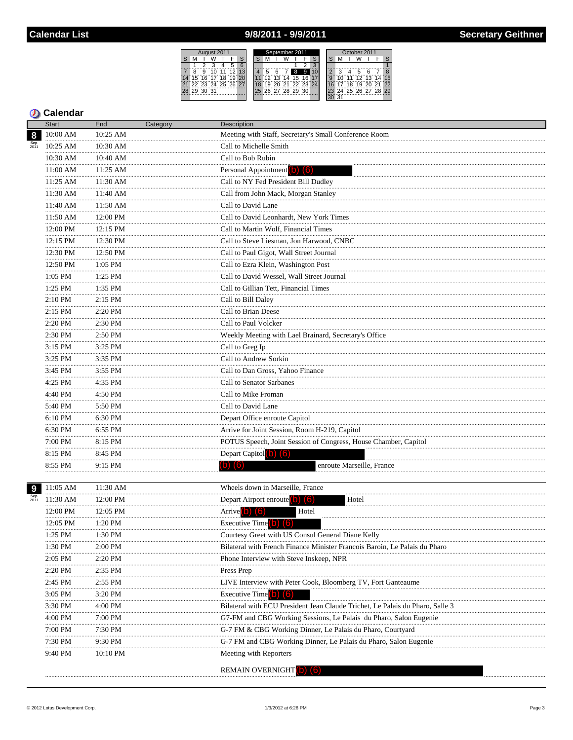# 9/8/2011 - 9/9/2011

Au S M  $\dot{8}$ 

| gust 2011        | September 2011          | October 2011                       |  |  |  |  |  |  |  |  |
|------------------|-------------------------|------------------------------------|--|--|--|--|--|--|--|--|
|                  |                         |                                    |  |  |  |  |  |  |  |  |
|                  | 3                       |                                    |  |  |  |  |  |  |  |  |
| $12^{\circ}13$   | 9                       | 5                                  |  |  |  |  |  |  |  |  |
| ჩ 17<br>20<br>18 | 14 15 16<br>12.13<br>17 | 14 15<br>$12 \t13$<br>$\mathbf{Q}$ |  |  |  |  |  |  |  |  |
| 3 24 25 26 27    | 20 21 22 23 24<br>19    | 20.21.22<br>18<br>19               |  |  |  |  |  |  |  |  |
| 031              | 25 26 27 28 29 30       | 23 24 25 26 27 28 29               |  |  |  |  |  |  |  |  |
|                  |                         | 131                                |  |  |  |  |  |  |  |  |

|                               | <b>Start</b><br>End<br>Category |                      | Description                                                                   |  |  |  |  |  |  |  |  |  |
|-------------------------------|---------------------------------|----------------------|-------------------------------------------------------------------------------|--|--|--|--|--|--|--|--|--|
| 8                             | 10:00 AM                        | 10:25 AM             | Meeting with Staff, Secretary's Small Conference Room                         |  |  |  |  |  |  |  |  |  |
|                               | 10:25 AM                        | $10:30$ AM           | Call to Michelle Smith                                                        |  |  |  |  |  |  |  |  |  |
|                               | 10:30 AM                        | 10:40 AM             | Call to Bob Rubin                                                             |  |  |  |  |  |  |  |  |  |
|                               | 11:00 AM                        | 11:25 AM             | Personal Appointment b) (6)                                                   |  |  |  |  |  |  |  |  |  |
|                               | 11:25 AM                        | 11:30 AM             | Call to NY Fed President Bill Dudley                                          |  |  |  |  |  |  |  |  |  |
|                               | 11:30 AM<br>.                   | 11:40 AM             | Call from John Mack, Morgan Stanley                                           |  |  |  |  |  |  |  |  |  |
|                               | 11:40 AM<br>.                   | 11:50 AM             | Call to David Lane                                                            |  |  |  |  |  |  |  |  |  |
|                               | 11:50 AM<br>.                   | 12:00 PM<br>.        | Call to David Leonhardt, New York Times                                       |  |  |  |  |  |  |  |  |  |
|                               | 12:00 PM<br>.                   | 12:15 PM<br>.        | Call to Martin Wolf, Financial Times                                          |  |  |  |  |  |  |  |  |  |
|                               | 12:15 PM<br>.                   | 12:30 PM             | Call to Steve Liesman, Jon Harwood, CNBC                                      |  |  |  |  |  |  |  |  |  |
|                               | 12:30 PM<br>.                   | 12:50 PM<br>.        | Call to Paul Gigot, Wall Street Journal                                       |  |  |  |  |  |  |  |  |  |
|                               | 12:50 PM<br>.                   | 1:05 PM              | Call to Ezra Klein, Washington Post                                           |  |  |  |  |  |  |  |  |  |
|                               | 1:05 PM<br>.                    | 1:25 PM<br>.         | Call to David Wessel, Wall Street Journal                                     |  |  |  |  |  |  |  |  |  |
|                               | 1:25 PM                         | 1:35 PM              | Call to Gillian Tett, Financial Times                                         |  |  |  |  |  |  |  |  |  |
|                               | 2:10 PM<br>.                    | 2:15 PM              | Call to Bill Daley                                                            |  |  |  |  |  |  |  |  |  |
|                               | 2:15 PM<br>.                    | 2:20 PM              | Call to Brian Deese                                                           |  |  |  |  |  |  |  |  |  |
|                               | $2:20$ PM                       | 2:30 PM              | Call to Paul Volcker                                                          |  |  |  |  |  |  |  |  |  |
|                               | 2:30 PM<br>                     | 2:50 PM              | Weekly Meeting with Lael Brainard, Secretary's Office                         |  |  |  |  |  |  |  |  |  |
|                               | 3:15 PM<br>.                    | 3:25 PM<br>.         | Call to Greg Ip                                                               |  |  |  |  |  |  |  |  |  |
|                               | 3:25 PM<br>.                    | 3:35 PM<br>.         | Call to Andrew Sorkin                                                         |  |  |  |  |  |  |  |  |  |
|                               | 3:45 PM<br>.                    | 3:55 PM              | Call to Dan Gross, Yahoo Finance                                              |  |  |  |  |  |  |  |  |  |
|                               | 4:25 PM<br>.                    | 4:35 PM<br>.         | Call to Senator Sarbanes                                                      |  |  |  |  |  |  |  |  |  |
|                               | 4:40 PM<br>.                    | 4:50 PM              | Call to Mike Froman                                                           |  |  |  |  |  |  |  |  |  |
|                               | 5:40 PM<br>.                    | 5:50 PM              | Call to David Lane                                                            |  |  |  |  |  |  |  |  |  |
|                               | 6:10 PM<br>.                    | 6:30 PM              | Depart Office enroute Capitol                                                 |  |  |  |  |  |  |  |  |  |
|                               | 6:30 PM                         | 6:55 PM              | Arrive for Joint Session, Room H-219, Capitol                                 |  |  |  |  |  |  |  |  |  |
|                               | .                               | 8:15 PM<br>.         | POTUS Speech, Joint Session of Congress, House Chamber, Capitol               |  |  |  |  |  |  |  |  |  |
|                               | 8:15 PM<br>                     | 8:45 PM              | Depart Capitol (b) (6)                                                        |  |  |  |  |  |  |  |  |  |
|                               | 8:55 PM<br>.                    | 9:15 PM<br>.         | enroute Marseille, France<br>(b<br>161                                        |  |  |  |  |  |  |  |  |  |
|                               |                                 |                      | Wheels down in Marseille, France                                              |  |  |  |  |  |  |  |  |  |
| 9 <sup>1</sup><br>Sep<br>2011 | 11:05 AM<br>11:30 AM            | 11:30 AM<br>12:00 PM | Depart Airport enroute (b) (6)<br>Hotel                                       |  |  |  |  |  |  |  |  |  |
|                               | <br>12:00 PM                    | 12:05 PM             | Hotel<br>Arrive <sup>(b)</sup> (6)                                            |  |  |  |  |  |  |  |  |  |
|                               | 12:05 PM                        | 1:20 PM              | Executive Time $(b)$ $(6)$                                                    |  |  |  |  |  |  |  |  |  |
|                               | 1:25 PM                         | 1:30 PM              | Courtesy Greet with US Consul General Diane Kelly                             |  |  |  |  |  |  |  |  |  |
|                               | 1:30 PM                         | 2:00 PM              | Bilateral with French Finance Minister Francois Baroin, Le Palais du Pharo    |  |  |  |  |  |  |  |  |  |
|                               | <br>2:05 PM                     | 2:20 PM              | Phone Interview with Steve Inskeep, NPR                                       |  |  |  |  |  |  |  |  |  |
|                               | 2:20 PM                         | 2:35 PM              | Press Prep                                                                    |  |  |  |  |  |  |  |  |  |
|                               | <br>2:45 PM                     | 2:55 PM              | LIVE Interview with Peter Cook, Bloomberg TV, Fort Ganteaume                  |  |  |  |  |  |  |  |  |  |
|                               | 3:05 PM                         | 3:20 PM              | <b>Executive Time D</b><br>(16)                                               |  |  |  |  |  |  |  |  |  |
|                               | 3:30 PM                         | 4:00 PM              | Bilateral with ECU President Jean Claude Trichet, Le Palais du Pharo, Salle 3 |  |  |  |  |  |  |  |  |  |
|                               | 4:00 PM                         | 7:00 PM              | G7-FM and CBG Working Sessions, Le Palais du Pharo, Salon Eugenie             |  |  |  |  |  |  |  |  |  |
|                               | 7:00 PM                         | 7:30 PM              | G-7 FM & CBG Working Dinner, Le Palais du Pharo, Courtyard                    |  |  |  |  |  |  |  |  |  |
|                               | <br>7:30 PM                     | 9:30 PM              | G-7 FM and CBG Working Dinner, Le Palais du Pharo, Salon Eugenie              |  |  |  |  |  |  |  |  |  |
|                               | 9:40 PM                         | 10:10 PM             | Meeting with Reporters                                                        |  |  |  |  |  |  |  |  |  |
|                               |                                 |                      | REMAIN OVERNIGHT (b) (6)                                                      |  |  |  |  |  |  |  |  |  |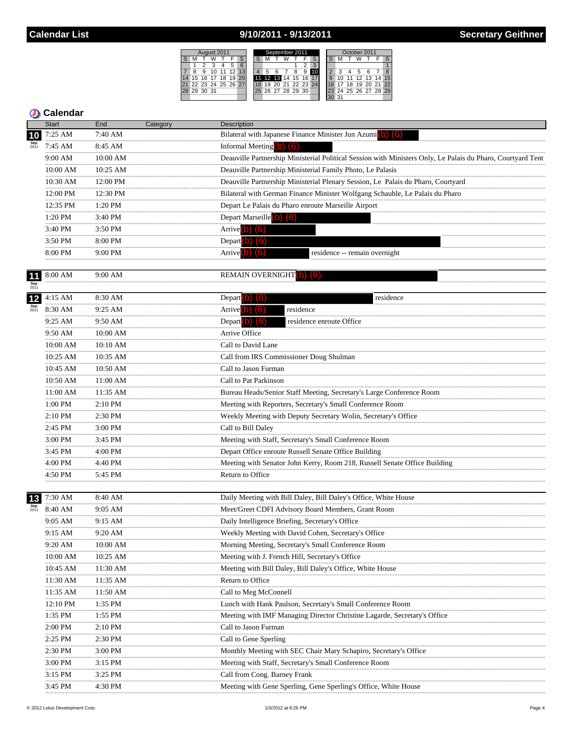# 9/10/2011 - 9/13/2011

| August 2011 |  |          |  |  |                   |                   |  | September 2011  |  |  |                   |   |   |   |  |   | October 2011 |  |  |  |                      |    |  |  |
|-------------|--|----------|--|--|-------------------|-------------------|--|-----------------|--|--|-------------------|---|---|---|--|---|--------------|--|--|--|----------------------|----|--|--|
|             |  |          |  |  |                   |                   |  |                 |  |  |                   |   |   |   |  |   |              |  |  |  |                      |    |  |  |
|             |  |          |  |  |                   |                   |  |                 |  |  |                   |   |   | 3 |  |   |              |  |  |  |                      |    |  |  |
|             |  | ğ        |  |  |                   |                   |  |                 |  |  |                   | Ä | ä |   |  |   |              |  |  |  |                      |    |  |  |
|             |  |          |  |  | 15 16 17 18 19 20 |                   |  |                 |  |  | 11 12 13 14 15 16 |   |   |   |  | Q |              |  |  |  | $11$ 12 13 14        | 15 |  |  |
|             |  |          |  |  |                   | 22 23 24 25 26 27 |  |                 |  |  | 20 21 22 23 24    |   |   |   |  |   |              |  |  |  | 16 17 18 19 20 21 22 |    |  |  |
|             |  | 29 30 31 |  |  |                   |                   |  | 25 <sub>1</sub> |  |  | 26 27 28 29 30    |   |   |   |  |   |              |  |  |  | 24 25 26 27 28 29    |    |  |  |
|             |  |          |  |  |                   |                   |  |                 |  |  |                   |   |   |   |  |   |              |  |  |  |                      |    |  |  |

|                    | <b>Start</b>  | End           | Category | Description                                                                                                 |
|--------------------|---------------|---------------|----------|-------------------------------------------------------------------------------------------------------------|
| 10                 | 7:25 AM       | 7:40 AM       |          | Bilateral with Japanese Finance Minister Jun Azumi(b) (6)                                                   |
|                    | 7:45 AM       | 8:45 AM       |          | Informal Meeting (b)<br>(6)                                                                                 |
|                    | .<br>9:00 AM  | <br>10:00 AM  |          | Deauville Partnership Ministerial Political Session with Ministers Only, Le Palais du Pharo, Courtyard Tent |
|                    | 10:00 AM      | 10:25 AM      |          | Deauville Partnership Ministerial Family Photo, Le Palasis                                                  |
|                    | 10:30 AM      | 12:00 PM      |          | Deauville Partnership Ministerial Plenary Session, Le Palais du Pharo, Courtyard                            |
|                    | 12:00 PM      | 12:30 PM      |          | Bilateral with German Finance Minister Wolfgang Schauble, Le Palais du Pharo                                |
|                    | 12:35 PM      | 1:20 PM       |          | Depart Le Palais du Pharo enroute Marseille Airport                                                         |
|                    | 1:20 PM       | 3:40 PM       |          | Depart Marseille (b) (6)                                                                                    |
|                    | <br>3:40 PM   | 3:50 PM       |          | Arrive $(b)$ $(6)$                                                                                          |
|                    | 3:50 PM       | .<br>8:00 PM  |          | Depart (b) $(6)$                                                                                            |
|                    | 8:00 PM       | 9:00 PM       |          | Arrive <sup>[b]</sup><br>residence -- remain overnight<br>(6)                                               |
|                    | .<br>.        |               |          |                                                                                                             |
|                    | 8:00 AM       | 9:00 AM       |          | <b>REMAIN OVERNIGHT</b> [O]<br>$\blacksquare$                                                               |
| Sep<br>2011        |               |               |          |                                                                                                             |
| $12$               | $4:15$ AM     | 8:30 AM       |          | residence<br>Depart b) (6)                                                                                  |
| <b>Sep</b><br>2011 | 8:30 AM       | $9:25$ AM     |          | Arrive $(b)$ $(6)$<br>residence                                                                             |
|                    | 9:25 AM       | 9:50 AM       |          | Depart (b) (6)<br>residence enroute Office                                                                  |
|                    | 9:50 AM       | 10:00 AM      |          | Arrive Office                                                                                               |
|                    | 10:00 AM      | 10:10 AM      |          | Call to David Lane                                                                                          |
|                    | 10:25 AM      | 10:35 AM      |          | Call from IRS Commissioner Doug Shulman                                                                     |
|                    | 10:45 AM      | 10:50 AM      |          | Call to Jason Furman                                                                                        |
|                    | 10:50 AM<br>  | 11:00 AM      |          | Call to Pat Parkinson                                                                                       |
|                    | 11:00 AM<br>  | 11:35 AM<br>. |          | Bureau Heads/Senior Staff Meeting, Secretary's Large Conference Room                                        |
|                    | 1:00 PM<br>.  | 2:10 PM       |          | Meeting with Reporters, Secretary's Small Conference Room                                                   |
|                    | $2:10$ PM<br> | $2:30$ PM     |          | Weekly Meeting with Deputy Secretary Wolin, Secretary's Office                                              |
|                    | 2:45 PM       | 3:00 PM       |          | Call to Bill Daley                                                                                          |
|                    | 3:00 PM       | 3:45 PM       |          | Meeting with Staff, Secretary's Small Conference Room                                                       |
|                    | 3:45 PM       | 4:00 PM       |          | Depart Office enroute Russell Senate Office Building                                                        |
|                    | 4:00 PM       | 4:40 PM       |          | Meeting with Senator John Kerry, Room 218, Russell Senate Office Building                                   |
|                    | 4:50 PM       | 5:45 PM       |          | Return to Office                                                                                            |
|                    |               |               |          |                                                                                                             |
| 13                 | 7:30 AM       | 8:40 AM       |          | Daily Meeting with Bill Daley, Bill Daley's Office, White House                                             |
| Sep<br>2011        | 8:40 AM       | 9:05 AM       |          | Meet/Greet CDFI Advisory Board Members, Grant Room                                                          |
|                    | 9:05 AM       | 9:15 AM       |          | Daily Intelligence Briefing, Secretary's Office                                                             |
|                    | 9:15 AM       | 9:20 AM       |          | Weekly Meeting with David Cohen, Secretary's Office                                                         |
|                    | 9:20 AM       | 10:00 AM      |          | Morning Meeting, Secretary's Small Conference Room                                                          |
|                    | 10:00 AM      | 10:25 AM      |          | Meeting with J. French Hill, Secretary's Office                                                             |
|                    | 10:45 AM      | 11:30 AM      |          | Meeting with Bill Daley, Bill Daley's Office, White House                                                   |
|                    | 11:30 AM      | 11:35 AM      |          | Return to Office                                                                                            |
|                    | 11:35 AM      | 11:50 AM      |          | Call to Meg McConnell                                                                                       |
|                    | 12:10 PM      | 1:35 PM       |          | Lunch with Hank Paulson, Secretary's Small Conference Room                                                  |
|                    | 1:35 PM       | 1:55 PM       |          | Meeting with IMF Managing Director Christine Lagarde, Secretary's Office                                    |
|                    | 2:00 PM       | $2:10$ PM     |          | Call to Jason Furman                                                                                        |
|                    | 2:25 PM       | 2:30 PM       |          | Call to Gene Sperling                                                                                       |
|                    | 2:30 PM       | 3:00 PM       |          | Monthly Meeting with SEC Chair Mary Schapiro, Secretary's Office                                            |
|                    | $3:00$ PM     | $3:15$ PM     |          | Meeting with Staff, Secretary's Small Conference Room                                                       |
|                    | 3:15 PM       | 3:25 PM       |          | Call from Cong. Barney Frank                                                                                |
|                    | 3:45 PM       | 4:30 PM       |          | Meeting with Gene Sperling, Gene Sperling's Office, White House                                             |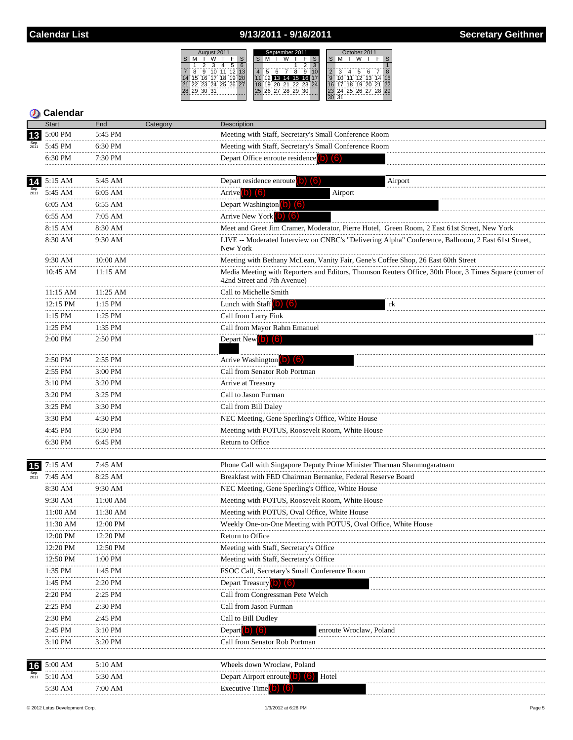### 9/13/2011 - 9/16/2011



|                    | <b>Calendar</b> |                 |                                                                                                                                        |
|--------------------|-----------------|-----------------|----------------------------------------------------------------------------------------------------------------------------------------|
|                    | <b>Start</b>    | End<br>Category | <b>Description</b>                                                                                                                     |
| 13                 | 5:00 PM         | 5:45 PM         | Meeting with Staff, Secretary's Small Conference Room                                                                                  |
| <b>Sep</b><br>2011 | 5:45 PM         | 6:30 PM         | Meeting with Staff, Secretary's Small Conference Room                                                                                  |
|                    | 6:30 PM         | 7:30 PM         | Depart Office enroute residence (b) (6)                                                                                                |
| 14                 | 5:15 AM         | 5:45 AM         | Depart residence enroute $\left( 0 \right)$ $\left( 6 \right)$<br>Airport                                                              |
| <b>Sep</b><br>2011 | 5:45 AM         | 6:05 AM         | Arrive (b) (6)<br>Airport                                                                                                              |
|                    | 6:05 AM         | 6:55 AM         | Depart Washington (b) (6)                                                                                                              |
|                    | 6:55 AM         | 7:05 AM         | Arrive New York (b) (6)                                                                                                                |
|                    | 8:15 AM         | 8:30 AM         | Meet and Greet Jim Cramer, Moderator, Pierre Hotel, Green Room, 2 East 61st Street, New York                                           |
|                    | 8:30 AM         | 9:30 AM         | LIVE -- Moderated Interview on CNBC's "Delivering Alpha" Conference, Ballroom, 2 East 61st Street,<br>New York                         |
|                    | 9:30 AM         | 10:00 AM        | Meeting with Bethany McLean, Vanity Fair, Gene's Coffee Shop, 26 East 60th Street                                                      |
|                    | 10:45 AM        | 11:15 AM        | Media Meeting with Reporters and Editors, Thomson Reuters Office, 30th Floor, 3 Times Square (corner of<br>42nd Street and 7th Avenue) |
|                    | 11:15 AM        | 11:25 AM        | Call to Michelle Smith                                                                                                                 |
|                    | 12:15 PM        | $1:15$ PM       | Lunch with Staff (b) (6)<br>rk                                                                                                         |
|                    | 1:15 PM         | 1:25 PM         | Call from Larry Fink                                                                                                                   |
|                    | 1:25 PM         | 1:35 PM         | Call from Mayor Rahm Emanuel                                                                                                           |
|                    | 2:00 PM         | 2:50 PM         | Depart New $(b)$ $(6)$                                                                                                                 |
|                    | 2:50 PM         | 2:55 PM         | Arrive Washington (b) (6)                                                                                                              |
|                    | 2:55 PM         | 3:00 PM         | Call from Senator Rob Portman                                                                                                          |
|                    | 3:10 PM         | 3:20 PM         | Arrive at Treasury                                                                                                                     |
|                    | 3:20 PM         | 3:25 PM         | Call to Jason Furman                                                                                                                   |
|                    | 3:25 PM         | 3:30 PM         | Call from Bill Daley                                                                                                                   |
|                    | 3:30 PM         | 4:30 PM         | NEC Meeting, Gene Sperling's Office, White House                                                                                       |
|                    | 4:45 PM         | 6:30 PM         | Meeting with POTUS, Roosevelt Room, White House                                                                                        |
|                    | 6:30 PM         | 6:45 PM         | Return to Office                                                                                                                       |
| <b>15</b>          | 7:15 AM         | 7:45 AM         | Phone Call with Singapore Deputy Prime Minister Tharman Shanmugaratnam                                                                 |
|                    | 7:45 AM         | 8:25 AM         | Breakfast with FED Chairman Bernanke, Federal Reserve Board                                                                            |
|                    | 8:30 AM         | 9:30 AM         | NEC Meeting, Gene Sperling's Office, White House                                                                                       |
|                    | 9:30 AM         | 11:00 AM        | Meeting with POTUS, Roosevelt Room, White House                                                                                        |
|                    | 11:00 AM        | 11:30 AM        | Meeting with POTUS, Oval Office, White House                                                                                           |
|                    | 11:30 AM        | 12:00 PM        | Weekly One-on-One Meeting with POTUS, Oval Office, White House                                                                         |
|                    | <br>12:00 PM    | 12:20 PM        | Return to Office                                                                                                                       |
|                    | 12:20 PM        | 12:50 PM        | Meeting with Staff, Secretary's Office                                                                                                 |
|                    | 12:50 PM        | $1:00$ PM       | Meeting with Staff, Secretary's Office                                                                                                 |
|                    | $1:35$ PM       | 1:45 PM         | FSOC Call, Secretary's Small Conference Room                                                                                           |
|                    | 1:45 PM         | 2:20 PM         | Depart Treasury (O) (6)                                                                                                                |
|                    | 2:20 PM         | 2:25 PM         | Call from Congressman Pete Welch                                                                                                       |
|                    | 2:25 PM         | 2:30 PM         | Call from Jason Furman                                                                                                                 |
|                    | 2:30 PM         | 2:45 PM         | Call to Bill Dudley                                                                                                                    |
|                    | 2:45 PM         | 3:10 PM         | Depart $\begin{pmatrix} 0 \\ 0 \end{pmatrix}$ $\begin{pmatrix} 6 \\ 0 \end{pmatrix}$<br>enroute Wroclaw. Poland                        |
|                    | 3:10 PM         | $3:20$ PM       | Call from Senator Rob Portman                                                                                                          |
| 16                 | 5:00 AM         | 5:10 AM         | Wheels down Wroclaw, Poland                                                                                                            |
|                    | 5:10 AM         | 5:30 AM         | Depart Airport enroute <sup>[0]</sup><br>Hotel<br>lo.                                                                                  |
|                    | 5:30 AM         | 7:00 AM         | Executive Time $(b)$ $(6)$                                                                                                             |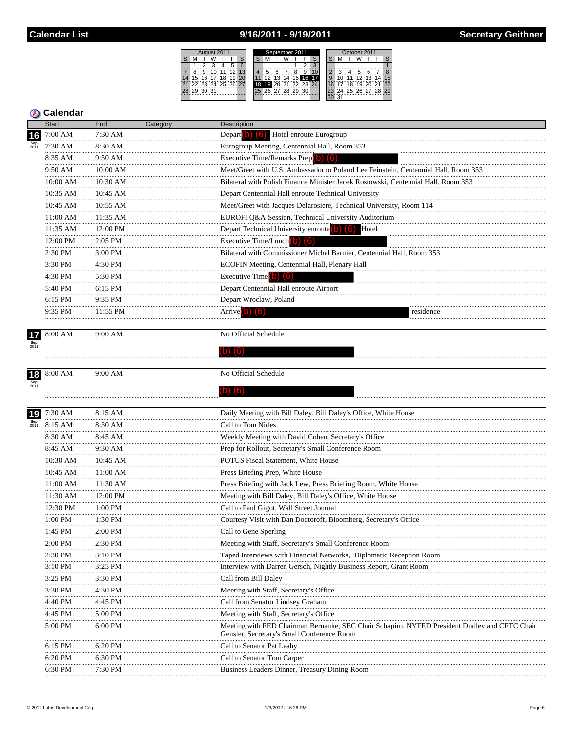# 9/16/2011 - 9/19/2011

| August 2011                      | September 2011       | )ctober 2011      |
|----------------------------------|----------------------|-------------------|
|                                  |                      |                   |
|                                  |                      |                   |
|                                  |                      |                   |
| 16 17 18<br>2 <sub>0</sub><br>15 | 13 14 15 16 17<br>12 | 11 12 13 14       |
| 22 23 24 25 26 27                | 20 21 22 23 24<br>18 | 18 19 20 21       |
| 29 30 31                         | 26 27 28 29 30       | 24 25 26 27 28 29 |
|                                  |                      |                   |

| Depart $(b)$ $(6)$<br>Hotel enroute Eurogroup<br>7:00 AM<br>7:30 AM<br>Eurogroup Meeting, Centennial Hall, Room 353<br>7:30 AM<br>8:30 AM<br>Executive Time/Remarks Prep(b) (6)<br>9:50 AM<br>8:35 AM<br>Meet/Greet with U.S. Ambassador to Poland Lee Feinstein, Centennial Hall, Room 353<br>9:50 AM<br>10:00 AM<br>10:00 AM<br>10:30 AM<br>Bilateral with Polish Finance Minister Jacek Rostowski, Centennial Hall, Room 353<br>10:35 AM<br>10:45 AM<br>Depart Centennial Hall enroute Technical University<br>10:45 AM<br>10:55 AM<br>Meet/Greet with Jacques Delarosiere, Technical University, Room 114<br>11:00 AM<br>$11:35$ AM<br>EUROFI O&A Session, Technical University Auditorium<br><br>12:00 PM<br>Depart Technical University enroute (b) (6)<br>11:35 AM<br>Hotel<br>Executive Time/Lunch (b) (6)<br>12:00 PM<br>$2:05$ PM<br>.<br>Bilateral with Commissioner Michel Barnier, Centennial Hall, Room 353<br>2:30 PM<br>3:00 PM<br>3:30 PM<br>4:30 PM<br>ECOFIN Meeting, Centennial Hall, Plenary Hall<br>4:30 PM<br>Executive Time $(b)$ $(6)$<br>5:30 PM<br>5:40 PM<br>6:15 PM<br>Depart Centennial Hall enroute Airport<br>6:15 PM<br>9:35 PM<br>Depart Wroclaw, Poland<br>9:35 PM<br>Arrive $\left( 0 \right)$ $\left( 6 \right)$<br>11:55 PM<br>residence<br>8:00 AM<br>No Official Schedule<br>9:00 AM<br>(b) (6)<br>18<br>8:00 AM<br>No Official Schedule<br>9:00 AM<br>(b) (6)<br>19<br>7:30 AM<br>8:15 AM<br>Daily Meeting with Bill Daley, Bill Daley's Office, White House<br>$Sep$<br>$2011$<br>8:15 AM<br>Call to Tom Nides<br>8:30 AM<br>8:30 AM<br>8:45 AM<br>Weekly Meeting with David Cohen, Secretary's Office<br>Prep for Rollout, Secretary's Small Conference Room<br>9:30 AM<br>8:45 AM<br>10:30 AM<br>10:45 AM<br>POTUS Fiscal Statement, White House<br>10:45 AM<br>11:00 AM<br>Press Briefing Prep, White House<br>$11:00~\mathrm{AM}$<br>Press Briefing with Jack Lew, Press Briefing Room, White House<br>11:30 AM<br>11:30 AM<br>12:00 PM<br>Meeting with Bill Daley, Bill Daley's Office, White House<br>12:30 PM<br>1:00 PM<br>Call to Paul Gigot, Wall Street Journal<br>1:30 PM<br>1:00 PM<br>Courtesy Visit with Dan Doctoroff, Bloomberg, Secretary's Office<br>2:00 PM<br>1:45 PM<br>Call to Gene Sperling<br>2:00 PM<br>2:30 PM<br>Meeting with Staff, Secretary's Small Conference Room<br>Taped Interviews with Financial Networks, Diplomatic Reception Room<br>2:30 PM<br>3:10 PM<br>3:10 PM<br>3:25 PM<br>Interview with Darren Gersch, Nightly Business Report, Grant Room<br>3:25 PM<br>3:30 PM<br>Call from Bill Daley<br>3:30 PM<br>4:30 PM<br>Meeting with Staff, Secretary's Office<br>4:40 PM<br>4:45 PM<br>Call from Senator Lindsey Graham<br>4:45 PM<br>5:00 PM<br>Meeting with Staff, Secretary's Office<br>5:00 PM<br>6:00 PM<br>Meeting with FED Chairman Bernanke, SEC Chair Schapiro, NYFED President Dudley and CFTC Chair<br>Gensler, Secretary's Small Conference Room<br>6:15 PM<br>6:20 PM<br>Call to Senator Pat Leahy<br>6:20 PM<br>6:30 PM<br>Call to Senator Tom Carper<br>6:30 PM<br>7:30 PM<br>Business Leaders Dinner, Treasury Dining Room |    | <b>Start</b> | End | Category | Description |
|---------------------------------------------------------------------------------------------------------------------------------------------------------------------------------------------------------------------------------------------------------------------------------------------------------------------------------------------------------------------------------------------------------------------------------------------------------------------------------------------------------------------------------------------------------------------------------------------------------------------------------------------------------------------------------------------------------------------------------------------------------------------------------------------------------------------------------------------------------------------------------------------------------------------------------------------------------------------------------------------------------------------------------------------------------------------------------------------------------------------------------------------------------------------------------------------------------------------------------------------------------------------------------------------------------------------------------------------------------------------------------------------------------------------------------------------------------------------------------------------------------------------------------------------------------------------------------------------------------------------------------------------------------------------------------------------------------------------------------------------------------------------------------------------------------------------------------------------------------------------------------------------------------------------------------------------------------------------------------------------------------------------------------------------------------------------------------------------------------------------------------------------------------------------------------------------------------------------------------------------------------------------------------------------------------------------------------------------------------------------------------------------------------------------------------------------------------------------------------------------------------------------------------------------------------------------------------------------------------------------------------------------------------------------------------------------------------------------------------------------------------------------------------------------------------------------------------------------------------------------------------------------------------------------------------------------------------------------------------------------------------------------------------------------------------------------------------------------------------------------------------|----|--------------|-----|----------|-------------|
|                                                                                                                                                                                                                                                                                                                                                                                                                                                                                                                                                                                                                                                                                                                                                                                                                                                                                                                                                                                                                                                                                                                                                                                                                                                                                                                                                                                                                                                                                                                                                                                                                                                                                                                                                                                                                                                                                                                                                                                                                                                                                                                                                                                                                                                                                                                                                                                                                                                                                                                                                                                                                                                                                                                                                                                                                                                                                                                                                                                                                                                                                                                                 | 16 |              |     |          |             |
|                                                                                                                                                                                                                                                                                                                                                                                                                                                                                                                                                                                                                                                                                                                                                                                                                                                                                                                                                                                                                                                                                                                                                                                                                                                                                                                                                                                                                                                                                                                                                                                                                                                                                                                                                                                                                                                                                                                                                                                                                                                                                                                                                                                                                                                                                                                                                                                                                                                                                                                                                                                                                                                                                                                                                                                                                                                                                                                                                                                                                                                                                                                                 |    |              |     |          |             |
|                                                                                                                                                                                                                                                                                                                                                                                                                                                                                                                                                                                                                                                                                                                                                                                                                                                                                                                                                                                                                                                                                                                                                                                                                                                                                                                                                                                                                                                                                                                                                                                                                                                                                                                                                                                                                                                                                                                                                                                                                                                                                                                                                                                                                                                                                                                                                                                                                                                                                                                                                                                                                                                                                                                                                                                                                                                                                                                                                                                                                                                                                                                                 |    |              |     |          |             |
|                                                                                                                                                                                                                                                                                                                                                                                                                                                                                                                                                                                                                                                                                                                                                                                                                                                                                                                                                                                                                                                                                                                                                                                                                                                                                                                                                                                                                                                                                                                                                                                                                                                                                                                                                                                                                                                                                                                                                                                                                                                                                                                                                                                                                                                                                                                                                                                                                                                                                                                                                                                                                                                                                                                                                                                                                                                                                                                                                                                                                                                                                                                                 |    |              |     |          |             |
|                                                                                                                                                                                                                                                                                                                                                                                                                                                                                                                                                                                                                                                                                                                                                                                                                                                                                                                                                                                                                                                                                                                                                                                                                                                                                                                                                                                                                                                                                                                                                                                                                                                                                                                                                                                                                                                                                                                                                                                                                                                                                                                                                                                                                                                                                                                                                                                                                                                                                                                                                                                                                                                                                                                                                                                                                                                                                                                                                                                                                                                                                                                                 |    |              |     |          |             |
|                                                                                                                                                                                                                                                                                                                                                                                                                                                                                                                                                                                                                                                                                                                                                                                                                                                                                                                                                                                                                                                                                                                                                                                                                                                                                                                                                                                                                                                                                                                                                                                                                                                                                                                                                                                                                                                                                                                                                                                                                                                                                                                                                                                                                                                                                                                                                                                                                                                                                                                                                                                                                                                                                                                                                                                                                                                                                                                                                                                                                                                                                                                                 |    |              |     |          |             |
|                                                                                                                                                                                                                                                                                                                                                                                                                                                                                                                                                                                                                                                                                                                                                                                                                                                                                                                                                                                                                                                                                                                                                                                                                                                                                                                                                                                                                                                                                                                                                                                                                                                                                                                                                                                                                                                                                                                                                                                                                                                                                                                                                                                                                                                                                                                                                                                                                                                                                                                                                                                                                                                                                                                                                                                                                                                                                                                                                                                                                                                                                                                                 |    |              |     |          |             |
|                                                                                                                                                                                                                                                                                                                                                                                                                                                                                                                                                                                                                                                                                                                                                                                                                                                                                                                                                                                                                                                                                                                                                                                                                                                                                                                                                                                                                                                                                                                                                                                                                                                                                                                                                                                                                                                                                                                                                                                                                                                                                                                                                                                                                                                                                                                                                                                                                                                                                                                                                                                                                                                                                                                                                                                                                                                                                                                                                                                                                                                                                                                                 |    |              |     |          |             |
|                                                                                                                                                                                                                                                                                                                                                                                                                                                                                                                                                                                                                                                                                                                                                                                                                                                                                                                                                                                                                                                                                                                                                                                                                                                                                                                                                                                                                                                                                                                                                                                                                                                                                                                                                                                                                                                                                                                                                                                                                                                                                                                                                                                                                                                                                                                                                                                                                                                                                                                                                                                                                                                                                                                                                                                                                                                                                                                                                                                                                                                                                                                                 |    |              |     |          |             |
|                                                                                                                                                                                                                                                                                                                                                                                                                                                                                                                                                                                                                                                                                                                                                                                                                                                                                                                                                                                                                                                                                                                                                                                                                                                                                                                                                                                                                                                                                                                                                                                                                                                                                                                                                                                                                                                                                                                                                                                                                                                                                                                                                                                                                                                                                                                                                                                                                                                                                                                                                                                                                                                                                                                                                                                                                                                                                                                                                                                                                                                                                                                                 |    |              |     |          |             |
|                                                                                                                                                                                                                                                                                                                                                                                                                                                                                                                                                                                                                                                                                                                                                                                                                                                                                                                                                                                                                                                                                                                                                                                                                                                                                                                                                                                                                                                                                                                                                                                                                                                                                                                                                                                                                                                                                                                                                                                                                                                                                                                                                                                                                                                                                                                                                                                                                                                                                                                                                                                                                                                                                                                                                                                                                                                                                                                                                                                                                                                                                                                                 |    |              |     |          |             |
|                                                                                                                                                                                                                                                                                                                                                                                                                                                                                                                                                                                                                                                                                                                                                                                                                                                                                                                                                                                                                                                                                                                                                                                                                                                                                                                                                                                                                                                                                                                                                                                                                                                                                                                                                                                                                                                                                                                                                                                                                                                                                                                                                                                                                                                                                                                                                                                                                                                                                                                                                                                                                                                                                                                                                                                                                                                                                                                                                                                                                                                                                                                                 |    |              |     |          |             |
|                                                                                                                                                                                                                                                                                                                                                                                                                                                                                                                                                                                                                                                                                                                                                                                                                                                                                                                                                                                                                                                                                                                                                                                                                                                                                                                                                                                                                                                                                                                                                                                                                                                                                                                                                                                                                                                                                                                                                                                                                                                                                                                                                                                                                                                                                                                                                                                                                                                                                                                                                                                                                                                                                                                                                                                                                                                                                                                                                                                                                                                                                                                                 |    |              |     |          |             |
|                                                                                                                                                                                                                                                                                                                                                                                                                                                                                                                                                                                                                                                                                                                                                                                                                                                                                                                                                                                                                                                                                                                                                                                                                                                                                                                                                                                                                                                                                                                                                                                                                                                                                                                                                                                                                                                                                                                                                                                                                                                                                                                                                                                                                                                                                                                                                                                                                                                                                                                                                                                                                                                                                                                                                                                                                                                                                                                                                                                                                                                                                                                                 |    |              |     |          |             |
|                                                                                                                                                                                                                                                                                                                                                                                                                                                                                                                                                                                                                                                                                                                                                                                                                                                                                                                                                                                                                                                                                                                                                                                                                                                                                                                                                                                                                                                                                                                                                                                                                                                                                                                                                                                                                                                                                                                                                                                                                                                                                                                                                                                                                                                                                                                                                                                                                                                                                                                                                                                                                                                                                                                                                                                                                                                                                                                                                                                                                                                                                                                                 |    |              |     |          |             |
|                                                                                                                                                                                                                                                                                                                                                                                                                                                                                                                                                                                                                                                                                                                                                                                                                                                                                                                                                                                                                                                                                                                                                                                                                                                                                                                                                                                                                                                                                                                                                                                                                                                                                                                                                                                                                                                                                                                                                                                                                                                                                                                                                                                                                                                                                                                                                                                                                                                                                                                                                                                                                                                                                                                                                                                                                                                                                                                                                                                                                                                                                                                                 |    |              |     |          |             |
|                                                                                                                                                                                                                                                                                                                                                                                                                                                                                                                                                                                                                                                                                                                                                                                                                                                                                                                                                                                                                                                                                                                                                                                                                                                                                                                                                                                                                                                                                                                                                                                                                                                                                                                                                                                                                                                                                                                                                                                                                                                                                                                                                                                                                                                                                                                                                                                                                                                                                                                                                                                                                                                                                                                                                                                                                                                                                                                                                                                                                                                                                                                                 |    |              |     |          |             |
|                                                                                                                                                                                                                                                                                                                                                                                                                                                                                                                                                                                                                                                                                                                                                                                                                                                                                                                                                                                                                                                                                                                                                                                                                                                                                                                                                                                                                                                                                                                                                                                                                                                                                                                                                                                                                                                                                                                                                                                                                                                                                                                                                                                                                                                                                                                                                                                                                                                                                                                                                                                                                                                                                                                                                                                                                                                                                                                                                                                                                                                                                                                                 | 17 |              |     |          |             |
|                                                                                                                                                                                                                                                                                                                                                                                                                                                                                                                                                                                                                                                                                                                                                                                                                                                                                                                                                                                                                                                                                                                                                                                                                                                                                                                                                                                                                                                                                                                                                                                                                                                                                                                                                                                                                                                                                                                                                                                                                                                                                                                                                                                                                                                                                                                                                                                                                                                                                                                                                                                                                                                                                                                                                                                                                                                                                                                                                                                                                                                                                                                                 |    |              |     |          |             |
|                                                                                                                                                                                                                                                                                                                                                                                                                                                                                                                                                                                                                                                                                                                                                                                                                                                                                                                                                                                                                                                                                                                                                                                                                                                                                                                                                                                                                                                                                                                                                                                                                                                                                                                                                                                                                                                                                                                                                                                                                                                                                                                                                                                                                                                                                                                                                                                                                                                                                                                                                                                                                                                                                                                                                                                                                                                                                                                                                                                                                                                                                                                                 |    |              |     |          |             |
|                                                                                                                                                                                                                                                                                                                                                                                                                                                                                                                                                                                                                                                                                                                                                                                                                                                                                                                                                                                                                                                                                                                                                                                                                                                                                                                                                                                                                                                                                                                                                                                                                                                                                                                                                                                                                                                                                                                                                                                                                                                                                                                                                                                                                                                                                                                                                                                                                                                                                                                                                                                                                                                                                                                                                                                                                                                                                                                                                                                                                                                                                                                                 |    |              |     |          |             |
|                                                                                                                                                                                                                                                                                                                                                                                                                                                                                                                                                                                                                                                                                                                                                                                                                                                                                                                                                                                                                                                                                                                                                                                                                                                                                                                                                                                                                                                                                                                                                                                                                                                                                                                                                                                                                                                                                                                                                                                                                                                                                                                                                                                                                                                                                                                                                                                                                                                                                                                                                                                                                                                                                                                                                                                                                                                                                                                                                                                                                                                                                                                                 |    |              |     |          |             |
|                                                                                                                                                                                                                                                                                                                                                                                                                                                                                                                                                                                                                                                                                                                                                                                                                                                                                                                                                                                                                                                                                                                                                                                                                                                                                                                                                                                                                                                                                                                                                                                                                                                                                                                                                                                                                                                                                                                                                                                                                                                                                                                                                                                                                                                                                                                                                                                                                                                                                                                                                                                                                                                                                                                                                                                                                                                                                                                                                                                                                                                                                                                                 |    |              |     |          |             |
|                                                                                                                                                                                                                                                                                                                                                                                                                                                                                                                                                                                                                                                                                                                                                                                                                                                                                                                                                                                                                                                                                                                                                                                                                                                                                                                                                                                                                                                                                                                                                                                                                                                                                                                                                                                                                                                                                                                                                                                                                                                                                                                                                                                                                                                                                                                                                                                                                                                                                                                                                                                                                                                                                                                                                                                                                                                                                                                                                                                                                                                                                                                                 |    |              |     |          |             |
|                                                                                                                                                                                                                                                                                                                                                                                                                                                                                                                                                                                                                                                                                                                                                                                                                                                                                                                                                                                                                                                                                                                                                                                                                                                                                                                                                                                                                                                                                                                                                                                                                                                                                                                                                                                                                                                                                                                                                                                                                                                                                                                                                                                                                                                                                                                                                                                                                                                                                                                                                                                                                                                                                                                                                                                                                                                                                                                                                                                                                                                                                                                                 |    |              |     |          |             |
|                                                                                                                                                                                                                                                                                                                                                                                                                                                                                                                                                                                                                                                                                                                                                                                                                                                                                                                                                                                                                                                                                                                                                                                                                                                                                                                                                                                                                                                                                                                                                                                                                                                                                                                                                                                                                                                                                                                                                                                                                                                                                                                                                                                                                                                                                                                                                                                                                                                                                                                                                                                                                                                                                                                                                                                                                                                                                                                                                                                                                                                                                                                                 |    |              |     |          |             |
|                                                                                                                                                                                                                                                                                                                                                                                                                                                                                                                                                                                                                                                                                                                                                                                                                                                                                                                                                                                                                                                                                                                                                                                                                                                                                                                                                                                                                                                                                                                                                                                                                                                                                                                                                                                                                                                                                                                                                                                                                                                                                                                                                                                                                                                                                                                                                                                                                                                                                                                                                                                                                                                                                                                                                                                                                                                                                                                                                                                                                                                                                                                                 |    |              |     |          |             |
|                                                                                                                                                                                                                                                                                                                                                                                                                                                                                                                                                                                                                                                                                                                                                                                                                                                                                                                                                                                                                                                                                                                                                                                                                                                                                                                                                                                                                                                                                                                                                                                                                                                                                                                                                                                                                                                                                                                                                                                                                                                                                                                                                                                                                                                                                                                                                                                                                                                                                                                                                                                                                                                                                                                                                                                                                                                                                                                                                                                                                                                                                                                                 |    |              |     |          |             |
|                                                                                                                                                                                                                                                                                                                                                                                                                                                                                                                                                                                                                                                                                                                                                                                                                                                                                                                                                                                                                                                                                                                                                                                                                                                                                                                                                                                                                                                                                                                                                                                                                                                                                                                                                                                                                                                                                                                                                                                                                                                                                                                                                                                                                                                                                                                                                                                                                                                                                                                                                                                                                                                                                                                                                                                                                                                                                                                                                                                                                                                                                                                                 |    |              |     |          |             |
|                                                                                                                                                                                                                                                                                                                                                                                                                                                                                                                                                                                                                                                                                                                                                                                                                                                                                                                                                                                                                                                                                                                                                                                                                                                                                                                                                                                                                                                                                                                                                                                                                                                                                                                                                                                                                                                                                                                                                                                                                                                                                                                                                                                                                                                                                                                                                                                                                                                                                                                                                                                                                                                                                                                                                                                                                                                                                                                                                                                                                                                                                                                                 |    |              |     |          |             |
|                                                                                                                                                                                                                                                                                                                                                                                                                                                                                                                                                                                                                                                                                                                                                                                                                                                                                                                                                                                                                                                                                                                                                                                                                                                                                                                                                                                                                                                                                                                                                                                                                                                                                                                                                                                                                                                                                                                                                                                                                                                                                                                                                                                                                                                                                                                                                                                                                                                                                                                                                                                                                                                                                                                                                                                                                                                                                                                                                                                                                                                                                                                                 |    |              |     |          |             |
|                                                                                                                                                                                                                                                                                                                                                                                                                                                                                                                                                                                                                                                                                                                                                                                                                                                                                                                                                                                                                                                                                                                                                                                                                                                                                                                                                                                                                                                                                                                                                                                                                                                                                                                                                                                                                                                                                                                                                                                                                                                                                                                                                                                                                                                                                                                                                                                                                                                                                                                                                                                                                                                                                                                                                                                                                                                                                                                                                                                                                                                                                                                                 |    |              |     |          |             |
|                                                                                                                                                                                                                                                                                                                                                                                                                                                                                                                                                                                                                                                                                                                                                                                                                                                                                                                                                                                                                                                                                                                                                                                                                                                                                                                                                                                                                                                                                                                                                                                                                                                                                                                                                                                                                                                                                                                                                                                                                                                                                                                                                                                                                                                                                                                                                                                                                                                                                                                                                                                                                                                                                                                                                                                                                                                                                                                                                                                                                                                                                                                                 |    |              |     |          |             |
|                                                                                                                                                                                                                                                                                                                                                                                                                                                                                                                                                                                                                                                                                                                                                                                                                                                                                                                                                                                                                                                                                                                                                                                                                                                                                                                                                                                                                                                                                                                                                                                                                                                                                                                                                                                                                                                                                                                                                                                                                                                                                                                                                                                                                                                                                                                                                                                                                                                                                                                                                                                                                                                                                                                                                                                                                                                                                                                                                                                                                                                                                                                                 |    |              |     |          |             |
|                                                                                                                                                                                                                                                                                                                                                                                                                                                                                                                                                                                                                                                                                                                                                                                                                                                                                                                                                                                                                                                                                                                                                                                                                                                                                                                                                                                                                                                                                                                                                                                                                                                                                                                                                                                                                                                                                                                                                                                                                                                                                                                                                                                                                                                                                                                                                                                                                                                                                                                                                                                                                                                                                                                                                                                                                                                                                                                                                                                                                                                                                                                                 |    |              |     |          |             |
|                                                                                                                                                                                                                                                                                                                                                                                                                                                                                                                                                                                                                                                                                                                                                                                                                                                                                                                                                                                                                                                                                                                                                                                                                                                                                                                                                                                                                                                                                                                                                                                                                                                                                                                                                                                                                                                                                                                                                                                                                                                                                                                                                                                                                                                                                                                                                                                                                                                                                                                                                                                                                                                                                                                                                                                                                                                                                                                                                                                                                                                                                                                                 |    |              |     |          |             |
|                                                                                                                                                                                                                                                                                                                                                                                                                                                                                                                                                                                                                                                                                                                                                                                                                                                                                                                                                                                                                                                                                                                                                                                                                                                                                                                                                                                                                                                                                                                                                                                                                                                                                                                                                                                                                                                                                                                                                                                                                                                                                                                                                                                                                                                                                                                                                                                                                                                                                                                                                                                                                                                                                                                                                                                                                                                                                                                                                                                                                                                                                                                                 |    |              |     |          |             |
|                                                                                                                                                                                                                                                                                                                                                                                                                                                                                                                                                                                                                                                                                                                                                                                                                                                                                                                                                                                                                                                                                                                                                                                                                                                                                                                                                                                                                                                                                                                                                                                                                                                                                                                                                                                                                                                                                                                                                                                                                                                                                                                                                                                                                                                                                                                                                                                                                                                                                                                                                                                                                                                                                                                                                                                                                                                                                                                                                                                                                                                                                                                                 |    |              |     |          |             |
|                                                                                                                                                                                                                                                                                                                                                                                                                                                                                                                                                                                                                                                                                                                                                                                                                                                                                                                                                                                                                                                                                                                                                                                                                                                                                                                                                                                                                                                                                                                                                                                                                                                                                                                                                                                                                                                                                                                                                                                                                                                                                                                                                                                                                                                                                                                                                                                                                                                                                                                                                                                                                                                                                                                                                                                                                                                                                                                                                                                                                                                                                                                                 |    |              |     |          |             |
|                                                                                                                                                                                                                                                                                                                                                                                                                                                                                                                                                                                                                                                                                                                                                                                                                                                                                                                                                                                                                                                                                                                                                                                                                                                                                                                                                                                                                                                                                                                                                                                                                                                                                                                                                                                                                                                                                                                                                                                                                                                                                                                                                                                                                                                                                                                                                                                                                                                                                                                                                                                                                                                                                                                                                                                                                                                                                                                                                                                                                                                                                                                                 |    |              |     |          |             |
|                                                                                                                                                                                                                                                                                                                                                                                                                                                                                                                                                                                                                                                                                                                                                                                                                                                                                                                                                                                                                                                                                                                                                                                                                                                                                                                                                                                                                                                                                                                                                                                                                                                                                                                                                                                                                                                                                                                                                                                                                                                                                                                                                                                                                                                                                                                                                                                                                                                                                                                                                                                                                                                                                                                                                                                                                                                                                                                                                                                                                                                                                                                                 |    |              |     |          |             |
|                                                                                                                                                                                                                                                                                                                                                                                                                                                                                                                                                                                                                                                                                                                                                                                                                                                                                                                                                                                                                                                                                                                                                                                                                                                                                                                                                                                                                                                                                                                                                                                                                                                                                                                                                                                                                                                                                                                                                                                                                                                                                                                                                                                                                                                                                                                                                                                                                                                                                                                                                                                                                                                                                                                                                                                                                                                                                                                                                                                                                                                                                                                                 |    |              |     |          |             |
|                                                                                                                                                                                                                                                                                                                                                                                                                                                                                                                                                                                                                                                                                                                                                                                                                                                                                                                                                                                                                                                                                                                                                                                                                                                                                                                                                                                                                                                                                                                                                                                                                                                                                                                                                                                                                                                                                                                                                                                                                                                                                                                                                                                                                                                                                                                                                                                                                                                                                                                                                                                                                                                                                                                                                                                                                                                                                                                                                                                                                                                                                                                                 |    |              |     |          |             |
|                                                                                                                                                                                                                                                                                                                                                                                                                                                                                                                                                                                                                                                                                                                                                                                                                                                                                                                                                                                                                                                                                                                                                                                                                                                                                                                                                                                                                                                                                                                                                                                                                                                                                                                                                                                                                                                                                                                                                                                                                                                                                                                                                                                                                                                                                                                                                                                                                                                                                                                                                                                                                                                                                                                                                                                                                                                                                                                                                                                                                                                                                                                                 |    |              |     |          |             |
|                                                                                                                                                                                                                                                                                                                                                                                                                                                                                                                                                                                                                                                                                                                                                                                                                                                                                                                                                                                                                                                                                                                                                                                                                                                                                                                                                                                                                                                                                                                                                                                                                                                                                                                                                                                                                                                                                                                                                                                                                                                                                                                                                                                                                                                                                                                                                                                                                                                                                                                                                                                                                                                                                                                                                                                                                                                                                                                                                                                                                                                                                                                                 |    |              |     |          |             |
|                                                                                                                                                                                                                                                                                                                                                                                                                                                                                                                                                                                                                                                                                                                                                                                                                                                                                                                                                                                                                                                                                                                                                                                                                                                                                                                                                                                                                                                                                                                                                                                                                                                                                                                                                                                                                                                                                                                                                                                                                                                                                                                                                                                                                                                                                                                                                                                                                                                                                                                                                                                                                                                                                                                                                                                                                                                                                                                                                                                                                                                                                                                                 |    |              |     |          |             |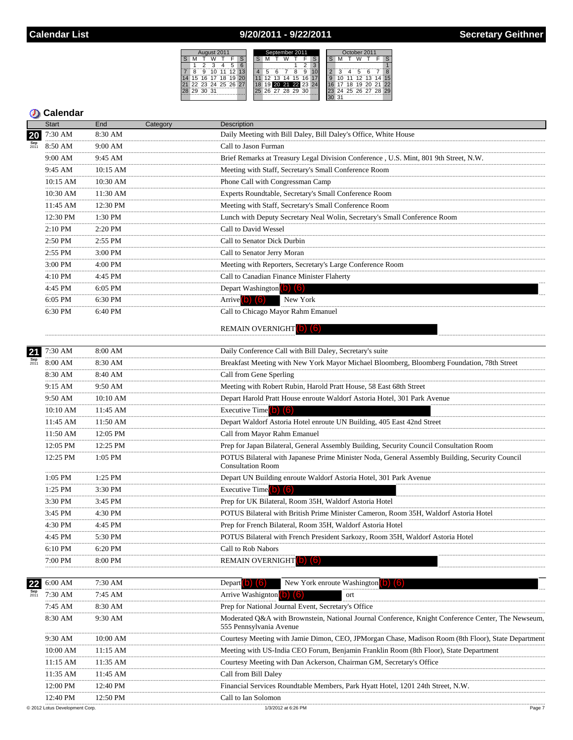# 9/20/2011 - 9/22/2011



|             | <b>Start</b> | End          | Category | <b>Description</b>                                                                                                            |
|-------------|--------------|--------------|----------|-------------------------------------------------------------------------------------------------------------------------------|
| 20          | 7:30 AM      | 8:30 AM      |          | Daily Meeting with Bill Daley, Bill Daley's Office, White House                                                               |
|             | 8:50 AM      | 9:00 AM      |          | Call to Jason Furman                                                                                                          |
|             | 9:00 AM      | .<br>9:45 AM |          | Brief Remarks at Treasury Legal Division Conference, U.S. Mint, 801 9th Street, N.W.                                          |
|             | 9:45 AM      | 10:15 AM     |          | Meeting with Staff, Secretary's Small Conference Room                                                                         |
|             | $10:15$ AM   | 10:30 AM     |          | Phone Call with Congressman Camp                                                                                              |
|             | 10:30 AM     | 11:30 AM     |          | Experts Roundtable, Secretary's Small Conference Room                                                                         |
|             | 11:45 AM     | 12:30 PM     |          | Meeting with Staff, Secretary's Small Conference Room                                                                         |
|             | 12:30 PM     | <br>1:30 PM  |          | Lunch with Deputy Secretary Neal Wolin, Secretary's Small Conference Room                                                     |
|             | $2:10$ PM    | 2:20 PM      |          | Call to David Wessel                                                                                                          |
|             | .<br>2:50 PM | 2:55 PM      |          | Call to Senator Dick Durbin                                                                                                   |
|             | 2:55 PM      | 3:00 PM      |          | Call to Senator Jerry Moran                                                                                                   |
|             | .<br>3:00 PM | 4:00 PM      |          | Meeting with Reporters, Secretary's Large Conference Room                                                                     |
|             | 4:10 PM      | 4:45 PM      |          | Call to Canadian Finance Minister Flaherty                                                                                    |
|             | 4:45 PM      | 6:05 PM      |          | Depart Washington (b) (6)                                                                                                     |
|             | 6:05 PM      | 6:30 PM      |          | Arrive (b) $(6)$<br>New York                                                                                                  |
|             | 6:30 PM      | 6:40 PM      |          | Call to Chicago Mayor Rahm Emanuel                                                                                            |
|             |              |              |          | REMAIN OVERNIGHT (b) (6)                                                                                                      |
| 21          | 7:30 AM      | 8:00 AM      |          | Daily Conference Call with Bill Daley, Secretary's suite                                                                      |
| Sep<br>2011 | 8:00 AM      | .<br>8:30 AM |          | Breakfast Meeting with New York Mayor Michael Bloomberg, Bloomberg Foundation, 78th Street                                    |
|             | 8:30 AM      | 8:40 AM      |          | Call from Gene Sperling                                                                                                       |
|             | 9:15 AM      | .<br>9:50 AM |          | Meeting with Robert Rubin, Harold Pratt House, 58 East 68th Street                                                            |
|             | 9:50 AM      | 10:10 AM     |          | Depart Harold Pratt House enroute Waldorf Astoria Hotel, 301 Park Avenue                                                      |
|             | 10:10 AM     | 11:45 AM     |          | Executive Time $(5)(6)$                                                                                                       |
|             | 11:45 AM     | 11:50 AM     |          | Depart Waldorf Astoria Hotel enroute UN Building, 405 East 42nd Street                                                        |
|             | 11:50 AM     | 12:05 PM     |          | Call from Mayor Rahm Emanuel                                                                                                  |
|             | 12:05 PM     | 12:25 PM     |          | Prep for Japan Bilateral, General Assembly Building, Security Council Consultation Room                                       |
|             | 12:25 PM     | 1:05 PM      |          | POTUS Bilateral with Japanese Prime Minister Noda, General Assembly Building, Security Council<br><b>Consultation Room</b>    |
|             | $1:05$ PM    | 1:25 PM      |          | Depart UN Building enroute Waldorf Astoria Hotel, 301 Park Avenue                                                             |
|             | 1:25 PM      | 3:30 PM      |          | Executive Time $(b)$ $(6)$                                                                                                    |
|             | 3:30 PM      | 3:45 PM      |          | Prep for UK Bilateral, Room 35H, Waldorf Astoria Hotel                                                                        |
|             | 3:45 PM      | 4:30 PM      |          | POTUS Bilateral with British Prime Minister Cameron, Room 35H, Waldorf Astoria Hotel                                          |
|             | 4:30 PM      | 4:45 PM      |          | Prep for French Bilateral, Room 35H, Waldorf Astoria Hotel                                                                    |
|             | 4:45 PM      | 5:30 PM      |          | POTUS Bilateral with French President Sarkozy, Room 35H, Waldorf Astoria Hotel                                                |
|             | 6:10 PM      | 6:20 PM      |          | Call to Rob Nabors                                                                                                            |
|             | 7:00 PM      | 8:00 PM      |          | <b>REMAIN OVERNIGHT</b>                                                                                                       |
| 22          | 6:00 AM      | 7:30 AM      |          | New York enroute Washington (b)<br>Depart <b>O</b><br>161                                                                     |
|             | 7:30 AM      | 7:45 AM      |          | Arrive Washignton (b) (6)<br>ort                                                                                              |
|             | 7:45 AM      | 8:30 AM      |          | Prep for National Journal Event, Secretary's Office                                                                           |
|             | 8:30 AM      | 9:30 AM      |          | Moderated Q&A with Brownstein, National Journal Conference, Knight Conference Center, The Newseum,<br>555 Pennsylvania Avenue |
|             | 9:30 AM      | $10:00$ AM   |          | Courtesy Meeting with Jamie Dimon, CEO, JPMorgan Chase, Madison Room (8th Floor), State Department                            |
|             | 10:00 AM     | 11:15 AM     |          | Meeting with US-India CEO Forum, Benjamin Franklin Room (8th Floor), State Department                                         |
|             | 11:15 AM     | 11:35 AM     |          | Courtesy Meeting with Dan Ackerson, Chairman GM, Secretary's Office                                                           |
|             | 11:35 AM     | 11:45 AM     |          | Call from Bill Daley                                                                                                          |
|             | 12:00 PM     | 12:40 PM     |          | Financial Services Roundtable Members, Park Hyatt Hotel, 1201 24th Street, N.W.                                               |
|             | 12:40 PM     | 12:50 PM     |          | Call to Ian Solomon                                                                                                           |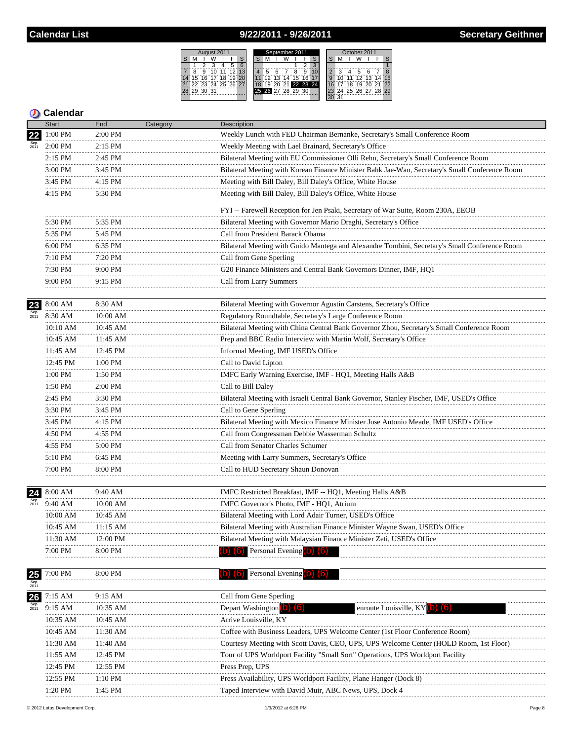### 9/22/2011 - 9/26/2011

 $S$  M



|                          | <b>Start</b>                 | End          | Category | Description                                                                                                                      |  |  |  |  |  |  |  |
|--------------------------|------------------------------|--------------|----------|----------------------------------------------------------------------------------------------------------------------------------|--|--|--|--|--|--|--|
|                          | 1:00 PM                      | 2:00 PM      |          | Weekly Lunch with FED Chairman Bernanke, Secretary's Small Conference Room                                                       |  |  |  |  |  |  |  |
| <b>Sep</b><br>2011       | 2:00 PM                      | 2:15 PM      |          | Weekly Meeting with Lael Brainard, Secretary's Office                                                                            |  |  |  |  |  |  |  |
|                          | $2:15$ PM                    | 2:45 PM      |          | Bilateral Meeting with EU Commissioner Olli Rehn, Secretary's Small Conference Room                                              |  |  |  |  |  |  |  |
|                          | 3:00 PM                      | 3:45 PM      |          | Bilateral Meeting with Korean Finance Minister Bahk Jae-Wan, Secretary's Small Conference Room                                   |  |  |  |  |  |  |  |
|                          | <br>3:45 PM                  | 4:15 PM      |          | Meeting with Bill Daley, Bill Daley's Office, White House                                                                        |  |  |  |  |  |  |  |
|                          | 4:15 PM                      | 5:30 PM      |          | Meeting with Bill Daley, Bill Daley's Office, White House                                                                        |  |  |  |  |  |  |  |
|                          |                              |              |          |                                                                                                                                  |  |  |  |  |  |  |  |
|                          |                              |              |          | FYI -- Farewell Reception for Jen Psaki, Secretary of War Suite, Room 230A, EEOB                                                 |  |  |  |  |  |  |  |
|                          | 5:30 PM<br>.                 | 5:35 PM      |          | Bilateral Meeting with Governor Mario Draghi, Secretary's Office                                                                 |  |  |  |  |  |  |  |
|                          | 5:35 PM                      | 5:45 PM      |          | Call from President Barack Obama                                                                                                 |  |  |  |  |  |  |  |
|                          | 6:00 PM                      | 6:35 PM      |          | Bilateral Meeting with Guido Mantega and Alexandre Tombini, Secretary's Small Conference Room                                    |  |  |  |  |  |  |  |
|                          | 7:10 PM                      | 7:20 PM      |          | Call from Gene Sperling                                                                                                          |  |  |  |  |  |  |  |
|                          | 7:30 PM                      | 9:00 PM      |          | G20 Finance Ministers and Central Bank Governors Dinner, IMF, HQ1                                                                |  |  |  |  |  |  |  |
|                          | 9:00 PM                      | 9:15 PM      |          | Call from Larry Summers                                                                                                          |  |  |  |  |  |  |  |
|                          | 8:00 AM                      | 8:30 AM      |          |                                                                                                                                  |  |  |  |  |  |  |  |
| 23<br>Sep<br>2011        | 8:30 AM                      | 10:00 AM     |          | Bilateral Meeting with Governor Agustin Carstens, Secretary's Office<br>Regulatory Roundtable, Secretary's Large Conference Room |  |  |  |  |  |  |  |
|                          | 10:10 AM                     | 10:45 AM     |          | Bilateral Meeting with China Central Bank Governor Zhou, Secretary's Small Conference Room                                       |  |  |  |  |  |  |  |
|                          | <br>$10:45$ AM<br>$11:45$ AM |              |          | Prep and BBC Radio Interview with Martin Wolf, Secretary's Office                                                                |  |  |  |  |  |  |  |
|                          | 11:45 AM                     | 12:45 PM     |          | Informal Meeting, IMF USED's Office                                                                                              |  |  |  |  |  |  |  |
|                          | <br>12:45 PM                 | 1:00 PM      |          |                                                                                                                                  |  |  |  |  |  |  |  |
|                          |                              | .<br>1:50 PM |          | Call to David Lipton                                                                                                             |  |  |  |  |  |  |  |
|                          | 1:00 PM<br>                  |              |          | IMFC Early Warning Exercise, IMF - HQ1, Meeting Halls A&B                                                                        |  |  |  |  |  |  |  |
|                          | 2:00 PM<br>1:50 PM<br><br>.  |              |          | Call to Bill Daley                                                                                                               |  |  |  |  |  |  |  |
|                          | 2:45 PM                      | 3:30 PM      |          | Bilateral Meeting with Israeli Central Bank Governor, Stanley Fischer, IMF, USED's Office                                        |  |  |  |  |  |  |  |
|                          | 3:30 PM<br>                  | 3:45 PM      |          | Call to Gene Sperling                                                                                                            |  |  |  |  |  |  |  |
|                          | 3:45 PM                      | 4:15 PM      |          | Bilateral Meeting with Mexico Finance Minister Jose Antonio Meade, IMF USED's Office                                             |  |  |  |  |  |  |  |
|                          | 4:50 PM<br>.                 | 4:55 PM      |          | Call from Congressman Debbie Wasserman Schultz                                                                                   |  |  |  |  |  |  |  |
|                          | 4:55 PM<br>                  | 5:00 PM      |          | Call from Senator Charles Schumer                                                                                                |  |  |  |  |  |  |  |
|                          | 5:10 PM                      | 6:45 PM      |          | Meeting with Larry Summers, Secretary's Office                                                                                   |  |  |  |  |  |  |  |
|                          | 7:00 PM<br>.                 | 8:00 PM      |          | Call to HUD Secretary Shaun Donovan                                                                                              |  |  |  |  |  |  |  |
| 24                       | $8:00~\mathrm{AM}$           | 9:40 AM      |          | IMFC Restricted Breakfast, IMF -- HQ1, Meeting Halls A&B                                                                         |  |  |  |  |  |  |  |
|                          | 9:40 AM                      | 10:00 AM     |          | IMFC Governor's Photo, IMF - HQ1, Atrium                                                                                         |  |  |  |  |  |  |  |
|                          | 10:00 AM                     | 10:45 AM     |          | Bilateral Meeting with Lord Adair Turner, USED's Office                                                                          |  |  |  |  |  |  |  |
|                          | 10:45 AM                     | 11:15 AM     |          | Bilateral Meeting with Australian Finance Minister Wayne Swan, USED's Office                                                     |  |  |  |  |  |  |  |
|                          | 11:30 AM                     | 12:00 PM     |          | Bilateral Meeting with Malaysian Finance Minister Zeti, USED's Office                                                            |  |  |  |  |  |  |  |
|                          | 7:00 PM                      | 8:00 PM      |          | Personal Evening (b)                                                                                                             |  |  |  |  |  |  |  |
|                          |                              |              |          |                                                                                                                                  |  |  |  |  |  |  |  |
| $\frac{25}{\text{Sep}}$  | 7:00 PM                      | 8:00 PM      |          | Personal Evening (b) (6)                                                                                                         |  |  |  |  |  |  |  |
|                          | 7:15 AM                      | 9:15 AM      |          | Call from Gene Sperling                                                                                                          |  |  |  |  |  |  |  |
| 26<br><b>Sep</b><br>2011 | 9:15 AM                      | 10:35 AM     |          | Depart Washington                                                                                                                |  |  |  |  |  |  |  |
|                          |                              |              |          | enroute Louisville. K)<br>Arrive Louisville, KY                                                                                  |  |  |  |  |  |  |  |
|                          | 10:35 AM                     | 10:45 AM     |          | Coffee with Business Leaders. UPS Welcome Center (1st Floor Conference Room)                                                     |  |  |  |  |  |  |  |
|                          | 10:45 AM                     | 11:30 AM     |          |                                                                                                                                  |  |  |  |  |  |  |  |
|                          | 11:30 AM                     | 11:40 AM     |          | Courtesy Meeting with Scott Davis, CEO, UPS, UPS Welcome Center (HOLD Room, 1st Floor)                                           |  |  |  |  |  |  |  |
|                          | 11:55 AM                     | 12:45 PM     |          | Tour of UPS Worldport Facility "Small Sort" Operations, UPS Worldport Facility                                                   |  |  |  |  |  |  |  |
|                          | 12:45 PM                     | 12:55 PM     |          | Press Prep, UPS                                                                                                                  |  |  |  |  |  |  |  |
|                          | 12:55 PM                     | 1:10 PM      |          | Press Availability, UPS Worldport Facility, Plane Hanger (Dock 8)                                                                |  |  |  |  |  |  |  |
|                          | 1:20 PM                      | 1:45 PM      |          | Taped Interview with David Muir, ABC News, UPS, Dock 4                                                                           |  |  |  |  |  |  |  |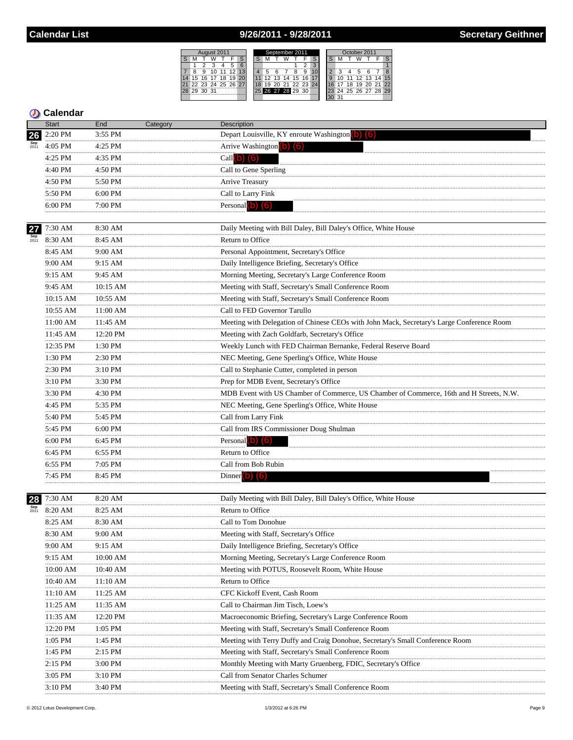# 9/26/2011 - 9/28/2011

|        |          | August 2011 |    |                   |  |    |              | September 2011    |    |  |   |       |     | October 2011 |    |  |
|--------|----------|-------------|----|-------------------|--|----|--------------|-------------------|----|--|---|-------|-----|--------------|----|--|
|        |          |             |    |                   |  |    |              |                   |    |  |   |       |     |              |    |  |
|        |          |             |    |                   |  |    |              |                   |    |  |   |       |     |              |    |  |
|        |          |             |    |                   |  |    |              |                   | ğ  |  |   |       | ҕ   |              |    |  |
| ⊺15. ⊹ |          | 16 17 18    | 19 |                   |  | 12 | $13^{\circ}$ | 14 15             | 16 |  | g | 11    |     | 12 13 14     |    |  |
|        |          |             |    | 22 23 24 25 26 27 |  |    |              | 20 21 22 23 24    |    |  |   | 7 18. | ïä. | . يو.        |    |  |
|        | 29 30 31 |             |    |                   |  |    |              | 25 26 27 28 29 30 |    |  |   |       |     | 24 25 26 27  | 28 |  |
|        |          |             |    |                   |  |    |              |                   |    |  |   |       |     |              |    |  |

|                    | <b>Start</b>          | End           | Category | <b>Description</b>                                                                        |
|--------------------|-----------------------|---------------|----------|-------------------------------------------------------------------------------------------|
| 26                 | 2:20 PM               | 3:55 PM       |          | Depart Louisville, KY enroute Washington (b) (6)                                          |
|                    | 4:05 PM               | 4:25 PM       |          | Arrive Washington (b) (6)                                                                 |
|                    | 4:25 PM               | 4:35 PM       |          | Call $(b)$ $(6)$                                                                          |
|                    | 4:40 PM               | 4:50 PM       |          | Call to Gene Sperling                                                                     |
|                    | 4:50 PM               | 5:50 PM       |          | Arrive Treasury                                                                           |
|                    | .<br>5:50 PM          | 6:00 PM       |          | Call to Larry Fink                                                                        |
|                    | 6:00 PM               | 7:00 PM       |          | Personal $\vert$ <b>b</b> ) $\vert$ <b>6</b> $\vert$                                      |
|                    |                       |               |          |                                                                                           |
| 27                 | 7:30 AM               | 8:30 AM<br>.  |          | Daily Meeting with Bill Daley, Bill Daley's Office, White House                           |
| <b>Sep</b><br>2011 | 8:30 AM               | 8:45 AM       |          | Return to Office                                                                          |
|                    | 8:45 AM<br>.          | 9:00 AM<br>.  |          | Personal Appointment, Secretary's Office                                                  |
|                    | 9:00 AM<br>.          | 9:15 AM       |          | Daily Intelligence Briefing, Secretary's Office                                           |
|                    | 9:15 AM               | 9:45 AM       |          | Morning Meeting, Secretary's Large Conference Room                                        |
|                    | 9:45 AM               | 10:15 AM<br>  |          | Meeting with Staff, Secretary's Small Conference Room                                     |
|                    | 10:15 AM              | 10:55 AM      |          | Meeting with Staff, Secretary's Small Conference Room                                     |
|                    | 10:55 AM              | 11:00 AM      |          | Call to FED Governor Tarullo                                                              |
|                    | 11:00 AM              | 11:45 AM      |          | Meeting with Delegation of Chinese CEOs with John Mack, Secretary's Large Conference Room |
|                    | 11:45 AM              | 12:20 PM<br>  |          | Meeting with Zach Goldfarb, Secretary's Office                                            |
|                    | 12:35 PM<br>.         | 1:30 PM       |          | Weekly Lunch with FED Chairman Bernanke, Federal Reserve Board                            |
|                    | 1:30 PM               | 2:30 PM       |          | NEC Meeting, Gene Sperling's Office, White House                                          |
|                    | 2:30 PM               | $3:10$ PM<br> |          | Call to Stephanie Cutter, completed in person                                             |
|                    | 3:10 PM<br>.          | 3:30 PM       |          | Prep for MDB Event, Secretary's Office                                                    |
|                    | 3:30 PM               | 4:30 PM       |          | MDB Event with US Chamber of Commerce, US Chamber of Commerce, 16th and H Streets, N.W.   |
|                    | 4:45 PM<br>.          | 5:35 PM       |          | NEC Meeting, Gene Sperling's Office, White House                                          |
|                    | 5:40 PM<br>.          | 5:45 PM       |          | Call from Larry Fink                                                                      |
|                    | 5:45 PM               | 6:00 PM       |          | Call from IRS Commissioner Doug Shulman                                                   |
|                    | $6:00 \; \mathrm{PM}$ | 6:45 PM       |          | Personal $(b)$ $(6)$                                                                      |
|                    | 6:45 PM<br>.          | 6:55 PM       |          | Return to Office                                                                          |
|                    | 6:55 PM               | 7:05 PM       |          | Call from Bob Rubin                                                                       |
|                    | 7:45 PM<br>.          | 8:45 PM<br>   |          | Dinner b) (6)                                                                             |
|                    |                       |               |          |                                                                                           |
| 28                 | 7:30 AM               | 8:20 AM       |          | Daily Meeting with Bill Daley, Bill Daley's Office, White House                           |
|                    | 8:20 AM               | 8:25 AM       |          | Return to Office                                                                          |
|                    | 8:25 AM               | 8:30 AM       |          | Call to Tom Donohue                                                                       |
|                    | 8:30 AM               | 9:00 AM       |          | Meeting with Staff, Secretary's Office                                                    |
|                    | 9:00 AM               | 9:15 AM       |          | Daily Intelligence Briefing, Secretary's Office                                           |
|                    | 9:15 AM               | 10:00 AM      |          | Morning Meeting, Secretary's Large Conference Room                                        |
|                    | 10:00 AM              | 10:40 AM      |          | Meeting with POTUS, Roosevelt Room, White House                                           |
|                    | 10:40 AM              | 11:10 AM      |          | Return to Office                                                                          |
|                    | 11:10 AM              | $11:25$ AM    |          | CFC Kickoff Event. Cash Room                                                              |
|                    | 11:25 AM              | 11:35 AM      |          | Call to Chairman Jim Tisch, Loew's                                                        |
|                    | 11:35 AM              | 12:20 PM      |          | Macroeconomic Briefing, Secretary's Large Conference Room                                 |
|                    | 12:20 PM              | 1:05 PM       |          | Meeting with Staff, Secretary's Small Conference Room                                     |
|                    | 1:05 PM               | 1:45 PM       |          | Meeting with Terry Duffy and Craig Donohue, Secretary's Small Conference Room             |
|                    | 1:45 PM               | 2:15 PM       |          | Meeting with Staff, Secretary's Small Conference Room                                     |
|                    | 2:15 PM               | 3:00 PM       |          | Monthly Meeting with Marty Gruenberg, FDIC, Secretary's Office                            |
|                    | 3:05 PM               | 3:10 PM       |          | Call from Senator Charles Schumer                                                         |
|                    | 3:10 PM               | 3:40 PM       |          | Meeting with Staff, Secretary's Small Conference Room                                     |